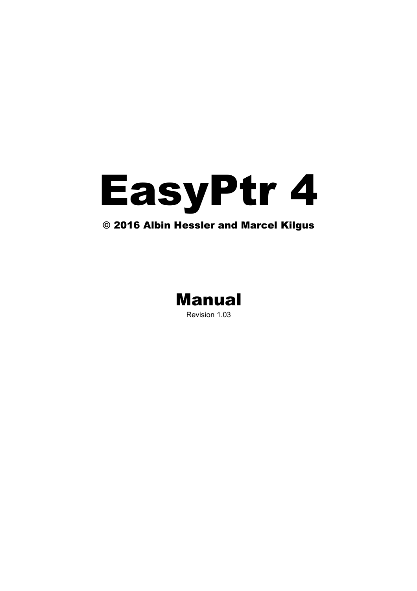# EasyPtr 4

# © 2016 Albin Hessler and Marcel Kilgus

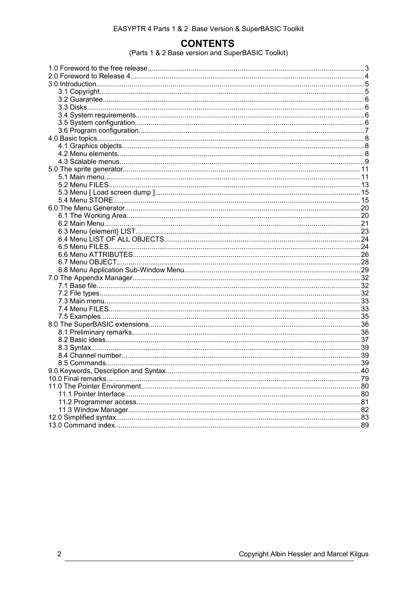# **CONTENTS**

(Parts 1 & 2 Base version and SuperBASIC Toolkit)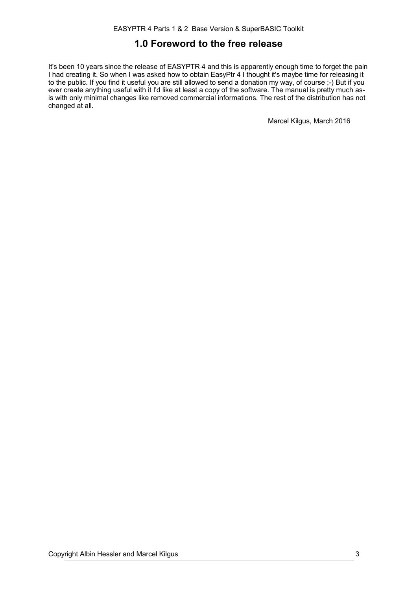# **1.0 Foreword to the free release**

It's been 10 years since the release of EASYPTR 4 and this is apparently enough time to forget the pain I had creating it. So when I was asked how to obtain EasyPtr 4 I thought it's maybe time for releasing it to the public. If you find it useful you are still allowed to send a donation my way, of course ;-) But if you ever create anything useful with it I'd like at least a copy of the software. The manual is pretty much asis with only minimal changes like removed commercial informations. The rest of the distribution has not changed at all.

Marcel Kilgus, March 2016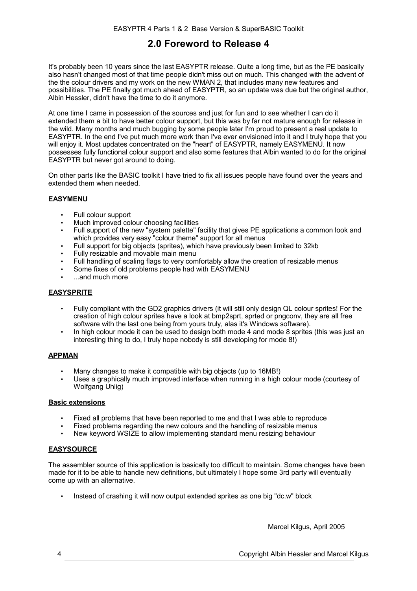# **2.0 Foreword to Release 4**

It's probably been 10 years since the last EASYPTR release. Quite a long time, but as the PE basically also hasn't changed most of that time people didn't miss out on much. This changed with the advent of the the colour drivers and my work on the new WMAN 2, that includes many new features and possibilities. The PE finally got much ahead of EASYPTR, so an update was due but the original author, Albin Hessler, didn't have the time to do it anymore.

At one time I came in possession of the sources and just for fun and to see whether I can do it extended them a bit to have better colour support, but this was by far not mature enough for release in the wild. Many months and much bugging by some people later I'm proud to present a real update to EASYPTR. In the end I've put much more work than I've ever envisioned into it and I truly hope that you will enjoy it. Most updates concentrated on the "heart" of EASYPTR, namely EASYMENU. It now possesses fully functional colour support and also some features that Albin wanted to do for the original EASYPTR but never got around to doing.

On other parts like the BASIC toolkit I have tried to fix all issues people have found over the years and extended them when needed.

# **EASYMENU**

- Full colour support
- Much improved colour choosing facilities
- Full support of the new "system palette" facility that gives PE applications a common look and which provides very easy "colour theme" support for all menus
- Full support for big objects (sprites), which have previously been limited to 32kb
- Fully resizable and movable main menu
- Full handling of scaling flags to very comfortably allow the creation of resizable menus
- Some fixes of old problems people had with EASYMENU
- ...and much more

# **EASYSPRITE**

- Fully compliant with the GD2 graphics drivers (it will still only design QL colour sprites! For the creation of high colour sprites have a look at bmp2sprt, sprted or pngconv, they are all free software with the last one being from yours truly, alas it's Windows software).
- In high colour mode it can be used to design both mode 4 and mode 8 sprites (this was just an interesting thing to do, I truly hope nobody is still developing for mode 8!)

# **APPMAN**

- Many changes to make it compatible with big objects (up to 16MB!)
- Uses a graphically much improved interface when running in a high colour mode (courtesy of Wolfgang Uhlig)

### **Basic extensions**

- Fixed all problems that have been reported to me and that I was able to reproduce
- Fixed problems regarding the new colours and the handling of resizable menus
- New keyword WSIZE to allow implementing standard menu resizing behaviour

# **EASYSOURCE**

The assembler source of this application is basically too difficult to maintain. Some changes have been made for it to be able to handle new definitions, but ultimately I hope some 3rd party will eventually come up with an alternative.

• Instead of crashing it will now output extended sprites as one big "dc.w" block

Marcel Kilgus, April 2005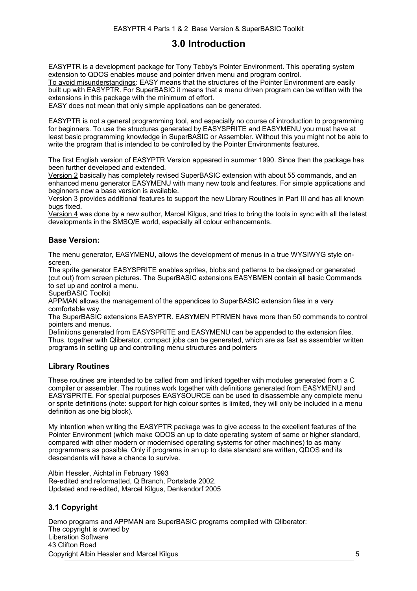# **3.0 Introduction**

EASYPTR is a development package for Tony Tebby's Pointer Environment. This operating system extension to QDOS enables mouse and pointer driven menu and program control. To avoid misunderstandings: EASY means that the structures of the Pointer Environment are easily built up with EASYPTR. For SuperBASIC it means that a menu driven program can be written with the extensions in this package with the minimum of effort. EASY does not mean that only simple applications can be generated.

EASYPTR is not a general programming tool, and especially no course of introduction to programming for beginners. To use the structures generated by EASYSPRITE and EASYMENU you must have at least basic programming knowledge in SuperBASIC or Assembler. Without this you might not be able to write the program that is intended to be controlled by the Pointer Environments features.

The first English version of EASYPTR Version appeared in summer 1990. Since then the package has been further developed and extended.

Version 2 basically has completely revised SuperBASIC extension with about 55 commands, and an enhanced menu generator EASYMENU with many new tools and features. For simple applications and beginners now a base version is available.

Version 3 provides additional features to support the new Library Routines in Part III and has all known bugs fixed.

Version 4 was done by a new author, Marcel Kilgus, and tries to bring the tools in sync with all the latest developments in the SMSQ/E world, especially all colour enhancements.

# **Base Version:**

The menu generator, EASYMENU, allows the development of menus in a true WYSIWYG style onscreen.

The sprite generator EASYSPRITE enables sprites, blobs and patterns to be designed or generated (cut out) from screen pictures. The SuperBASIC extensions EASYBMEN contain all basic Commands to set up and control a menu.

SuperBASIC Toolkit

APPMAN allows the management of the appendices to SuperBASIC extension files in a very comfortable way.

The SuperBASIC extensions EASYPTR. EASYMEN PTRMEN have more than 50 commands to control pointers and menus.

Definitions generated from EASYSPRITE and EASYMENU can be appended to the extension files. Thus, together with Qliberator, compact jobs can be generated, which are as fast as assembler written programs in setting up and controlling menu structures and pointers

# **Library Routines**

These routines are intended to be called from and linked together with modules generated from a C compiler or assembler. The routines work together with definitions generated from EASYMENU and EASYSPRITE. For special purposes EASYSOURCE can be used to disassemble any complete menu or sprite definitions (note: support for high colour sprites is limited, they will only be included in a menu definition as one big block).

My intention when writing the EASYPTR package was to give access to the excellent features of the Pointer Environment (which make QDOS an up to date operating system of same or higher standard, compared with other modern or modernised operating systems for other machines) to as many programmers as possible. Only if programs in an up to date standard are written, QDOS and its descendants will have a chance to survive.

Albin Hessler, Aichtal in February 1993 Re-edited and reformatted, Q Branch, Portslade 2002. Updated and re-edited, Marcel Kilgus, Denkendorf 2005

# **3.1 Copyright**

Demo programs and APPMAN are SuperBASIC programs compiled with Qliberator: The copyright is owned by Liberation Software 43 Clifton Road Copyright Albin Hessler and Marcel Kilgus 5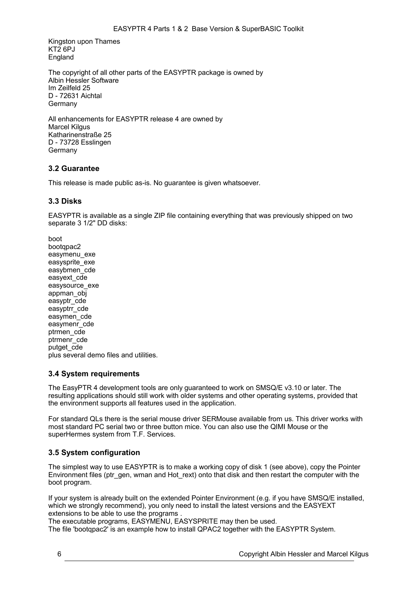Kingston upon Thames KT2 6PJ England

The copyright of all other parts of the EASYPTR package is owned by Albin Hessler Software Im Zeilfeld 25 D - 72631 Aichtal Germany

All enhancements for EASYPTR release 4 are owned by Marcel Kilgus Katharinenstraße 25 D - 73728 Esslingen Germany

# **3.2 Guarantee**

This release is made public as-is. No guarantee is given whatsoever.

# **3.3 Disks**

EASYPTR is available as a single ZIP file containing everything that was previously shipped on two separate 3 1/2" DD disks:

boot bootqpac2 easymenu exe easysprite\_exe easybmen\_cde easyext\_cde easysource\_exe appman\_obj easyptr\_cde easyptrr\_cde easymen\_cde easymenr\_cde ptrmen\_cde ptrmenr\_cde putget\_cde plus several demo files and utilities.

# **3.4 System requirements**

The EasyPTR 4 development tools are only guaranteed to work on SMSQ/E v3.10 or later. The resulting applications should still work with older systems and other operating systems, provided that the environment supports all features used in the application.

For standard QLs there is the serial mouse driver SERMouse available from us. This driver works with most standard PC serial two or three button mice. You can also use the QIMI Mouse or the superHermes system from T.F. Services.

# **3.5 System configuration**

The simplest way to use EASYPTR is to make a working copy of disk 1 (see above), copy the Pointer Environment files (ptr\_gen, wman and Hot\_rext) onto that disk and then restart the computer with the boot program.

If your system is already built on the extended Pointer Environment (e.g. if you have SMSQ/E installed, which we strongly recommend), you only need to install the latest versions and the EASYEXT extensions to be able to use the programs .

The executable programs, EASYMENU, EASYSPRITE may then be used.

The file 'bootqpac2' is an example how to install QPAC2 together with the EASYPTR System.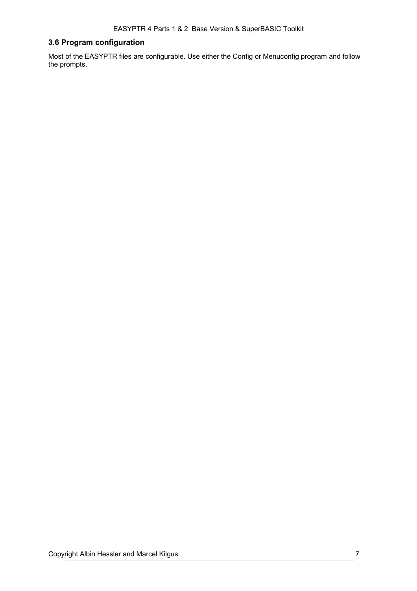# **3.6 Program configuration**

Most of the EASYPTR files are configurable. Use either the Config or Menuconfig program and follow the prompts.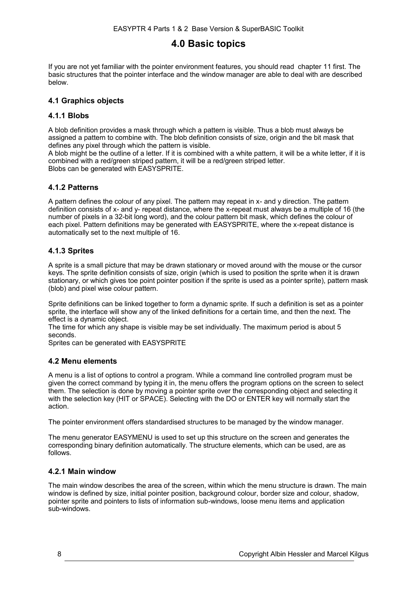# <span id="page-7-0"></span>**4.0 Basic topics**

If you are not yet familiar with the pointer environment features, you should read chapter [11](#page-79-0) first. The basic structures that the pointer interface and the window manager are able to deal with are described below.

# **4.1 Graphics objects**

# **4.1.1 Blobs**

A blob definition provides a mask through which a pattern is visible. Thus a blob must always be assigned a pattern to combine with. The blob definition consists of size, origin and the bit mask that defines any pixel through which the pattern is visible.

A blob might be the outline of a letter. If it is combined with a white pattern, it will be a white letter, if it is combined with a red/green striped pattern, it will be a red/green striped letter. Blobs can be generated with EASYSPRITE.

# **4.1.2 Patterns**

A pattern defines the colour of any pixel. The pattern may repeat in x- and y direction. The pattern definition consists of x- and y- repeat distance, where the x-repeat must always be a multiple of 16 (the number of pixels in a 32-bit long word), and the colour pattern bit mask, which defines the colour of each pixel. Pattern definitions may be generated with EASYSPRITE, where the x-repeat distance is automatically set to the next multiple of 16.

# **4.1.3 Sprites**

A sprite is a small picture that may be drawn stationary or moved around with the mouse or the cursor keys. The sprite definition consists of size, origin (which is used to position the sprite when it is drawn stationary, or which gives toe point pointer position if the sprite is used as a pointer sprite), pattern mask (blob) and pixel wise colour pattern.

Sprite definitions can be linked together to form a dynamic sprite. If such a definition is set as a pointer sprite, the interface will show any of the linked definitions for a certain time, and then the next. The effect is a dynamic object.

The time for which any shape is visible may be set individually. The maximum period is about 5 seconds.

Sprites can be generated with EASYSPRITE

# **4.2 Menu elements**

A menu is a list of options to control a program. While a command line controlled program must be given the correct command by typing it in, the menu offers the program options on the screen to select them. The selection is done by moving a pointer sprite over the corresponding object and selecting it with the selection key (HIT or SPACE). Selecting with the DO or ENTER key will normally start the action.

The pointer environment offers standardised structures to be managed by the window manager.

The menu generator EASYMENU is used to set up this structure on the screen and generates the corresponding binary definition automatically. The structure elements, which can be used, are as follows.

# **4.2.1 Main window**

The main window describes the area of the screen, within which the menu structure is drawn. The main window is defined by size, initial pointer position, background colour, border size and colour, shadow, pointer sprite and pointers to lists of information sub-windows, loose menu items and application sub-windows.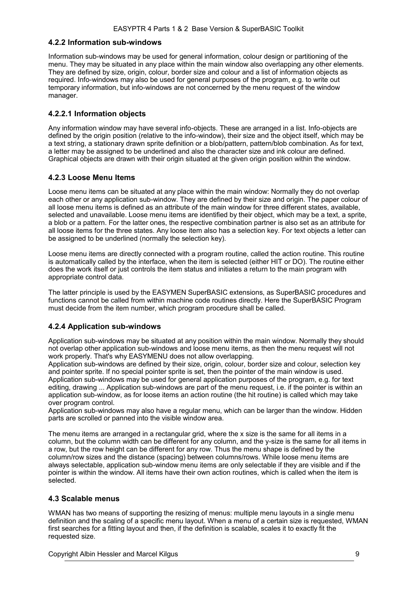# **4.2.2 Information sub-windows**

Information sub-windows may be used for general information, colour design or partitioning of the menu. They may be situated in any place within the main window also overlapping any other elements. They are defined by size, origin, colour, border size and colour and a list of information objects as required. Info-windows may also be used for general purposes of the program, e.g. to write out temporary information, but info-windows are not concerned by the menu request of the window manager.

# **4.2.2.1 Information objects**

Any information window may have several info-objects. These are arranged in a list. Info-objects are defined by the origin position (relative to the info-window), their size and the object itself, which may be a text string, a stationary drawn sprite definition or a blob/pattern, pattern/blob combination. As for text, a letter may be assigned to be underlined and also the character size and ink colour are defined. Graphical objects are drawn with their origin situated at the given origin position within the window.

# **4.2.3 Loose Menu Items**

Loose menu items can be situated at any place within the main window: Normally they do not overlap each other or any application sub-window. They are defined by their size and origin. The paper colour of all loose menu items is defined as an attribute of the main window for three different states, available, selected and unavailable. Loose menu items are identified by their object, which may be a text, a sprite, a blob or a pattern. For the latter ones, the respective combination partner is also set as an attribute for all loose items for the three states. Any loose item also has a selection key. For text objects a letter can be assigned to be underlined (normally the selection key).

Loose menu items are directly connected with a program routine, called the action routine. This routine is automatically called by the interface, when the item is selected (either HIT or DO). The routine either does the work itself or just controls the item status and initiates a return to the main program with appropriate control data.

The latter principle is used by the EASYMEN SuperBASIC extensions, as SuperBASIC procedures and functions cannot be called from within machine code routines directly. Here the SuperBASIC Program must decide from the item number, which program procedure shall be called.

# **4.2.4 Application sub-windows**

Application sub-windows may be situated at any position within the main window. Normally they should not overlap other application sub-windows and loose menu items, as then the menu request will not work properly. That's why EASYMENU does not allow overlapping.

Application sub-windows are defined by their size, origin, colour, border size and colour, selection key and pointer sprite. If no special pointer sprite is set, then the pointer of the main window is used. Application sub-windows may be used for general application purposes of the program, e.g. for text editing, drawing ... Application sub-windows are part of the menu request, i.e. if the pointer is within an application sub-window, as for loose items an action routine (the hit routine) is called which may take over program control.

Application sub-windows may also have a regular menu, which can be larger than the window. Hidden parts are scrolled or panned into the visible window area.

The menu items are arranged in a rectangular grid, where the x size is the same for all items in a column, but the column width can be different for any column, and the y-size is the same for all items in a row, but the row height can be different for any row. Thus the menu shape is defined by the column/row sizes and the distance (spacing) between columns/rows. While loose menu items are always selectable, application sub-window menu items are only selectable if they are visible and if the pointer is within the window. All items have their own action routines, which is called when the item is selected.

# <span id="page-8-0"></span>**4.3 Scalable menus**

WMAN has two means of supporting the resizing of menus: multiple menu layouts in a single menu definition and the scaling of a specific menu layout. When a menu of a certain size is requested, WMAN first searches for a fitting layout and then, if the definition is scalable, scales it to exactly fit the requested size.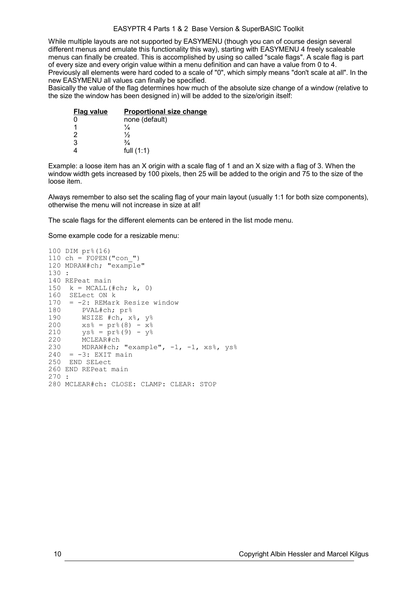### EASYPTR 4 Parts 1 & 2 Base Version & SuperBASIC Toolkit

While multiple layouts are not supported by EASYMENU (though you can of course design several different menus and emulate this functionality this way), starting with EASYMENU 4 freely scaleable menus can finally be created. This is accomplished by using so called "scale flags". A scale flag is part of every size and every origin value within a menu definition and can have a value from 0 to 4. Previously all elements were hard coded to a scale of "0", which simply means "don't scale at all". In the new EASYMENU all values can finally be specified.

Basically the value of the flag determines how much of the absolute size change of a window (relative to the size the window has been designed in) will be added to the size/origin itself:

| <b>Flag value</b> | <b>Proportional size change</b> |
|-------------------|---------------------------------|
| 0                 | none (default)                  |
|                   | ¼                               |
| 2                 | ⅓                               |
| 3                 | $\frac{3}{4}$                   |
|                   | full $(1:1)$                    |

Example: a loose item has an X origin with a scale flag of 1 and an X size with a flag of 3. When the window width gets increased by 100 pixels, then 25 will be added to the origin and 75 to the size of the loose item.

Always remember to also set the scaling flag of your main layout (usually 1:1 for both size components), otherwise the menu will not increase in size at all!

The scale flags for the different elements can be entered in the list mode menu.

Some example code for a resizable menu:

```
100 DIM pr%(16)
110 ch = FOPEN('con'')120 MDRAW#ch; "example"
130 :
140 REPeat main
150 k = MCALL(#ch; k, 0)160 SELect ON k
170 = -2: REMark Resize window<br>180 = PVAL#ch: pr%
180 PVAL#ch; pr%<br>190 WSIZE #ch, x%
        WSIZE #ch, x%, y%
200 xs\frac{6}{6} = pr\frac{6}{6}(8) - x\frac{6}{6}210 ys\frac{1}{6} = pr\frac{1}{6}(9) - y\frac{1}{6}220 MCLEAR#ch<br>230 MDRAW#ch:
        MDRAW#ch; "example", -1, -1, xs%, ys%
240 = -3: EXIT main
250 END SELect
260 END REPeat main
270 :
280 MCLEAR#ch: CLOSE: CLAMP: CLEAR: STOP
```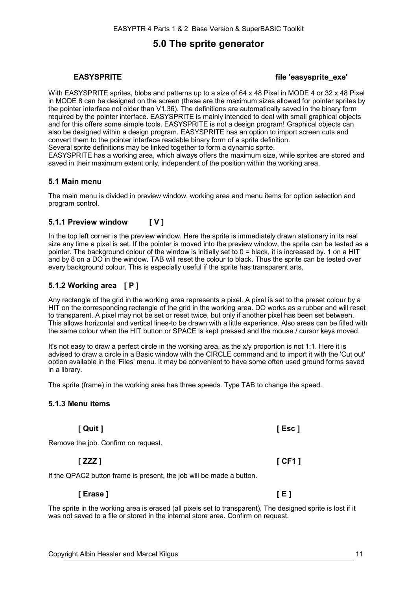# **5.0 The sprite generator**

# **EASYSPRITE file 'easysprite\_exe'**

With EASYSPRITE sprites, blobs and patterns up to a size of 64 x 48 Pixel in MODE 4 or 32 x 48 Pixel in MODE 8 can be designed on the screen (these are the maximum sizes allowed for pointer sprites by the pointer interface not older than V1.36). The definitions are automatically saved in the binary form required by the pointer interface. EASYSPRITE is mainly intended to deal with small graphical objects and for this offers some simple tools. EASYSPRITE is not a design program! Graphical objects can also be designed within a design program. EASYSPRITE has an option to import screen cuts and convert them to the pointer interface readable binary form of a sprite definition.

Several sprite definitions may be linked together to form a dynamic sprite.

EASYSPRITE has a working area, which always offers the maximum size, while sprites are stored and saved in their maximum extent only, independent of the position within the working area.

# **5.1 Main menu**

The main menu is divided in preview window, working area and menu items for option selection and program control.

# **5.1.1 Preview window [ V ]**

In the top left corner is the preview window. Here the sprite is immediately drawn stationary in its real size any time a pixel is set. If the pointer is moved into the preview window, the sprite can be tested as a pointer. The background colour of the window is initially set to 0 = black, it is increased by. 1 on a HIT and by 8 on a DO in the window. TAB will reset the colour to black. Thus the sprite can be tested over every background colour. This is especially useful if the sprite has transparent arts.

# **5.1.2 Working area [ P ]**

Any rectangle of the grid in the working area represents a pixel. A pixel is set to the preset colour by a HIT on the corresponding rectangle of the grid in the working area. DO works as a rubber and will reset to transparent. A pixel may not be set or reset twice, but only if another pixel has been set between. This allows horizontal and vertical lines-to be drawn with a little experience. Also areas can be filled with the same colour when the HIT button or SPACE is kept pressed and the mouse / cursor keys moved.

It's not easy to draw a perfect circle in the working area, as the x/y proportion is not 1:1. Here it is advised to draw a circle in a Basic window with the CIRCLE command and to import it with the 'Cut out' option available in the 'Files' menu. It may be convenient to have some often used ground forms saved in a library.

The sprite (frame) in the working area has three speeds. Type TAB to change the speed.

# **5.1.3 Menu items**

**[ Quit ] [ Esc ]** Remove the job. Confirm on request.

**[ ZZZ ] [ CF1 ]**

If the QPAC2 button frame is present, the job will be made a button.

The sprite in the working area is erased (all pixels set to transparent). The designed sprite is lost if it was not saved to a file or stored in the internal store area. Confirm on request.

**[ Erase ] [ E ]**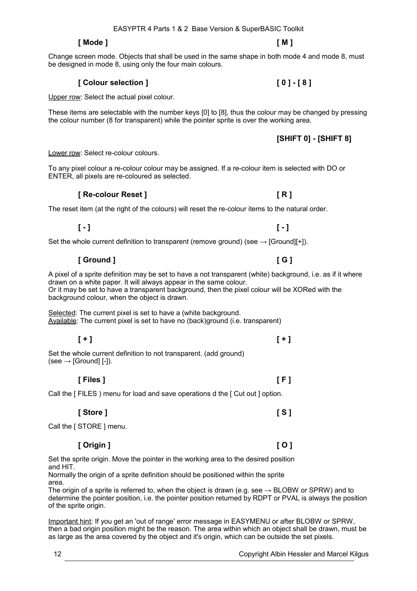# **[ Mode ] [ M ]**

Change screen mode. Objects that shall be used in the same shape in both mode 4 and mode 8, must be designed in mode 8, using only the four main colours.

# **[ Colour selection ] [ 0 ] - [ 8 ]**

Upper row: Select the actual pixel colour.

These items are selectable with the number keys [0] to [8], thus the colour may be changed by pressing the colour number (8 for transparent) while the pointer sprite is over the working area.

Lower row: Select re-colour colours.

To any pixel colour a re-colour colour may be assigned. If a re-colour item is selected with DO or ENTER, all pixels are re-coloured as selected.

# **[ Re-colour Reset ] [ R ]**

The reset item (at the right of the colours) will reset the re-colour items to the natural order.

# **[ - ] [ - ]**

Set the whole current definition to transparent (remove ground) (see  $\rightarrow$  [Ground][+]).

# **[ Ground ] [ G ]**

A pixel of a sprite definition may be set to have a not transparent (white) background, i.e. as if it where drawn on a white paper. It will always appear in the same colour. Or it may be set to have a transparent background, then the pixel colour will be XORed with the background colour, when the object is drawn.

Selected: The current pixel is set to have a (white background. Available: The current pixel is set to have no (back)ground (i.e. transparent)

**[ + ] [ + ]**

Set the whole current definition to not transparent. (add ground)  $(see \rightarrow [Ground] [-]).$ 

Call the [ FILES ) menu for load and save operations d the [ Cut out ] option.

**[ Store ] [ S ]**

Call the [ STORE ] menu.

# **[ Origin ] [ O ]**

Set the sprite origin. Move the pointer in the working area to the desired position and HIT.

Normally the origin of a sprite definition should be positioned within the sprite area.

The origin of a sprite is referred to, when the object is drawn (e.g. see  $\rightarrow$  BLOBW or SPRW) and to determine the pointer position, i.e. the pointer position returned by RDPT or PVAL is always the position of the sprite origin.

Important hint: If you get an 'out of range' error message in EASYMENU or after BLOBW or SPRW, then a bad origin position might be the reason. The area within which an object shall be drawn, must be as large as the area covered by the object and it's origin, which can be outside the set pixels.

**[SHIFT 0] - [SHIFT 8]**

**[ Files ] [ F ]**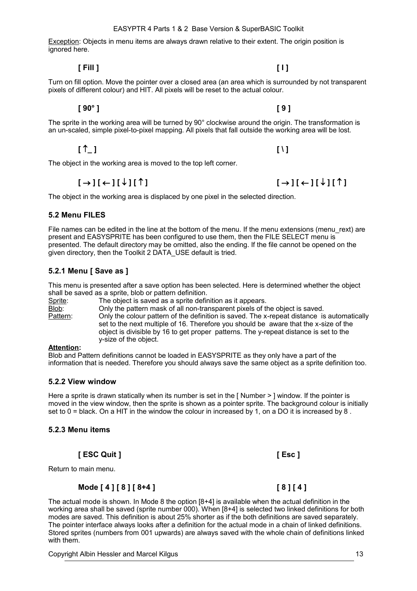# EASYPTR 4 Parts 1 & 2 Base Version & SuperBASIC Toolkit

Exception: Objects in menu items are always drawn relative to their extent. The origin position is ignored here.

Turn on fill option. Move the pointer over a closed area (an area which is surrounded by not transparent pixels of different colour) and HIT. All pixels will be reset to the actual colour.

The sprite in the working area will be turned by 90° clockwise around the origin. The transformation is an un-scaled, simple pixel-to-pixel mapping. All pixels that fall outside the working area will be lost.

**[ 90° ] [ 9 ]**

**[ \_ ] [ \ ]**

The object in the working area is moved to the top left corner.

The object in the working area is displaced by one pixel in the selected direction.

# **5.2 Menu FILES**

File names can be edited in the line at the bottom of the menu. If the menu extensions (menu\_rext) are present and EASYSPRITE has been configured to use them, then the FILE SELECT menu is presented. The default directory may be omitted, also the ending. If the file cannot be opened on the given directory, then the Toolkit 2 DATA\_USE default is tried.

# **5.2.1 Menu [ Save as ]**

This menu is presented after a save option has been selected. Here is determined whether the object shall be saved as a sprite, blob or pattern definition.

Sprite: The object is saved as a sprite definition as it appears.

Blob: Only the pattern mask of all non-transparent pixels of the object is saved. Pattern: Only the colour pattern of the definition is saved. The x-repeat distance is automatically set to the next multiple of 16. Therefore you should be aware that the x-size of the object is divisible by 16 to get proper patterns. The y-repeat distance is set to the y-size of the object.

# **Attention:**

Blob and Pattern definitions cannot be loaded in EASYSPRITE as they only have a part of the information that is needed. Therefore you should always save the same object as a sprite definition too.

# **5.2.2 View window**

Here a sprite is drawn statically when its number is set in the [ Number > ] window. If the pointer is moved in the view window, then the sprite is shown as a pointer sprite. The background colour is initially set to 0 = black. On a HIT in the window the colour in increased by 1, on a DO it is increased by 8.

# **5.2.3 Menu items**

**[ ESC Quit ] [ Esc ]**

Return to main menu.

# **Mode [ 4 ] [ 8 ] [ 8+4 ] [ 8 ] [ 4 ]**

The actual mode is shown. In Mode 8 the option [8+4] is available when the actual definition in the working area shall be saved (sprite number 000). When [8+4] is selected two linked definitions for both modes are saved. This definition is about 25% shorter as if the both definitions are saved separately. The pointer interface always looks after a definition for the actual mode in a chain of linked definitions. Stored sprites (numbers from 001 upwards) are always saved with the whole chain of definitions linked with them.

Copyright Albin Hessler and Marcel Kilgus 13

 $[\rightarrow] [\leftarrow] [\downarrow] [\uparrow]$ 

**[ Fill ] [ I ]**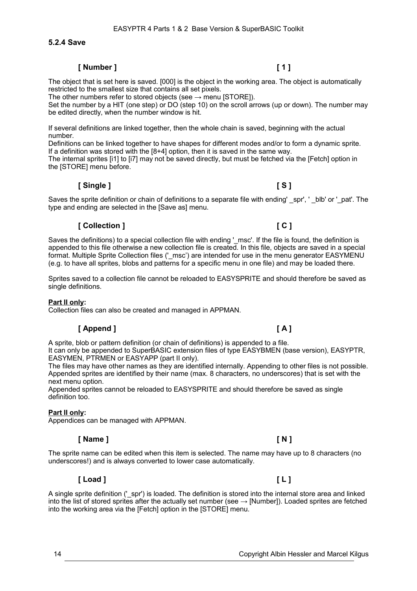# **5.2.4 Save**

# **[ Number ] [ 1 ]**

The object that is set here is saved. [000] is the object in the working area. The object is automatically restricted to the smallest size that contains all set pixels.

EASYPTR 4 Parts 1 & 2 Base Version & SuperBASIC Toolkit

The other numbers refer to stored objects (see  $\rightarrow$  menu [STORE]).

Set the number by a HIT (one step) or DO (step 10) on the scroll arrows (up or down). The number may be edited directly, when the number window is hit.

If several definitions are linked together, then the whole chain is saved, beginning with the actual number.

Definitions can be linked together to have shapes for different modes and/or to form a dynamic sprite. If a definition was stored with the [8+4] option, then it is saved in the same way.

The internal sprites [i1] to [i7] may not be saved directly, but must be fetched via the [Fetch] option in the [STORE] menu before.

### **[ Single ] [ S ]**

Saves the sprite definition or chain of definitions to a separate file with ending' \_spr', ' \_blb' or '\_pat'. The type and ending are selected in the [Save as] menu.

### **[ Collection ] [ C ]**

Saves the definitions) to a special collection file with ending '\_msc'. If the file is found, the definition is appended to this file otherwise a new collection file is created. In this file, objects are saved in a special format. Multiple Sprite Collection files ('\_msc') are intended for use in the menu generator EASYMENU (e.g. to have all sprites, blobs and patterns for a specific menu in one file) and may be loaded there.

Sprites saved to a collection file cannot be reloaded to EASYSPRITE and should therefore be saved as single definitions.

### **Part II only:**

Collection files can also be created and managed in APPMAN.

### **[ Append ] [ A ]**

A sprite, blob or pattern definition (or chain of definitions) is appended to a file.

It can only be appended to SuperBASIC extension files of type EASYBMEN (base version), EASYPTR, EASYMEN, PTRMEN or EASYAPP (part II only).

The files may have other names as they are identified internally. Appending to other files is not possible. Appended sprites are identified by their name (max. 8 characters, no underscores) that is set with the next menu option.

Appended sprites cannot be reloaded to EASYSPRITE and should therefore be saved as single definition too.

### **Part II only:**

Appendices can be managed with APPMAN.

### **[ Name ] [ N ]**

The sprite name can be edited when this item is selected. The name may have up to 8 characters (no underscores!) and is always converted to lower case automatically.

# **[ Load ] [ L ]**

A single sprite definition ('spr') is loaded. The definition is stored into the internal store area and linked into the list of stored sprites after the actually set number (see  $\rightarrow$  [Number]). Loaded sprites are fetched into the working area via the [Fetch] option in the [STORE] menu.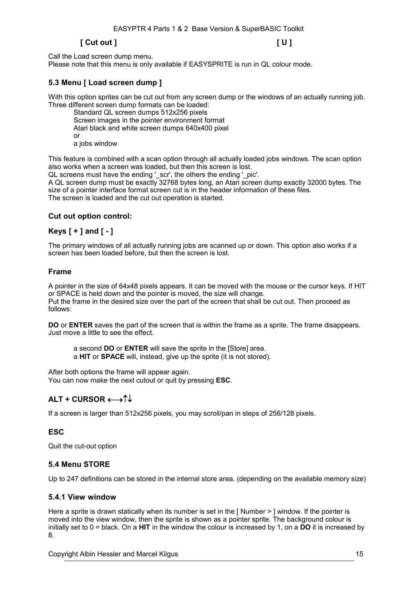# **[ Cut out ] [ U ]**

Call the Load screen dump menu. Please note that this menu is only available if EASYSPRITE is run in QL colour mode.

# **5.3 Menu [ Load screen dump ]**

With this option sprites can be cut out from any screen dump or the windows of an actually running job. Three different screen dump formats can be loaded:

Standard QL screen dumps 512x256 pixels Screen images in the pointer environment format Atari black and white screen dumps 640x400 pixel or a jobs window

This feature is combined with a scan option through all actually loaded jobs windows. The scan option also works when a screen was loaded, but then this screen is lost.

QL screens must have the ending '\_scr', the others the ending '\_pic'.

A QL screen dump must be exactly 32768 bytes long, an Atari screen dump exactly 32000 bytes. The size of a pointer interface format screen cut is in the header information of these files. The screen is loaded and the cut out operation is started.

# **Cut out option control:**

# **Keys [ + ] and [ - ]**

The primary windows of all actually running jobs are scanned up or down. This option also works if a screen has been loaded before, but then the screen is lost.

# **Frame**

A pointer in the size of 64x48 pixels appears. It can be moved with the mouse or the cursor keys. If HIT or SPACE is held down and the pointer is moved, the size will change. Put the frame in the desired size over the part of the screen that shall be cut out. Then proceed as follows:

**DO** or **ENTER** saves the part of the screen that is within the frame as a sprite. The frame disappears. Just move a little to see the effect.

a second **DO** or **ENTER** will save the sprite in the [Store] area.

a **HIT** or **SPACE** will, instead, give up the sprite (it is not stored).

After both options the frame will appear again. You can now make the next cutout or quit by pressing **ESC**.

# **ALT + CURSOR**

If a screen is larger than 512x256 pixels, you may scroll/pan in steps of 256/128 pixels.

# **ESC**

Quit the cut-out option

# **5.4 Menu STORE**

Up to 247 definitions can be stored in the internal store area. (depending on the available memory size)

# **5.4.1 View window**

Here a sprite is drawn statically when its number is set in the [ Number > ] window. If the pointer is moved into the view window, then the sprite is shown as a pointer sprite. The background colour is initially set to 0 = black. On a **HIT** in the window the colour is increased by 1, on a **DO** it is increased by 8.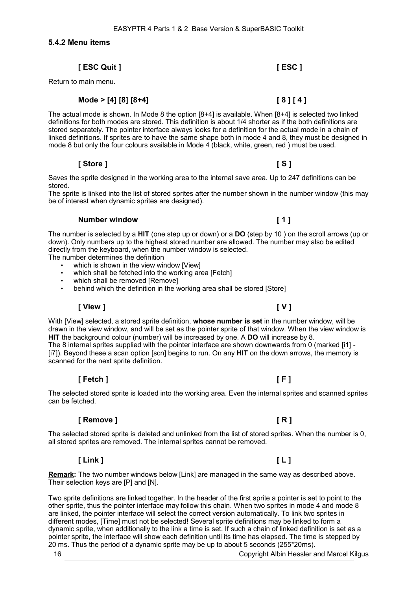**5.4.2 Menu items**

# **[ ESC Quit ] [ ESC ]**

Return to main menu.

# **Mode > [4] [8] [8+4] [ 8 ] [ 4 ]**

The actual mode is shown. In Mode 8 the option [8+4] is available. When [8+4] is selected two linked definitions for both modes are stored. This definition is about 1/4 shorter as if the both definitions are stored separately. The pointer interface always looks for a definition for the actual mode in a chain of linked definitions. If sprites are to have the same shape both in mode 4 and 8, they must be designed in mode 8 but only the four colours available in Mode 4 (black, white, green, red ) must be used.

# **[ Store ] [ S ]**

Saves the sprite designed in the working area to the internal save area. Up to 247 definitions can be stored.

The sprite is linked into the list of stored sprites after the number shown in the number window (this may be of interest when dynamic sprites are designed).

# **Number window [ 1 ]**

The number is selected by a **HIT** (one step up or down) or a **DO** (step by 10 ) on the scroll arrows (up or down). Only numbers up to the highest stored number are allowed. The number may also be edited directly from the keyboard, when the number window is selected.

The number determines the definition

- which is shown in the view window [View]
- which shall be fetched into the working area [Fetch]
- which shall be removed [Remove]
- behind which the definition in the working area shall be stored [Store]

# **[ View ] [ V ]**

With [View] selected, a stored sprite definition, **whose number is set** in the number window, will be drawn in the view window, and will be set as the pointer sprite of that window. When the view window is **HIT** the background colour (number) will be increased by one. A **DO** will increase by 8. The 8 internal sprites supplied with the pointer interface are shown downwards from 0 (marked [i1] - [i7]). Beyond these a scan option [scn] begins to run. On any **HIT** on the down arrows, the memory is scanned for the next sprite definition.

# **[ Fetch ] [ F ]**

The selected stored sprite is loaded into the working area. Even the internal sprites and scanned sprites can be fetched.

# **[ Remove ] [ R ]**

The selected stored sprite is deleted and unlinked from the list of stored sprites. When the number is 0, all stored sprites are removed. The internal sprites cannot be removed.

# **[ Link ] [ L ]**

**Remark:** The two number windows below [Link] are managed in the same way as described above. Their selection keys are [P] and [N].

Two sprite definitions are linked together. In the header of the first sprite a pointer is set to point to the other sprite, thus the pointer interface may follow this chain. When two sprites in mode 4 and mode 8 are linked, the pointer interface will select the correct version automatically. To link two sprites in different modes, [Time] must not be selected! Several sprite definitions may be linked to form a dynamic sprite, when additionally to the link a time is set. If such a chain of linked definition is set as a pointer sprite, the interface will show each definition until its time has elapsed. The time is stepped by 20 ms. Thus the period of a dynamic sprite may be up to about 5 seconds (255\*20ms).

16 Copyright Albin Hessler and Marcel Kilgus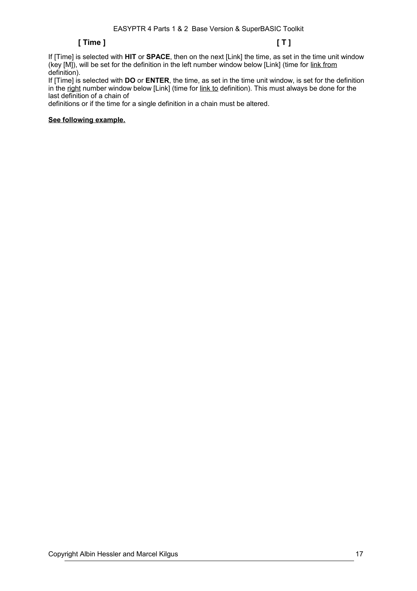# **[ Time ] [ T ]**

If [Time] is selected with **HIT** or **SPACE**, then on the next [Link] the time, as set in the time unit window (key [M]), will be set for the definition in the left number window below [Link] (time for link from definition).

If [Time] is selected with **DO** or **ENTER**, the time, as set in the time unit window, is set for the definition in the right number window below [Link] (time for link to definition). This must always be done for the last definition of a chain of

definitions or if the time for a single definition in a chain must be altered.

# **See following example.**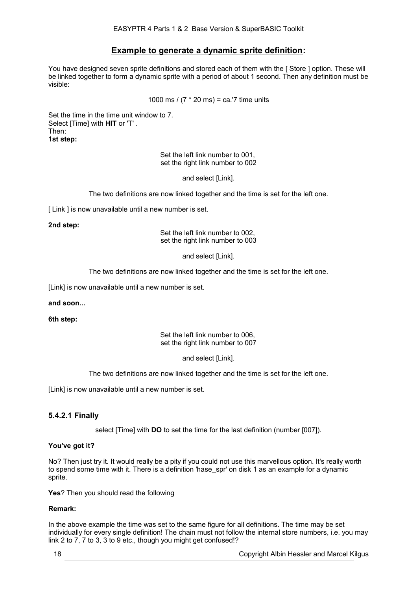# **Example to generate a dynamic sprite definition:**

You have designed seven sprite definitions and stored each of them with the [ Store ] option. These will be linked together to form a dynamic sprite with a period of about 1 second. Then any definition must be visible:

1000 ms / (7 \* 20 ms) = ca.'7 time units

Set the time in the time unit window to 7. Select [Time] with **HIT** or 'T' . Then: **1st step:**

> Set the left link number to 001, set the right link number to 002

> > and select [Link].

The two definitions are now linked together and the time is set for the left one.

[ Link ] is now unavailable until a new number is set.

### **2nd step:**

Set the left link number to 002, set the right link number to 003

and select [Link].

The two definitions are now linked together and the time is set for the left one.

[Link] is now unavailable until a new number is set.

# **and soon...**

**6th step:**

Set the left link number to 006, set the right link number to 007

and select [Link].

The two definitions are now linked together and the time is set for the left one.

[Link] is now unavailable until a new number is set.

# **5.4.2.1 Finally**

select [Time] with **DO** to set the time for the last definition (number [007]).

# **You've got it?**

No? Then just try it. It would really be a pity if you could not use this marvellous option. It's really worth to spend some time with it. There is a definition 'hase\_spr' on disk 1 as an example for a dynamic sprite.

**Yes**? Then you should read the following

# **Remark:**

In the above example the time was set to the same figure for all definitions. The time may be set individually for every single definition! The chain must not follow the internal store numbers, i.e. you may link 2 to 7, 7 to 3, 3 to 9 etc., though you might get confused!?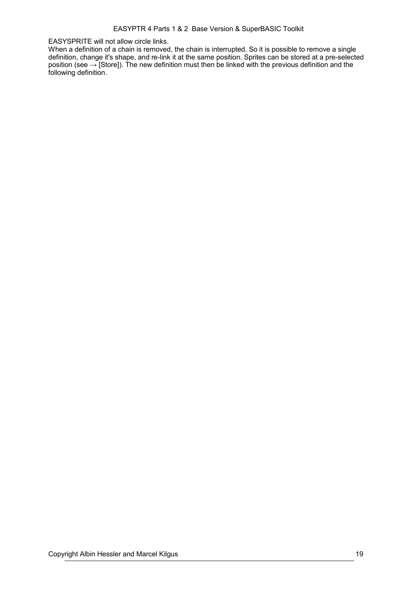EASYSPRITE will not allow circle links.

When a definition of a chain is removed, the chain is interrupted. So it is possible to remove a single definition, change it's shape, and re-link it at the same position. Sprites can be stored at a pre-selected position (see → [Store]). The new definition must then be linked with the previous definition and the following definition.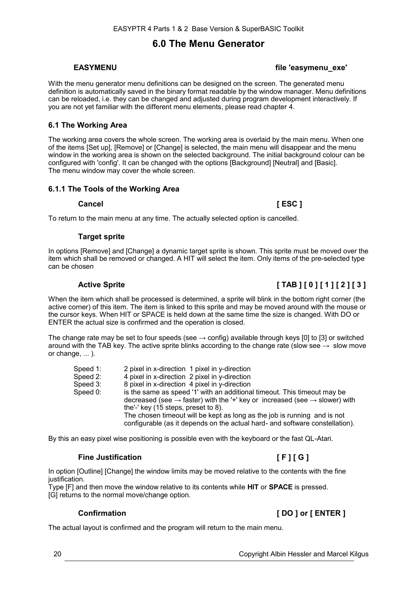# **6.0 The Menu Generator**

# **EASYMENU** *EASYMENU EASYMENU*

With the menu generator menu definitions can be designed on the screen. The generated menu definition is automatically saved in the binary format readable by the window manager. Menu definitions can be reloaded, i.e. they can be changed and adjusted during program development interactively. If you are not yet familiar with the different menu elements, please read chapter [4.](#page-7-0)

# **6.1 The Working Area**

The working area covers the whole screen. The working area is overlaid by the main menu. When one of the items [Set up], [Remove] or [Change] is selected, the main menu will disappear and the menu window in the working area is shown on the selected background. The initial background colour can be configured with 'config'. It can be changed with the options [Background] [Neutral] and [Basic]. The menu window may cover the whole screen.

# **6.1.1 The Tools of the Working Area**

# **Cancel [ ESC ]**

To return to the main menu at any time. The actually selected option is cancelled.

# **Target sprite**

In options [Remove] and [Change] a dynamic target sprite is shown. This sprite must be moved over the item which shall be removed or changed. A HIT will select the item. Only items of the pre-selected type can be chosen

# **Active Sprite [ TAB ] [ 0 ] [ 1 ] [ 2 ] [ 3 ]**

When the item which shall be processed is determined, a sprite will blink in the bottom right corner (the active corner) of this item. The item is linked to this sprite and may be moved around with the mouse or the cursor keys. When HIT or SPACE is held down at the same time the size is changed. With DO or ENTER the actual size is confirmed and the operation is closed.

The change rate may be set to four speeds (see  $\rightarrow$  config) available through keys [0] to [3] or switched around with the TAB key. The active sprite blinks according to the change rate (slow see  $\rightarrow$  slow move or change, ... ).

| Speed 1: | 2 pixel in x-direction 1 pixel in y-direction                                                      |
|----------|----------------------------------------------------------------------------------------------------|
| Speed 2: | 4 pixel in x-direction 2 pixel in y-direction                                                      |
| Speed 3: | 8 pixel in x-direction 4 pixel in y-direction                                                      |
| Speed 0: | is the same as speed '1' with an additional timeout. This timeout may be                           |
|          | decreased (see $\rightarrow$ faster) with the '+' key or increased (see $\rightarrow$ slower) with |
|          | the'-' key (15 steps, preset to 8).                                                                |
|          | The chosen timeout will be kept as long as the job is running and is not                           |
|          | configurable (as it depends on the actual hard- and software constellation).                       |

By this an easy pixel wise positioning is possible even with the keyboard or the fast QL-Atari.

# **Fine Justification [ F ] [ G ]**

In option [Outline] [Change] the window limits may be moved relative to the contents with the fine justification.

Type [F] and then move the window relative to its contents while **HIT** or **SPACE** is pressed. [G] returns to the normal move/change option.

# **Confirmation [ DO ] or [ ENTER ]**

The actual layout is confirmed and the program will return to the main menu.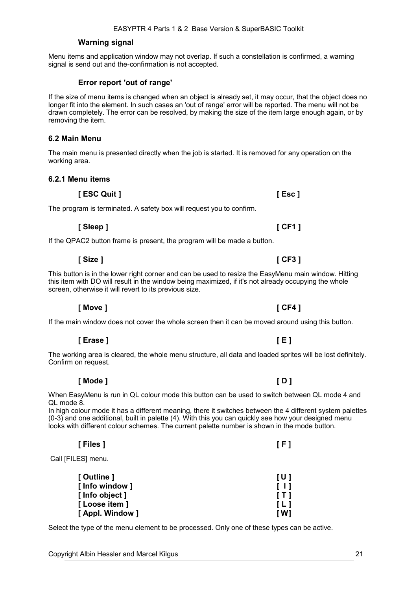# **Warning signal**

Menu items and application window may not overlap. If such a constellation is confirmed, a warning signal is send out and the-confirmation is not accepted.

# **Error report 'out of range'**

If the size of menu items is changed when an object is already set, it may occur, that the object does no longer fit into the element. In such cases an 'out of range' error will be reported. The menu will not be drawn completely. The error can be resolved, by making the size of the item large enough again, or by removing the item.

# **6.2 Main Menu**

The main menu is presented directly when the job is started. It is removed for any operation on the working area.

**[ Sleep ] [ CF1 ]**

**[ Size ] [ CF3 ]**

# **6.2.1 Menu items**

**[ ESC Quit ] [ Esc ]**

The program is terminated. A safety box will request you to confirm.

If the QPAC2 button frame is present, the program will be made a button.

This button is in the lower right corner and can be used to resize the EasyMenu main window. Hitting this item with DO will result in the window being maximized, if it's not already occupying the whole screen, otherwise it will revert to its previous size.

**[ Move ] [ CF4 ]**

If the main window does not cover the whole screen then it can be moved around using this button.

**[ Erase ] [ E ]**

The working area is cleared, the whole menu structure, all data and loaded sprites will be lost definitely. Confirm on request.

**[ Mode ] [ D ]**

When EasyMenu is run in QL colour mode this button can be used to switch between QL mode 4 and QL mode 8.

In high colour mode it has a different meaning, there it switches between the 4 different system palettes (0-3) and one additional, built in palette (4). With this you can quickly see how your designed menu looks with different colour schemes. The current palette number is shown in the mode button.

Call **IFILESI** menu.

| [ Outline ]      | TU 1       |
|------------------|------------|
| [ Info window ]  | T 11       |
| [ Info object ]  | $\sqrt{1}$ |
| [ Loose item ]   | L1         |
| [ Appl. Window ] | r w        |

**[ Files ] [ F ]**

Select the type of the menu element to be processed. Only one of these types can be active.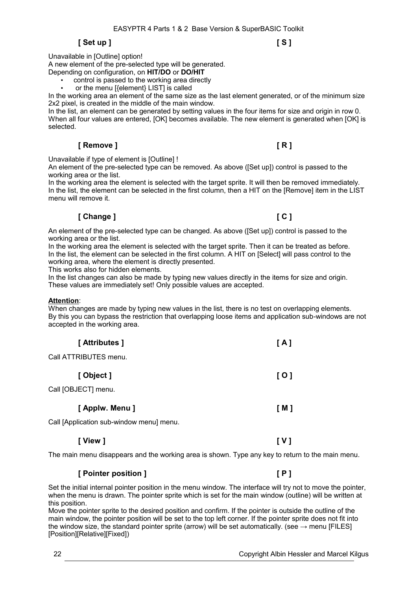# **[ Set up ] [ S ]**

Unavailable in [Outline] option! A new element of the pre-selected type will be generated. Depending on configuration, on **HIT/DO** or **DO/HIT**

• control is passed to the working area directly

or the menu [{element} LIST] is called

In the working area an element of the same size as the last element generated, or of the minimum size 2x2 pixel, is created in the middle of the main window.

In the list, an element can be generated by setting values in the four items for size and origin in row 0. When all four values are entered, [OK] becomes available. The new element is generated when [OK] is selected.

# **[ Remove ] [ R ]**

Unavailable if type of element is [Outline] !

An element of the pre-selected type can be removed. As above ([Set up]) control is passed to the working area or the list.

In the working area the element is selected with the target sprite. It will then be removed immediately. In the list, the element can be selected in the first column, then a HIT on the [Remove] item in the LIST menu will remove it.

# **[ Change ] [ C ]**

An element of the pre-selected type can be changed. As above ([Set up]) control is passed to the working area or the list.

In the working area the element is selected with the target sprite. Then it can be treated as before. In the list, the element can be selected in the first column. A HIT on [Select] will pass control to the working area, where the element is directly presented.

This works also for hidden elements.

In the list changes can also be made by typing new values directly in the items for size and origin. These values are immediately set! Only possible values are accepted.

# **Attention**:

When changes are made by typing new values in the list, there is no test on overlapping elements. By this you can bypass the restriction that overlapping loose items and application sub-windows are not accepted in the working area.

| [ Attributes ]        | [A]   |
|-----------------------|-------|
| Call ATTRIBUTES menu. |       |
| [Object]              | [0]   |
| Call [OBJECT] menu.   |       |
| [ Applw. Menu ]       | [ M ] |
| .                     |       |

Call [Application sub-window menu] menu.

The main menu disappears and the working area is shown. Type any key to return to the main menu.

**[ View ] [ V ]**

# **[ Pointer position ] [ P ]**

Set the initial internal pointer position in the menu window. The interface will try not to move the pointer, when the menu is drawn. The pointer sprite which is set for the main window (outline) will be written at this position.

Move the pointer sprite to the desired position and confirm. If the pointer is outside the outline of the main window, the pointer position will be set to the top left corner. If the pointer sprite does not fit into the window size, the standard pointer sprite (arrow) will be set automatically. (see  $\rightarrow$  menu [FILES] [Position][Relative][Fixed])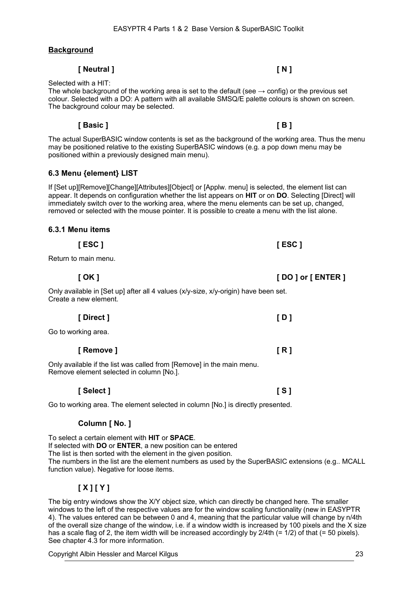**Background**

Selected with a HIT:

The whole background of the working area is set to the default (see  $\rightarrow$  config) or the previous set colour. Selected with a DO: A pattern with all available SMSQ/E palette colours is shown on screen. The background colour may be selected.

**[ Basic ] [ B ]**

The actual SuperBASIC window contents is set as the background of the working area. Thus the menu may be positioned relative to the existing SuperBASIC windows (e.g. a pop down menu may be positioned within a previously designed main menu).

# **6.3 Menu {element} LIST**

If [Set up][Remove][Change][Attributes][Object] or [Applw. menu] is selected, the element list can appear. It depends on configuration whether the list appears on **HIT** or on **DO**. Selecting [Direct] will immediately switch over to the working area, where the menu elements can be set up, changed, removed or selected with the mouse pointer. It is possible to create a menu with the list alone.

| 6.3.1 Menu items |  |
|------------------|--|
|                  |  |

| Return to main menu.                                                                                         |                     |
|--------------------------------------------------------------------------------------------------------------|---------------------|
| [ OK ]                                                                                                       | [ DO ] or [ ENTER ] |
| Only available in [Set up] after all 4 values (x/y-size, x/y-origin) have been set.<br>Create a new element. |                     |
| [Direct]                                                                                                     | [D]                 |
| Go to working area.                                                                                          |                     |

**[ Remove ] [ R ]** Only available if the list was called from [Remove] in the main menu.

Remove element selected in column [No.].

Go to working area. The element selected in column [No.] is directly presented.

# **Column [ No. ]**

To select a certain element with **HIT** or **SPACE**. If selected with **DO** or **ENTER**, a new position can be entered The list is then sorted with the element in the given position. The numbers in the list are the element numbers as used by the SuperBASIC extensions (e.g.. MCALL function value). Negative for loose items.

# **[ X ] [ Y ]**

The big entry windows show the X/Y object size, which can directly be changed here. The smaller windows to the left of the respective values are for the window scaling functionality (new in EASYPTR 4). The values entered can be between 0 and 4, meaning that the particular value will change by n/4th of the overall size change of the window, i.e. if a window width is increased by 100 pixels and the X size has a scale flag of 2, the item width will be increased accordingly by 2/4th (= 1/2) of that (= 50 pixels). See chapter [4.3](#page-8-0) for more information.

Copyright Albin Hessler and Marcel Kilgus 23

**[ Neutral ] [ N ]**

**[ ESC ] [ ESC ]**

**[ Select ] [ S ]**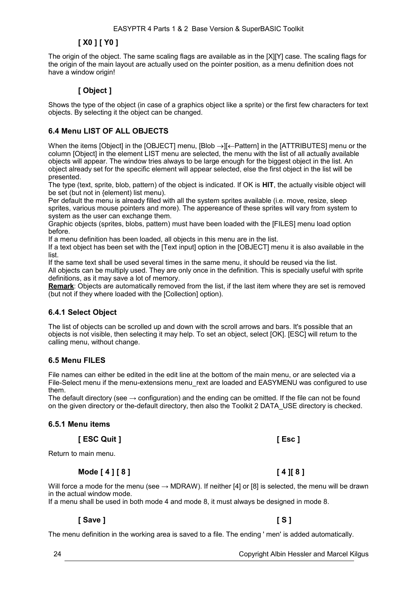# **[ X0 ] [ Y0 ]**

The origin of the object. The same scaling flags are available as in the [X][Y] case. The scaling flags for the origin of the main layout are actually used on the pointer position, as a menu definition does not have a window origin!

# **[ Object ]**

Shows the type of the object (in case of a graphics object like a sprite) or the first few characters for text objects. By selecting it the object can be changed.

# **6.4 Menu LIST OF ALL OBJECTS**

When the items [Object] in the [OBJECT] menu, [Blob  $\rightarrow$ ][ $\leftarrow$ Pattern] in the [ATTRIBUTES] menu or the column [Object] in the element LIST menu are selected, the menu with the list of all actually available objects will appear. The window tries always to be large enough for the biggest object in the list. An object already set for the specific element will appear selected, else the first object in the list will be presented.

The type (text, sprite, blob, pattern) of the object is indicated. If OK is **HIT**, the actually visible object will be set (but not in {element) list menu).

Per default the menu is already filled with all the system sprites available (i.e. move, resize, sleep sprites, various mouse pointers and more). The appereance of these sprites will vary from system to system as the user can exchange them.

Graphic objects (sprites, blobs, pattern) must have been loaded with the [FILES] menu load option before.

If a menu definition has been loaded, all objects in this menu are in the list.

If a text object has been set with the [Text input] option in the [OBJECT] menu it is also available in the list.

If the same text shall be used several times in the same menu, it should be reused via the list. All objects can be multiply used. They are only once in the definition. This is specially useful with sprite definitions, as it may save a lot of memory.

**Remark**: Objects are automatically removed from the list, if the last item where they are set is removed (but not if they where loaded with the [Collection] option).

# **6.4.1 Select Object**

The list of objects can be scrolled up and down with the scroll arrows and bars. It's possible that an objects is not visible, then selecting it may help. To set an object, select [OK]. [ESC] will return to the calling menu, without change.

# **6.5 Menu FILES**

File names can either be edited in the edit line at the bottom of the main menu, or are selected via a File-Select menu if the menu-extensions menu rext are loaded and EASYMENU was configured to use them.

The default directory (see  $\rightarrow$  configuration) and the ending can be omitted. If the file can not be found on the given directory or the-default directory, then also the Toolkit 2 DATA\_USE directory is checked.

# **6.5.1 Menu items**

**[ ESC Quit ] [ Esc ]**

Return to main menu.

# **Mode [ 4 ] [ 8 ] [ 4 ][ 8 ]**

Will force a mode for the menu (see  $\rightarrow$  MDRAW). If neither [4] or [8] is selected, the menu will be drawn in the actual window mode.

If a menu shall be used in both mode 4 and mode 8, it must always be designed in mode 8.

# **[ Save ] [ S ]**

The menu definition in the working area is saved to a file. The ending ' men' is added automatically.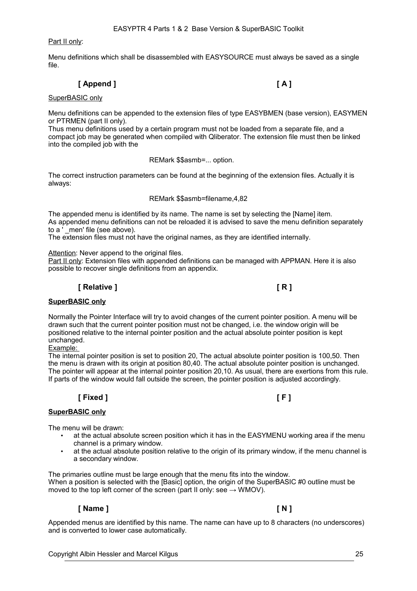Part II only:

Menu definitions which shall be disassembled with EASYSOURCE must always be saved as a single file.

# **[ Append ] [ A ]**

### SuperBASIC only

Menu definitions can be appended to the extension files of type EASYBMEN (base version), EASYMEN or PTRMEN (part II only).

Thus menu definitions used by a certain program must not be loaded from a separate file, and a compact job may be generated when compiled with Qliberator. The extension file must then be linked into the compiled job with the

REMark \$\$asmb=... option.

The correct instruction parameters can be found at the beginning of the extension files. Actually it is always:

### REMark \$\$asmb=filename,4,82

The appended menu is identified by its name. The name is set by selecting the [Name] item. As appended menu definitions can not be reloaded it is advised to save the menu definition separately to a  $\overline{ }$  men' file (see above).

The extension files must not have the original names, as they are identified internally.

Attention: Never append to the original files.

Part II only: Extension files with appended definitions can be managed with APPMAN. Here it is also possible to recover single definitions from an appendix.

# **[ Relative ] [ R ]**

# **SuperBASIC only**

Normally the Pointer Interface will try to avoid changes of the current pointer position. A menu will be drawn such that the current pointer position must not be changed, i.e. the window origin will be positioned relative to the internal pointer position and the actual absolute pointer position is kept unchanged.

Example:

The internal pointer position is set to position 20, The actual absolute pointer position is 100,50. Then the menu is drawn with its origin at position 80,40. The actual absolute pointer position is unchanged. The pointer will appear at the internal pointer position 20,10. As usual, there are exertions from this rule. If parts of the window would fall outside the screen, the pointer position is adjusted accordingly.

# **[ Fixed ] [ F ]**

# **SuperBASIC only**

The menu will be drawn:

- at the actual absolute screen position which it has in the EASYMENU working area if the menu channel is a primary window.
- at the actual absolute position relative to the origin of its primary window, if the menu channel is a secondary window.

The primaries outline must be large enough that the menu fits into the window. When a position is selected with the [Basic] option, the origin of the SuperBASIC #0 outline must be moved to the top left corner of the screen (part II only: see  $\rightarrow$  WMOV).

# **[ Name ] [ N ]**

Appended menus are identified by this name. The name can have up to 8 characters (no underscores) and is converted to lower case automatically.

Copyright Albin Hessler and Marcel Kilgus 25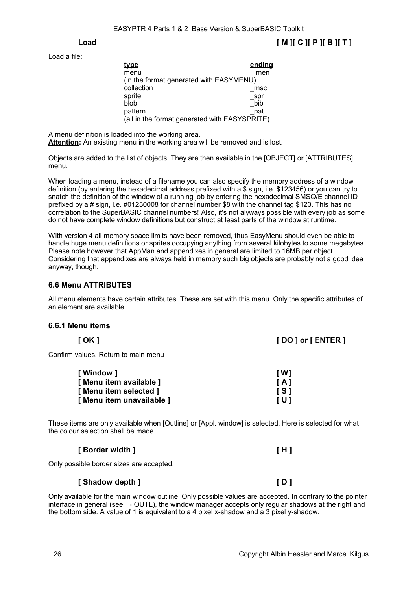Load a file:

| <u>type</u>                                   | ending |
|-----------------------------------------------|--------|
| menu                                          | men    |
| (in the format generated with EASYMENU)       |        |
| collection                                    | msc    |
| sprite                                        | spr    |
| blob                                          | bib    |
| pattern                                       | pat    |
| (all in the format generated with EASYSPRITE) |        |

A menu definition is loaded into the working area. **Attention:** An existing menu in the working area will be removed and is lost.

Objects are added to the list of objects. They are then available in the [OBJECT] or [ATTRIBUTES] menu.

When loading a menu, instead of a filename you can also specify the memory address of a window definition (by entering the hexadecimal address prefixed with a \$ sign, i.e. \$123456) or you can try to snatch the definition of the window of a running job by entering the hexadecimal SMSQ/E channel ID prefixed by a # sign, i.e. #01230008 for channel number \$8 with the channel tag \$123. This has no correlation to the SuperBASIC channel numbers! Also, it's not alyways possible with every job as some do not have complete window definitions but construct at least parts of the window at runtime.

With version 4 all memory space limits have been removed, thus EasyMenu should even be able to handle huge menu definitions or sprites occupying anything from several kilobytes to some megabytes. Please note however that AppMan and appendixes in general are limited to 16MB per object. Considering that appendixes are always held in memory such big objects are probably not a good idea anyway, though.

# **6.6 Menu ATTRIBUTES**

All menu elements have certain attributes. These are set with this menu. Only the specific attributes of an element are available.

# **6.6.1 Menu items**

| [ OK ]                        | [DO] or [ENTER] |
|-------------------------------|-----------------|
| m values. Deturn to main menu |                 |

Confirm values. Return to main menu

| [ Window ]                | [W]            |
|---------------------------|----------------|
| [ Menu item available ]   | $\overline{A}$ |
| [ Menu item selected ]    | <b>IS1</b>     |
| [ Menu item unavailable ] | TU 1           |

These items are only available when [Outline] or [Appl. window] is selected. Here is selected for what the colour selection shall be made.

| [ Border width <sup>]</sup> |  |
|-----------------------------|--|
|-----------------------------|--|

Only possible border sizes are accepted.

# **[ Shadow depth ] [ D ]**

Only available for the main window outline. Only possible values are accepted. In contrary to the pointer interface in general (see  $\rightarrow$  OUTL), the window manager accepts only regular shadows at the right and the bottom side. A value of 1 is equivalent to a 4 pixel x-shadow and a 3 pixel y-shadow.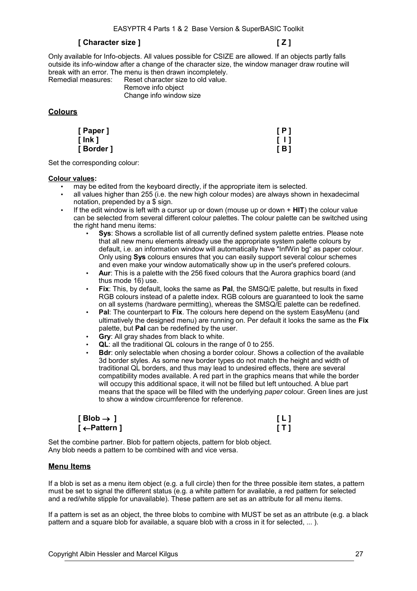# **[ Character size ] [ Z ]**

Only available for Info-objects. All values possible for CSIZE are allowed. If an objects partly falls outside its info-window after a change of the character size, the window manager draw routine will break with an error. The menu is then drawn incompletely.<br>Remedial measures: Reset character size to old value.

Reset character size to old value. Remove info object

Change info window size

# **Colours**

| [ Paper ]  | [P]   |
|------------|-------|
| [ Ink ]    | [1]   |
| [ Border ] | [ B ] |

Set the corresponding colour:

### **Colour values:**

- may be edited from the keyboard directly, if the appropriate item is selected.
- all values higher than 255 (i.e. the new high colour modes) are always shown in hexadecimal notation, prepended by a \$ sign.
- If the edit window is left with a cursor up or down (mouse up or down + **HIT**) the colour value can be selected from several different colour palettes. The colour palette can be switched using the right hand menu items:
	- **Sys**: Shows a scrollable list of all currently defined system palette entries. Please note that all new menu elements already use the appropriate system palette colours by default, i.e. an information window will automatically have "InfWin bg" as paper colour. Only using **Sys** colours ensures that you can easily support several colour schemes and even make your window automatically show up in the user's prefered colours.
	- **Aur**: This is a palette with the 256 fixed colours that the Aurora graphics board (and thus mode 16) use.
	- **Fix**: This, by default, looks the same as **Pal**, the SMSQ/E palette, but results in fixed RGB colours instead of a palette index. RGB colours are guaranteed to look the same on all systems (hardware permitting), whereas the SMSQ/E palette can be redefined.
	- **Pal**: The counterpart to **Fix**. The colours here depend on the system EasyMenu (and ultimatively the designed menu) are running on. Per default it looks the same as the **Fix** palette, but **Pal** can be redefined by the user.
	- **Gry**: All gray shades from black to white.
	- **QL**: all the traditional QL colours in the range of 0 to 255.
	- **Bdr**: only selectable when chosing a border colour. Shows a collection of the available 3d border styles. As some new border types do not match the height and width of traditional QL borders, and thus may lead to undesired effects, there are several compatibility modes available. A red part in the graphics means that while the border will occupy this additional space, it will not be filled but left untouched. A blue part means that the space will be filled with the underlying *paper* colour. Green lines are just to show a window circumference for reference.

| [ Blob $\rightarrow$ ] | [L] |
|------------------------|-----|
| [←Pattern]             | [T] |

Set the combine partner. Blob for pattern objects, pattern for blob object. Any blob needs a pattern to be combined with and vice versa.

# **Menu Items**

If a blob is set as a menu item object (e.g. a full circle) then for the three possible item states, a pattern must be set to signal the different status (e.g. a white pattern for available, a red pattern for selected and a red/white stipple for unavailable). These pattern are set as an attribute for all menu items.

If a pattern is set as an object, the three blobs to combine with MUST be set as an attribute (e.g. a black pattern and a square blob for available, a square blob with a cross in it for selected, ... ).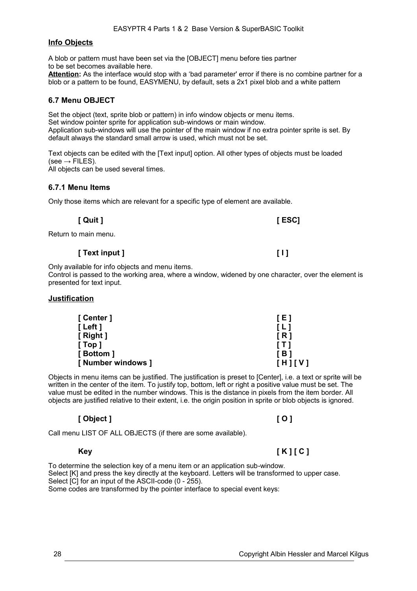# **Info Objects**

A blob or pattern must have been set via the [OBJECT] menu before ties partner to be set becomes available here. **Attention:** As the interface would stop with a 'bad parameter' error if there is no combine partner for a

blob or a pattern to be found, EASYMENU, by default, sets a 2x1 pixel blob and a white pattern

# **6.7 Menu OBJECT**

Set the object (text, sprite blob or pattern) in info window objects or menu items. Set window pointer sprite for application sub-windows or main window. Application sub-windows will use the pointer of the main window if no extra pointer sprite is set. By default always the standard small arrow is used, which must not be set.

Text objects can be edited with the [Text input] option. All other types of objects must be loaded  $(see \rightarrow$  FILES). All objects can be used several times.

# **6.7.1 Menu Items**

Only those items which are relevant for a specific type of element are available.

| [ Quit ] | $[$ ESC] |
|----------|----------|
|----------|----------|

Return to main menu.

# **[ Text input ] [ I ]**

Only available for info objects and menu items.

Control is passed to the working area, where a window, widened by one character, over the element is presented for text input.

# **Justification**

| [ Center ]         | [E]               |
|--------------------|-------------------|
| [Left]             | $\lceil L \rceil$ |
| [Right]            | IR1               |
| [Top]              | [ T ]             |
| [Bottom]           | [ B ]             |
| [ Number windows ] | [H][V]            |

Objects in menu items can be justified. The justification is preset to [Center], i.e. a text or sprite will be written in the center of the item. To justify top, bottom, left or right a positive value must be set. The value must be edited in the number windows. This is the distance in pixels from the item border. All objects are justified relative to their extent, i.e. the origin position in sprite or blob objects is ignored.

# **[ Object ] [ O ]**

Call menu LIST OF ALL OBJECTS (if there are some available).

# **Key [ K ] [ C ]**

To determine the selection key of a menu item or an application sub-window. Select [K] and press the key directly at the keyboard. Letters will be transformed to upper case. Select [C] for an input of the ASCII-code (0 - 255). Some codes are transformed by the pointer interface to special event keys: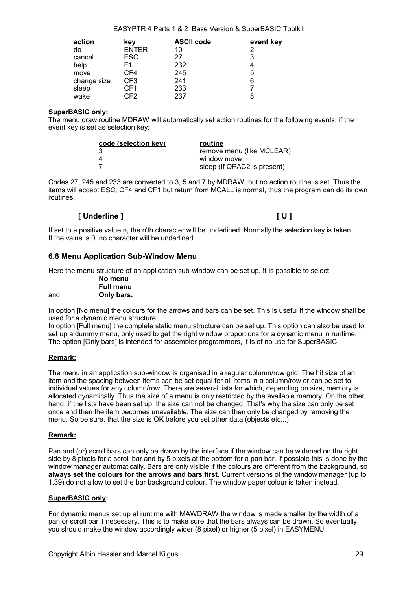### EASYPTR 4 Parts 1 & 2 Base Version & SuperBASIC Toolkit

| action      | kev             | <b>ASCII code</b> | event key |
|-------------|-----------------|-------------------|-----------|
| do          | <b>ENTER</b>    | 10                | 2         |
| cancel      | <b>ESC</b>      | 27                | 3         |
| help        | F1              | 232               |           |
| move        | CF4             | 245               | 5         |
| change size | CF <sub>3</sub> | 241               | 6         |
| sleep       | CF1             | 233               |           |
| wake        | CF2.            | 237               |           |

### **SuperBASIC only:**

The menu draw routine MDRAW will automatically set action routines for the following events, if the event key is set as selection key:

| code (selection key) | routine                     |
|----------------------|-----------------------------|
|                      | remove menu (like MCLEAR)   |
|                      | window move                 |
|                      | sleep (If QPAC2 is present) |

Codes 27, 245 and 233 are converted to 3, 5 and 7 by MDRAW, but no action routine is set. Thus the items will accept ESC, CF4 and CF1 but return from MCALL is normal, thus the program can do its own routines.

# **[ Underline ] [ U ]**

If set to a positive value n, the n'th character will be underlined. Normally the selection key is taken. If the value is 0, no character will be underlined.

# **6.8 Menu Application Sub-Window Menu**

Here the menu structure of an application sub-window can be set up. !t is possible to select

|     | No menu          |
|-----|------------------|
|     | <b>Full menu</b> |
| and | Only bars.       |

In option [No menu] the colours for the arrows and bars can be set. This is useful if the window shall be used for a dynamic menu structure.

In option [Full menu] the complete static menu structure can be set up. This option can also be used to set up a dummy menu, only used to get the right window proportions for a dynamic menu in runtime. The option [Only bars] is intended for assembler programmers, it is of no use for SuperBASIC.

# **Remark:**

The menu in an application sub-window is organised in a regular column/row grid. The hit size of an item and the spacing between items can be set equal for all items in a column/row or can be set to individual values for any column/row. There are several lists for which, depending on size, memory is allocated dynamically. Thus the size of a menu is only restricted by the available memory. On the other hand, if the lists have been set up, the size can not be changed. That's why the size can only be set once and then the item becomes unavailable. The size can then only be changed by removing the menu. So be sure, that the size is OK before you set other data (objects etc...)

# **Remark:**

Pan and (or) scroll bars can only be drawn by the interface if the window can be widened on the right side by 8 pixels for a scroll bar and by 5 pixels at the bottom for a pan bar. If possible this is done by the window manager automatically. Bars are only visible if the colours are different from the background, so **always set the colours for the arrows and bars first**. Current versions of the window manager (up to 1.39) do not allow to set the bar background colour. The window paper colour is taken instead.

# **SuperBASIC only:**

For dynamic menus set up at runtime with MAWDRAW the window is made smaller by the width of a pan or scroll bar if necessary. This is to make sure that the bars always can be drawn. So eventually you should make the window accordingly wider (8 pixel) or higher (5 pixel) in EASYMENU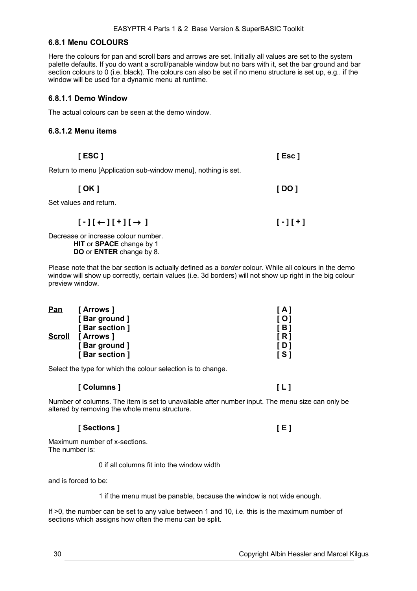# **6.8.1 Menu COLOURS**

Here the colours for pan and scroll bars and arrows are set. Initially all values are set to the system palette defaults. If you do want a scroll/panable window but no bars with it, set the bar ground and bar section colours to  $0$  (i.e. black). The colours can also be set if no menu structure is set up, e.g.. if the window will be used for a dynamic menu at runtime.

### **6.8.1.1 Demo Window**

The actual colours can be seen at the demo window.

### **6.8.1.2 Menu items**

Return to menu [Application sub-window menu], nothing is set.

| [ OK ] | [ DO ] |
|--------|--------|
|--------|--------|

**[ ESC ] [ Esc ]**

Set values and return.

 $[\cdot] [\leftarrow] [\cdot] [\rightarrow]$ 

Decrease or increase colour number. **HIT** or **SPACE** change by 1 **DO** or **ENTER** change by 8.

Please note that the bar section is actually defined as a *border* colour. While all colours in the demo window will show up correctly, certain values (i.e. 3d borders) will not show up right in the big colour preview window.

| <u>Pan</u>    | [ Arrows ]     | [ A ]      |
|---------------|----------------|------------|
|               | [Bar ground]   | [ 0 ]      |
|               | [Bar section ] | [ B ]      |
| <b>Scroll</b> | [ Arrows ]     | [R]        |
|               | [Bar ground]   | [ D ]      |
|               | [Bar section ] | <b>IS1</b> |

Select the type for which the colour selection is to change.

### **[ Columns ] [ L ]**

Number of columns. The item is set to unavailable after number input. The menu size can only be altered by removing the whole menu structure.

# **[ Sections ] [ E ]**

Maximum number of x-sections. The number is:

0 if all columns fit into the window width

and is forced to be:

1 if the menu must be panable, because the window is not wide enough.

If >0, the number can be set to any value between 1 and 10, i.e. this is the maximum number of sections which assigns how often the menu can be split.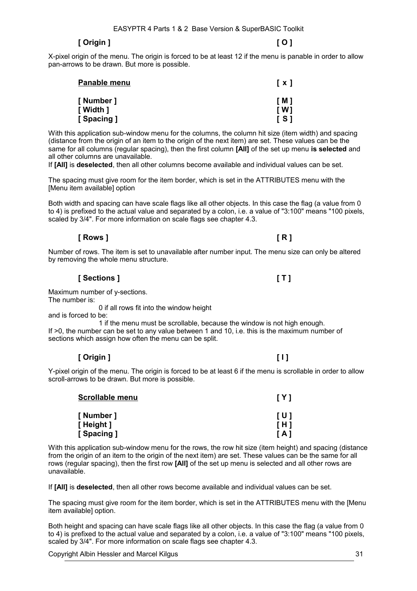# **[ Origin ] [ O ]**

X-pixel origin of the menu. The origin is forced to be at least 12 if the menu is panable in order to allow pan-arrows to be drawn. But more is possible.

| Panable menu            | [x]        |
|-------------------------|------------|
| [ Number ]<br>[ Width ] | [M]<br>[W] |
| [ Spacing ]             | <b>IS1</b> |

With this application sub-window menu for the columns, the column hit size (item width) and spacing (distance from the origin of an item to the origin of the next item) are set. These values can be the same for all columns (regular spacing), then the first column **[All]** of the set up menu **is selected** and all other columns are unavailable.

If **[All]** is **deselected**, then all other columns become available and individual values can be set.

The spacing must give room for the item border, which is set in the ATTRIBUTES menu with the [Menu item available] option

Both width and spacing can have scale flags like all other objects. In this case the flag (a value from 0 to 4) is prefixed to the actual value and separated by a colon, i.e. a value of "3:100" means "100 pixels, scaled by 3/4". For more information on scale flags see chapter [4.3.](#page-8-0)

# **[ Rows ] [ R ]**

Number of rows. The item is set to unavailable after number input. The menu size can only be altered by removing the whole menu structure.

**[ Sections ] [ T ]**

Maximum number of y-sections.

The number is:

0 if all rows fit into the window height

and is forced to be:

1 if the menu must be scrollable, because the window is not high enough. If >0, the number can be set to any value between 1 and 10, i.e. this is the maximum number of sections which assign how often the menu can be split.

# **[ Origin ] [ I ]**

Y-pixel origin of the menu. The origin is forced to be at least 6 if the menu is scrollable in order to allow scroll-arrows to be drawn. But more is possible.

| <b>Scrollable menu</b> | [Y]        |
|------------------------|------------|
| [Number]<br>[Height]   | [U]<br>[H] |
| [Spacing]              | [A]        |

With this application sub-window menu for the rows, the row hit size (item height) and spacing (distance from the origin of an item to the origin of the next item) are set. These values can be the same for all rows (regular spacing), then the first row **[All]** of the set up menu is selected and all other rows are unavailable.

If **[All]** is **deselected**, then all other rows become available and individual values can be set.

The spacing must give room for the item border, which is set in the ATTRIBUTES menu with the [Menu item available] option.

Both height and spacing can have scale flags like all other objects. In this case the flag (a value from 0 to 4) is prefixed to the actual value and separated by a colon, i.e. a value of "3:100" means "100 pixels, scaled by 3/4". For more information on scale flags see chapter [4.3.](#page-8-0)

Copyright Albin Hessler and Marcel Kilgus 31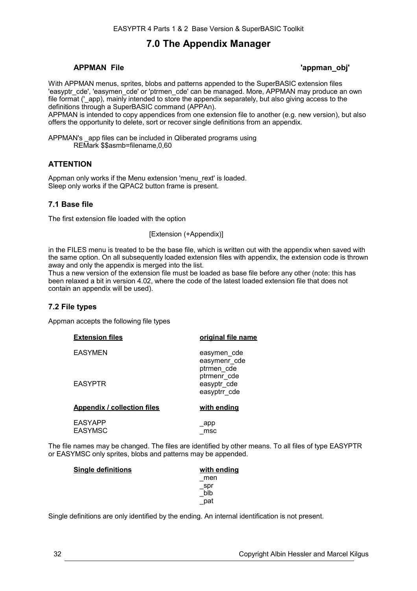# **7.0 The Appendix Manager**

# **APPMAN File 'appman\_obj'**

With APPMAN menus, sprites, blobs and patterns appended to the SuperBASIC extension files 'easyptr\_cde', 'easymen\_cde' or 'ptrmen\_cde' can be managed. More, APPMAN may produce an own file format ('\_app), mainly intended to store the appendix separately, but also giving access to the definitions through a SuperBASIC command (APPAn).

APPMAN is intended to copy appendices from one extension file to another (e.g. new version), but also offers the opportunity to delete, sort or recover single definitions from an appendix.

APPMAN's app files can be included in Qliberated programs using REMark \$\$asmb=filename,0,60

# **ATTENTION**

Appman only works if the Menu extension 'menu rext' is loaded. Sleep only works if the QPAC2 button frame is present.

# **7.1 Base file**

The first extension file loaded with the option

[Extension (+Appendix)]

in the FILES menu is treated to be the base file, which is written out with the appendix when saved with the same option. On all subsequently loaded extension files with appendix, the extension code is thrown away and only the appendix is merged into the list.

Thus a new version of the extension file must be loaded as base file before any other (note: this has been relaxed a bit in version 4.02, where the code of the latest loaded extension file that does not contain an appendix will be used).

# **7.2 File types**

Appman accepts the following file types

| <b>Extension files</b>             | original file name                         |
|------------------------------------|--------------------------------------------|
| <b>EASYMEN</b>                     | easymen_cde<br>easymenr cde<br>ptrmen cde  |
| <b>EASYPTR</b>                     | ptrmenr cde<br>easyptr_cde<br>easyptrr cde |
| <b>Appendix / collection files</b> | <u>with ending</u>                         |
| <b>EASYAPP</b><br><b>EASYMSC</b>   | _app<br>msc                                |

The file names may be changed. The files are identified by other means. To all files of type EASYPTR or EASYMSC only sprites, blobs and patterns may be appended.

| <b>Single definitions</b> | with ending |
|---------------------------|-------------|
|                           | men         |
|                           | _spr        |
|                           | blb         |
|                           | pat         |

Single definitions are only identified by the ending. An internal identification is not present.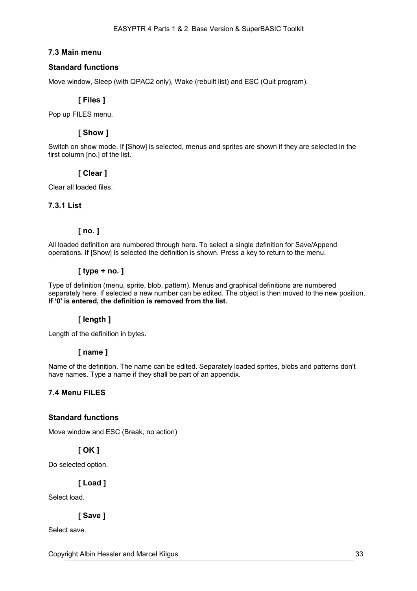# **7.3 Main menu**

# **Standard functions**

Move window, Sleep (with QPAC2 only), Wake (rebuilt list) and ESC (Quit program).

# **[ Files ]**

Pop up FILES menu.

# **[ Show ]**

Switch on show mode. If [Show] is selected, menus and sprites are shown if they are selected in the first column [no.] of the list.

# **[ Clear ]**

Clear all loaded files.

# **7.3.1 List**

# **[ no. ]**

All loaded definition are numbered through here. To select a single definition for Save/Append operations. If [Show] is selected the definition is shown. Press a key to return to the menu.

# **[ type + no. ]**

Type of definition (menu, sprite, blob, pattern). Menus and graphical definitions are numbered separately here. If selected a new number can be edited. The object is then moved to the new position. **If '0' is entered, the definition is removed from the list.**

# **[ length ]**

Length of the definition in bytes.

# **[ name ]**

Name of the definition. The name can be edited. Separately loaded sprites, blobs and patterns don't have names. Type a name if they shall be part of an appendix.

# **7.4 Menu FILES**

# **Standard functions**

Move window and ESC (Break, no action)

# **[ OK ]**

Do selected option.

**[ Load ]**

Select load.

# **[ Save ]**

Select save.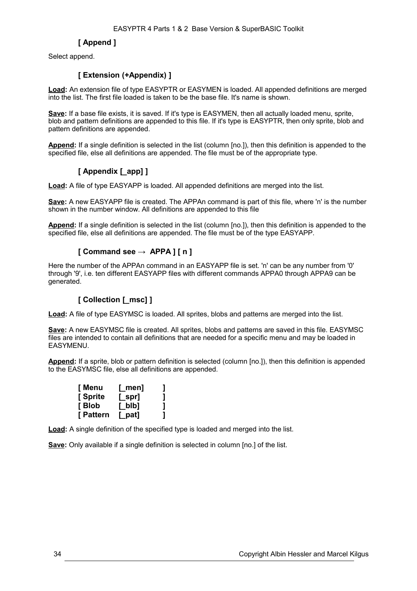# **[ Append ]**

Select append.

# **[ Extension (+Appendix) ]**

**Load:** An extension file of type EASYPTR or EASYMEN is loaded. All appended definitions are merged into the list. The first file loaded is taken to be the base file. It's name is shown.

Save: If a base file exists, it is saved. If it's type is EASYMEN, then all actually loaded menu, sprite, blob and pattern definitions are appended to this file. If it's type is EASYPTR, then only sprite, blob and pattern definitions are appended.

**Append:** If a single definition is selected in the list (column [no.]), then this definition is appended to the specified file, else all definitions are appended. The file must be of the appropriate type.

# **[ Appendix [\_app] ]**

**Load:** A file of type EASYAPP is loaded. All appended definitions are merged into the list.

**Save:** A new EASYAPP file is created. The APPAn command is part of this file, where 'n' is the number shown in the number window. All definitions are appended to this file

**Append:** If a single definition is selected in the list (column [no.]), then this definition is appended to the specified file, else all definitions are appended. The file must be of the type EASYAPP.

# **[ Command see → APPA ] [ n ]**

Here the number of the APPAn command in an EASYAPP file is set. 'n' can be any number from '0' through '9', i.e. ten different EASYAPP files with different commands APPA0 through APPA9 can be generated.

# **[ Collection [\_msc] ]**

**Load:** A file of type EASYMSC is loaded. All sprites, blobs and patterns are merged into the list.

**Save:** A new EASYMSC file is created. All sprites, blobs and patterns are saved in this file. EASYMSC files are intended to contain all definitions that are needed for a specific menu and may be loaded in **FASYMENU** 

**Append:** If a sprite, blob or pattern definition is selected (column [no.]), then this definition is appended to the EASYMSC file, else all definitions are appended.

| [ Menu    | $[$ men] |   |
|-----------|----------|---|
| [ Sprite  | [_spr]   |   |
| [ Blob    | $L$ blb] | ] |
| [ Pattern | $[$ pat] |   |

**Load:** A single definition of the specified type is loaded and merged into the list.

**Save:** Only available if a single definition is selected in column [no.] of the list.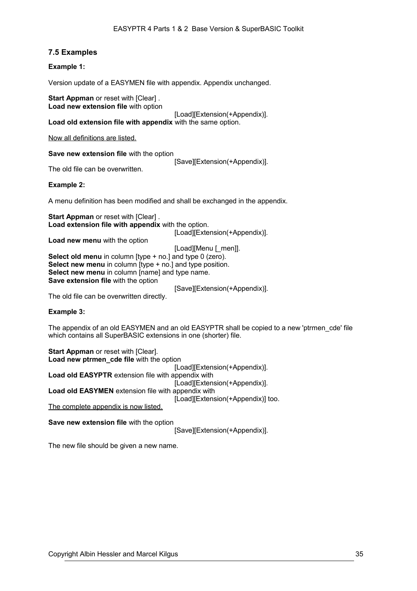# **7.5 Examples**

### **Example 1:**

Version update of a EASYMEN file with appendix. Appendix unchanged.

**Start Appman** or reset with [Clear]. **Load new extension file** with option

[Load][Extension(+Appendix)]. **Load old extension file with appendix** with the same option.

Now all definitions are listed.

**Save new extension file** with the option

[Save][Extension(+Appendix)].

The old file can be overwritten.

**Example 2:**

A menu definition has been modified and shall be exchanged in the appendix.

**Start Appman** or reset with [Clear]. **Load extension file with appendix** with the option.

[Load][Extension(+Appendix)].

**Load new menu** with the option

[Load][Menu [\_men]].

**Select old menu** in column [type + no.] and type 0 (zero). **Select new menu** in column [type + no.] and type position. **Select new menu** in column [name] and type name. **Save extension file** with the option

[Save][Extension(+Appendix)].

The old file can be overwritten directly.

### **Example 3:**

The appendix of an old EASYMEN and an old EASYPTR shall be copied to a new 'ptrmen\_cde' file which contains all SuperBASIC extensions in one (shorter) file.

**Start Appman or reset with [Clear].** Load new ptrmen cde file with the option [Load][Extension(+Appendix)]. **Load old EASYPTR** extension file with appendix with [Load][Extension(+Appendix)]. **Load old EASYMEN** extension file with appendix with [Load][Extension(+Appendix)] too. The complete appendix is now listed.

**Save new extension file** with the option

[Save][Extension(+Appendix)].

The new file should be given a new name.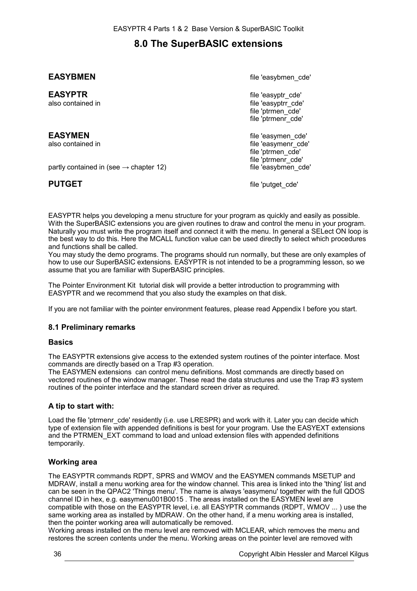# **8.0 The SuperBASIC extensions**

partly contained in (see  $\rightarrow$  chapter [12\)](#page-82-0)

**EASYBMEN**<br> **EASYBMEN** 

**EASYPTR file** 'easyptr\_cde' **file** 'easyptr\_cde' **file** 'easyptr\_cde' **file** 'easyptr\_cde' file 'easyptrr\_cde' file 'ptrmen\_cde' file 'ptrmenr\_cde'

**EASYMEN EASYMEN EASYMEN** also contained in file 'easymenr\_cde' file 'ptrmen\_cde' file 'ptrmenr\_cde'<br>file 'easybmen\_cde'

**PUTGET file 'putget** cde'

EASYPTR helps you developing a menu structure for your program as quickly and easily as possible. With the SuperBASIC extensions you are given routines to draw and control the menu in your program. Naturally you must write the program itself and connect it with the menu. In general a SELect ON loop is the best way to do this. Here the MCALL function value can be used directly to select which procedures and functions shall be called.

You may study the demo programs. The programs should run normally, but these are only examples of how to use our SuperBASIC extensions. EASYPTR is not intended to be a programming lesson, so we assume that you are familiar with SuperBASIC principles.

The Pointer Environment Kit tutorial disk will provide a better introduction to programming with EASYPTR and we recommend that you also study the examples on that disk.

If you are not familiar with the pointer environment features, please read Appendix I before you start.

# **8.1 Preliminary remarks**

# **Basics**

The EASYPTR extensions give access to the extended system routines of the pointer interface. Most commands are directly based on a Trap #3 operation.

The EASYMEN extensions can control menu definitions. Most commands are directly based on vectored routines of the window manager. These read the data structures and use the Trap #3 system routines of the pointer interface and the standard screen driver as required.

# **A tip to start with:**

Load the file 'ptrmenr\_cde' residently (i.e. use LRESPR) and work with it. Later you can decide which type of extension file with appended definitions is best for your program. Use the EASYEXT extensions and the PTRMEN\_EXT command to load and unload extension files with appended definitions temporarily.

# **Working area**

The EASYPTR commands RDPT, SPRS and WMOV and the EASYMEN commands MSETUP and MDRAW, install a menu working area for the window channel. This area is linked into the 'thing' list and can be seen in the QPAC2 'Things menu'. The name is always 'easymenu' together with the full QDOS channel ID in hex, e.g. easymenu001B0015 . The areas installed on the EASYMEN level are compatible with those on the EASYPTR level, i.e. all EASYPTR commands (RDPT, WMOV ... ) use the same working area as installed by MDRAW. On the other hand, if a menu working area is installed, then the pointer working area will automatically be removed.

Working areas installed on the menu level are removed with MCLEAR, which removes the menu and restores the screen contents under the menu. Working areas on the pointer level are removed with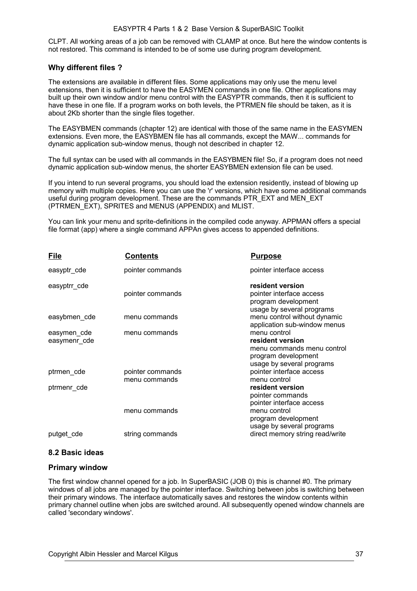CLPT. All working areas of a job can be removed with CLAMP at once. But here the window contents is not restored. This command is intended to be of some use during program development.

### **Why different files ?**

The extensions are available in different files. Some applications may only use the menu level extensions, then it is sufficient to have the EASYMEN commands in one file. Other applications may built up their own window and/or menu control with the EASYPTR commands, then it is sufficient to have these in one file. If a program works on both levels, the PTRMEN file should be taken, as it is about 2Kb shorter than the single files together.

The EASYBMEN commands (chapter [12\)](#page-82-0) are identical with those of the same name in the EASYMEN extensions. Even more, the EASYBMEN file has all commands, except the MAW... commands for dynamic application sub-window menus, though not described in chapter [12.](#page-82-0)

The full syntax can be used with all commands in the EASYBMEN file! So, if a program does not need dynamic application sub-window menus, the shorter EASYBMEN extension file can be used.

If you intend to run several programs, you should load the extension residently, instead of blowing up memory with multiple copies. Here you can use the 'r' versions, which have some additional commands useful during program development. These are the commands PTR\_EXT and MEN\_EXT (PTRMEN\_EXT), SPRITES and MENUS (APPENDIX) and MLIST.

You can link your menu and sprite-definitions in the compiled code anyway. APPMAN offers a special file format (app) where a single command APPAn gives access to appended definitions.

| <b>File</b>                 | <b>Contents</b>                   | <u>Purpose</u>                                                                                                     |
|-----------------------------|-----------------------------------|--------------------------------------------------------------------------------------------------------------------|
| easyptr_cde                 | pointer commands                  | pointer interface access                                                                                           |
| easyptrr_cde                | pointer commands                  | resident version<br>pointer interface access<br>program development<br>usage by several programs                   |
| easybmen cde                | menu commands                     | menu control without dynamic<br>application sub-window menus                                                       |
| easymen_cde<br>easymenr cde | menu commands                     | menu control<br>resident version<br>menu commands menu control<br>program development<br>usage by several programs |
| ptrmen cde                  | pointer commands<br>menu commands | pointer interface access<br>menu control                                                                           |
| ptrmenr_cde                 |                                   | resident version<br>pointer commands<br>pointer interface access                                                   |
|                             | menu commands                     | menu control<br>program development<br>usage by several programs                                                   |
| putget_cde                  | string commands                   | direct memory string read/write                                                                                    |

### **8.2 Basic ideas**

### **Primary window**

The first window channel opened for a job. In SuperBASIC (JOB 0) this is channel #0. The primary windows of all jobs are managed by the pointer interface. Switching between jobs is switching between their primary windows. The interface automatically saves and restores the window contents within primary channel outline when jobs are switched around. All subsequently opened window channels are called 'secondary windows'.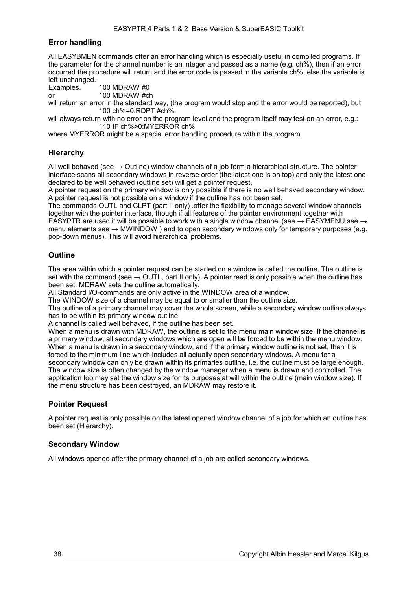## **Error handling**

All EASYBMEN commands offer an error handling which is especially useful in compiled programs. If the parameter for the channel number is an integer and passed as a name (e.g. ch%), then if an error occurred the procedure will return and the error code is passed in the variable ch%, else the variable is left unchanged.

Examples. 100 MDRAW #0

or 100 MDRAW #ch

will return an error in the standard way, (the program would stop and the error would be reported), but 100 ch%=0:RDPT #ch%

will always return with no error on the program level and the program itself may test on an error, e.g.: 110 IF ch%>0:MYERROR ch%

where MYERROR might be a special error handling procedure within the program.

## **Hierarchy**

All well behaved (see  $\rightarrow$  Outline) window channels of a job form a hierarchical structure. The pointer interface scans all secondary windows in reverse order (the latest one is on top) and only the latest one declared to be well behaved (outline set) will get a pointer request.

A pointer request on the primary window is only possible if there is no well behaved secondary window. A pointer request is not possible on a window if the outline has not been set.

The commands OUTL and CLPT (part II only) .offer the flexibility to manage several window channels together with the pointer interface, though if all features of the pointer environment together with EASYPTR are used it will be possible to work with a single window channel (see  $\rightarrow$  EASYMENU see  $\rightarrow$ menu elements see  $\rightarrow$  MWINDOW ) and to open secondary windows only for temporary purposes (e.g.

pop-down menus). This will avoid hierarchical problems.

### **Outline**

The area within which a pointer request can be started on a window is called the outline. The outline is set with the command (see  $\rightarrow$  OUTL, part II only). A pointer read is only possible when the outline has been set. MDRAW sets the outline automatically.

All Standard I/O-commands are only active in the WINDOW area of a window.

The WINDOW size of a channel may be equal to or smaller than the outline size.

The outline of a primary channel may cover the whole screen, while a secondary window outline always has to be within its primary window outline.

A channel is called well behaved, if the outline has been set.

When a menu is drawn with MDRAW, the outline is set to the menu main window size. If the channel is a primary window, all secondary windows which are open will be forced to be within the menu window. When a menu is drawn in a secondary window, and if the primary window outline is not set, then it is forced to the minimum line which includes all actually open secondary windows. A menu for a secondary window can only be drawn within its primaries outline, i.e. the outline must be large enough. The window size is often changed by the window manager when a menu is drawn and controlled. The application too may set the window size for its purposes at will within the outline (main window size). If the menu structure has been destroyed, an MDRAW may restore it.

## **Pointer Request**

A pointer request is only possible on the latest opened window channel of a job for which an outline has been set (Hierarchy).

### **Secondary Window**

All windows opened after the primary channel of a job are called secondary windows.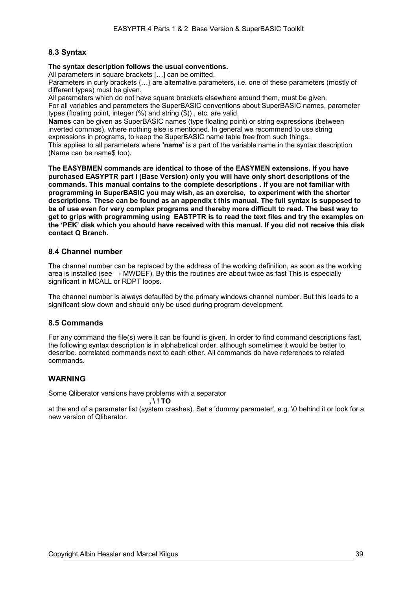### **8.3 Syntax**

#### **The syntax description follows the usual conventions.**

All parameters in square brackets [...] can be omitted.

Parameters in curly brackets {…} are alternative parameters, i.e. one of these parameters (mostly of different types) must be given.

All parameters which do not have square brackets elsewhere around them, must be given. For all variables and parameters the SuperBASIC conventions about SuperBASIC names, parameter types (floating point, integer (%) and string (\$)) , etc. are valid.

**Names** can be given as SuperBASIC names (type floating point) or string expressions (between inverted commas), where nothing else is mentioned. In general we recommend to use string expressions in programs, to keep the SuperBASIC name table free from such things.

This applies to all parameters where **'name'** is a part of the variable name in the syntax description (Name can be name\$ too).

**The EASYBMEN commands are identical to those of the EASYMEN extensions. If you have purchased EASYPTR part I (Base Version) only you will have only short descriptions of the commands. This manual contains to the complete descriptions . If you are not familiar with programming in SuperBASIC you may wish, as an exercise, to experiment with the shorter descriptions. These can be found as an appendix t this manual. The full syntax is supposed to be of use even for very complex programs and thereby more difficult to read. The best way to get to grips with programming using EASTPTR is to read the text files and try the examples on the 'PEK' disk which you should have received with this manual. If you did not receive this disk contact Q Branch.** 

### <span id="page-38-0"></span>**8.4 Channel number**

The channel number can be replaced by the address of the working definition, as soon as the working area is installed (see  $\rightarrow$  MWDEF). By this the routines are about twice as fast This is especially significant in MCALL or RDPT loops.

The channel number is always defaulted by the primary windows channel number. But this leads to a significant slow down and should only be used during program development.

### **8.5 Commands**

For any command the file(s) were it can be found is given. In order to find command descriptions fast, the following syntax description is in alphabetical order, although sometimes it would be better to describe. correlated commands next to each other. All commands do have references to related commands.

## **WARNING**

Some Qliberator versions have problems with a separator

**, \ ! TO** 

at the end of a parameter list (system crashes). Set a 'dummy parameter', e.g. \0 behind it or look for a new version of Qliberator.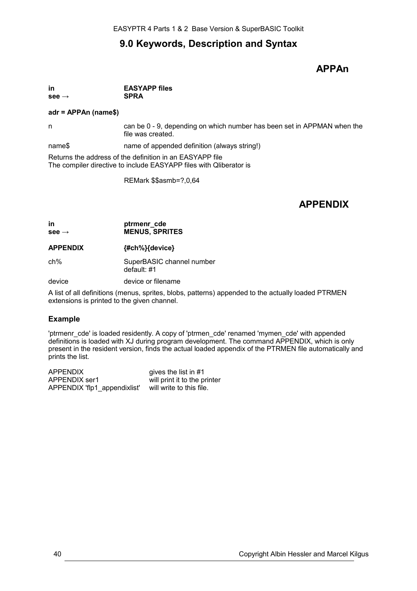# **9.0 Keywords, Description and Syntax**

# **APPAn**

**in EASYAPP files see → SPRA** 

#### **adr = APPAn (name\$)**

n can be 0 - 9, depending on which number has been set in APPMAN when the file was created.

name\$ name of appended definition (always string!)

Returns the address of the definition in an EASYAPP file The compiler directive to include EASYAPP files with Qliberator is

REMark \$\$asmb=?,0,64

# **APPENDIX**

### **in ptrmenr\_cde see → MENUS, SPRITES**

**APPENDIX {#ch%}{device}**

ch% SuperBASIC channel number default: #1

device device or filename

A list of all definitions (menus, sprites, blobs, patterns) appended to the actually loaded PTRMEN extensions is printed to the given channel.

## **Example**

'ptrmenr\_cde' is loaded residently. A copy of 'ptrmen\_cde' renamed 'mymen\_cde' with appended definitions is loaded with XJ during program development. The command APPENDIX, which is only present in the resident version, finds the actual loaded appendix of the PTRMEN file automatically and prints the list.

APPENDIX gives the list in #1 APPENDIX ser1 will print it to the printer<br>APPENDIX 'flp1 appendixlist' will write to this file. APPENDIX 'flp1\_appendixlist'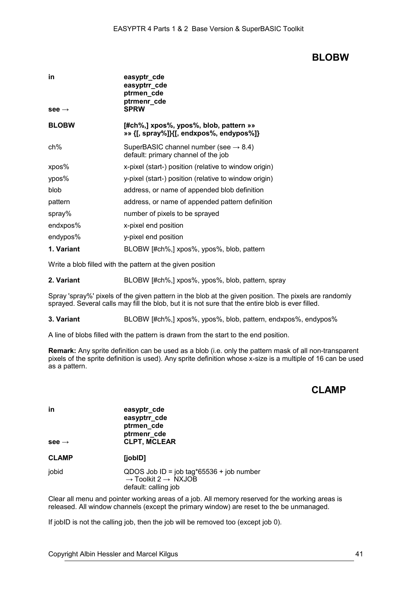## **BLOBW**

| in<br>see $\rightarrow$ | easyptr_cde<br>easyptrr_cde<br>ptrmen_cde<br>ptrmenr_cde<br><b>SPRW</b>                  |
|-------------------------|------------------------------------------------------------------------------------------|
| <b>BLOBW</b>            | $[#ch\%,]$ xpos%, ypos%, blob, pattern »»<br>»» {[, spray%]}{[, endxpos%, endypos%]}     |
| ch%                     | SuperBASIC channel number (see $\rightarrow$ 8.4)<br>default: primary channel of the job |
| xpos%                   | x-pixel (start-) position (relative to window origin)                                    |
| ypos%                   | y-pixel (start-) position (relative to window origin)                                    |
| blob                    | address, or name of appended blob definition                                             |
| pattern                 | address, or name of appended pattern definition                                          |
| spray%                  | number of pixels to be sprayed                                                           |
| endxpos%                | x-pixel end position                                                                     |
| endypos%                | y-pixel end position                                                                     |
| 1. Variant              | BLOBW [#ch%,] xpos%, ypos%, blob, pattern                                                |

Write a blob filled with the pattern at the given position

**2. Variant** BLOBW [#ch%,] xpos%, ypos%, blob, pattern, spray

Spray 'spray%' pixels of the given pattern in the blob at the given position. The pixels are randomly sprayed. Several calls may fill the blob, but it is not sure that the entire blob is ever filled.

**3. Variant** BLOBW [#ch%,] xpos%, ypos%, blob, pattern, endxpos%, endypos%

A line of blobs filled with the pattern is drawn from the start to the end position.

**Remark:** Any sprite definition can be used as a blob (i.e. only the pattern mask of all non-transparent pixels of the sprite definition is used). Any sprite definition whose x-size is a multiple of 16 can be used as a pattern.

## **CLAMP**

**in easyptr** cde **easyptrr\_cde ptrmen\_cde ptrmenr\_cde see → CLPT, MCLEAR**

**CLAMP [jobID]** 

jobid QDOS Job ID = job tag\*65536 + job number  $\rightarrow$  Toolkit 2  $\rightarrow$  NXJOB default: calling job

Clear all menu and pointer working areas of a job. All memory reserved for the working areas is released. All window channels (except the primary window) are reset to the be unmanaged.

If jobID is not the calling job, then the job will be removed too (except job 0).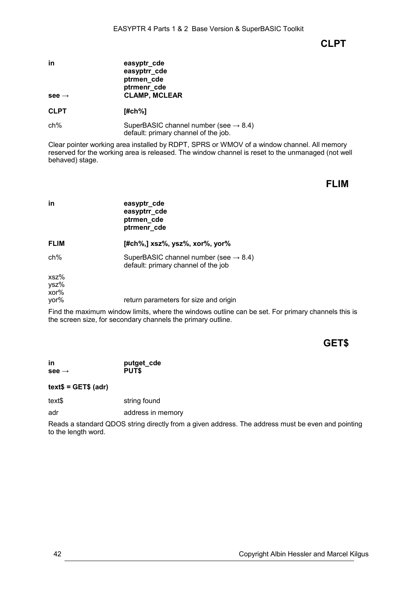**CLPT** 

| in                | easyptr_cde          |
|-------------------|----------------------|
|                   | easyptrr_cde         |
|                   | ptrmen_cde           |
|                   | ptrmenr_cde          |
| $see \rightarrow$ | <b>CLAMP, MCLEAR</b> |
|                   |                      |

**CLPT [#ch%]**

ch% SuperBASIC channel number (see  $\rightarrow$  [8.4\)](#page-38-0) default: primary channel of the job.

Clear pointer working area installed by RDPT, SPRS or WMOV of a window channel. All memory reserved for the working area is released. The window channel is reset to the unmanaged (not well behaved) stage.

**FLIM**

| in                              | easyptr_cde<br>easyptrr_cde<br>ptrmen_cde<br>ptrmenr_cde                                 |
|---------------------------------|------------------------------------------------------------------------------------------|
| <b>FLIM</b>                     | $[#ch\%,]$ xsz%, ysz%, xor%, yor%                                                        |
| $ch\%$                          | SuperBASIC channel number (see $\rightarrow$ 8.4)<br>default: primary channel of the job |
| $xsz$ %<br>ysz%<br>xor%<br>yor% | return parameters for size and origin                                                    |
|                                 | Find the movimum window limite where the windows outline can be est. Fer a               |

Find the maximum window limits, where the windows outline can be set. For primary channels this is the screen size, for secondary channels the primary outline.

# **GET\$**

**in putget\_cde see → PUT\$**

**text\$ = GET\$ (adr)**

text\$ string found

adr address in memory

Reads a standard QDOS string directly from a given address. The address must be even and pointing to the length word.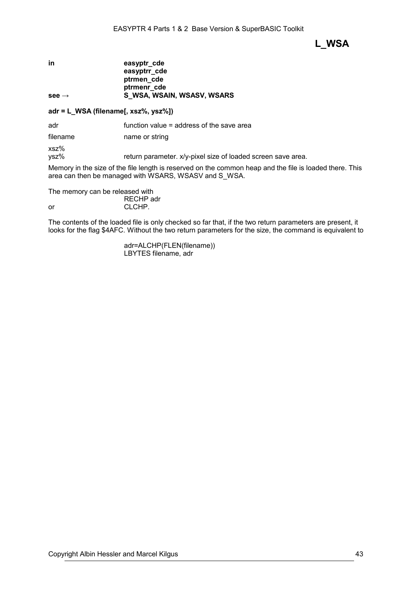**L\_WSA**

| easyptr cde                |
|----------------------------|
| easyptrr_cde               |
| ptrmen cde                 |
| ptrmenr cde                |
| S WSA, WSAIN, WSASV, WSARS |
|                            |

## **adr = L\_WSA (filename[, xsz%, ysz%])**

adr function value = address of the save area

filename name or string

xsz%

ysz% return parameter. x/y-pixel size of loaded screen save area.

Memory in the size of the file length is reserved on the common heap and the file is loaded there. This area can then be managed with WSARS, WSASV and S\_WSA.

The memory can be released with

RECHP adr or CLCHP.

The contents of the loaded file is only checked so far that, if the two return parameters are present, it looks for the flag \$4AFC. Without the two return parameters for the size, the command is equivalent to

> adr=ALCHP(FLEN(filename)) LBYTES filename, adr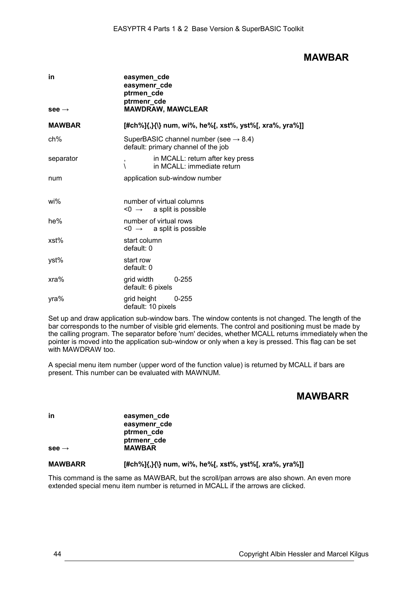## **MAWBAR**

| in                | easymen_cde<br>easymenr_cde<br>ptrmen_cde<br>ptrmenr_cde                                 |  |  |
|-------------------|------------------------------------------------------------------------------------------|--|--|
| $see \rightarrow$ | <b>MAWDRAW, MAWCLEAR</b>                                                                 |  |  |
| <b>MAWBAR</b>     | [#ch%]{,}{\} num, wi%, he%[, xst%, yst%[, xra%, yra%]]                                   |  |  |
| ch%               | SuperBASIC channel number (see $\rightarrow$ 8.4)<br>default: primary channel of the job |  |  |
| separator         | in MCALL: return after key press<br>,<br>in MCALL: immediate return<br>١                 |  |  |
| num               | application sub-window number                                                            |  |  |
| wi%               | number of virtual columns<br>$\leq 0 \rightarrow$ a split is possible                    |  |  |
| he%               | number of virtual rows<br>$\leq 0$ $\rightarrow$ a split is possible                     |  |  |
| xst%              | start column<br>default: 0                                                               |  |  |
| yst%              | start row<br>default: 0                                                                  |  |  |
| $xra\%$           | $0 - 255$<br>grid width<br>default: 6 pixels                                             |  |  |
| yra%              | grid height<br>$0 - 255$<br>default: 10 pixels                                           |  |  |

Set up and draw application sub-window bars. The window contents is not changed. The length of the bar corresponds to the number of visible grid elements. The control and positioning must be made by the calling program. The separator before 'num' decides, whether MCALL returns immediately when the pointer is moved into the application sub-window or only when a key is pressed. This flag can be set with MAWDRAW too.

A special menu item number (upper word of the function value) is returned by MCALL if bars are present. This number can be evaluated with MAWNUM.

# **MAWBARR**

**in easymen\_cde easymenr\_cde ptrmen\_cde ptrmenr\_cde see → MAWBAR**

### **MAWBARR [#ch%]{,}{\} num, wi%, he%[, xst%, yst%[, xra%, yra%]]**

This command is the same as MAWBAR, but the scroll/pan arrows are also shown. An even more extended special menu item number is returned in MCALL if the arrows are clicked.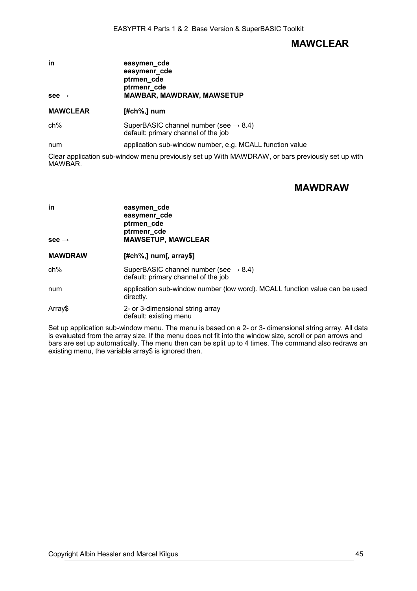# **MAWCLEAR**

| in                | easymen cde                      |  |  |
|-------------------|----------------------------------|--|--|
|                   | easymenr_cde                     |  |  |
|                   | ptrmen_cde                       |  |  |
|                   | ptrmenr cde                      |  |  |
| $see \rightarrow$ | <b>MAWBAR, MAWDRAW, MAWSETUP</b> |  |  |

### **MAWCLEAR [#ch%,] num**

ch% SuperBASIC channel number (see  $\rightarrow$  [8.4\)](#page-38-0) default: primary channel of the job

num application sub-window number, e.g. MCALL function value

Clear application sub-window menu previously set up With MAWDRAW, or bars previously set up with MAWBAR.

# **MAWDRAW**

| in<br>see $\rightarrow$ | easymen_cde<br>easymenr_cde<br>ptrmen_cde<br>ptrmenr cde<br><b>MAWSETUP, MAWCLEAR</b>    |
|-------------------------|------------------------------------------------------------------------------------------|
| <b>MAWDRAW</b>          | $[#ch\%,]$ num[, array\$]                                                                |
| ch%                     | SuperBASIC channel number (see $\rightarrow$ 8.4)<br>default: primary channel of the job |
| num                     | application sub-window number (low word). MCALL function value can be used<br>directly.  |
| Array\$                 | 2- or 3-dimensional string array<br>default: existing menu                               |

Set up application sub-window menu. The menu is based on a 2- or 3- dimensional string array. All data is evaluated from the array size. If the menu does not fit into the window size, scroll or pan arrows and bars are set up automatically. The menu then can be split up to 4 times. The command also redraws an existing menu, the variable array\$ is ignored then.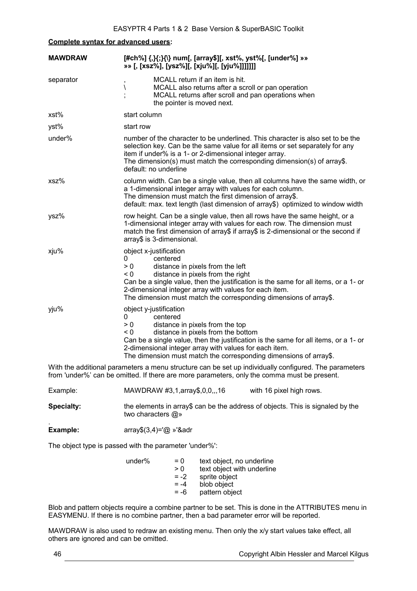### **Complete syntax for advanced users:**

| <b>MAWDRAW</b> | [#ch%] {,}{;}{\} num[, [array\$][, xst%, yst%[, [under%] »»<br>»» [, [xsz%], [ysz%][, [xju%][, [yju%]]]]]]                                                                                                                                                                                                                                                |  |  |
|----------------|-----------------------------------------------------------------------------------------------------------------------------------------------------------------------------------------------------------------------------------------------------------------------------------------------------------------------------------------------------------|--|--|
| separator      | MCALL return if an item is hit.<br>,<br>MCALL also returns after a scroll or pan operation<br>∖<br>MCALL returns after scroll and pan operations when<br>the pointer is moved next.                                                                                                                                                                       |  |  |
| xst%           | start column                                                                                                                                                                                                                                                                                                                                              |  |  |
| yst%           | start row                                                                                                                                                                                                                                                                                                                                                 |  |  |
| under%         | number of the character to be underlined. This character is also set to be the<br>selection key. Can be the same value for all items or set separately for any<br>item if under% is a 1- or 2-dimensional integer array.<br>The dimension(s) must match the corresponding dimension(s) of array\$.<br>default: no underline                               |  |  |
| $xsz$ %        | column width. Can be a single value, then all columns have the same width, or<br>a 1-dimensional integer array with values for each column.<br>The dimension must match the first dimension of array\$.<br>default: max. text length (last dimension of array\$) optimized to window width                                                                |  |  |
| ysz%           | row height. Can be a single value, then all rows have the same height, or a<br>1-dimensional integer array with values for each row. The dimension must<br>match the first dimension of array\$ if array\$ is 2-dimensional or the second if<br>array\$ is 3-dimensional.                                                                                 |  |  |
| xju%           | object x-justification<br>centered<br>0<br>> 0<br>distance in pixels from the left<br>$\leq 0$<br>distance in pixels from the right<br>Can be a single value, then the justification is the same for all items, or a 1- or<br>2-dimensional integer array with values for each item.<br>The dimension must match the corresponding dimensions of array\$. |  |  |
| yju%           | object y-justification<br>centered<br>0<br>> 0<br>distance in pixels from the top<br>$\leq 0$<br>distance in pixels from the bottom<br>Can be a single value, then the justification is the same for all items, or a 1- or<br>2-dimensional integer array with values for each item.<br>The dimension must match the corresponding dimensions of array\$. |  |  |
|                | With the additional parameters a menu structure can be set up individually configured. The parameters<br>from 'under%' can be omitted. If there are more parameters, only the comma must be present.                                                                                                                                                      |  |  |

Example: MAWDRAW #3,1,array\$,0,0,,,16 with 16 pixel high rows.

**Specialty:** the elements in array\$ can be the address of objects. This is signaled by the two characters @»

**Example:** array\$(3,4)='@ »'&adr

The object type is passed with the parameter 'under%':

| under% | $= 0$  | text object, no underline  |
|--------|--------|----------------------------|
|        | > 0    | text object with underline |
|        | $= -2$ | sprite object              |
|        | $= -4$ | blob object                |
|        | $= -6$ | pattern object             |

Blob and pattern objects require a combine partner to be set. This is done in the ATTRIBUTES menu in EASYMENU. If there is no combine partner, then a bad parameter error will be reported.

MAWDRAW is also used to redraw an existing menu. Then only the x/y start values take effect, all others are ignored and can be omitted.

.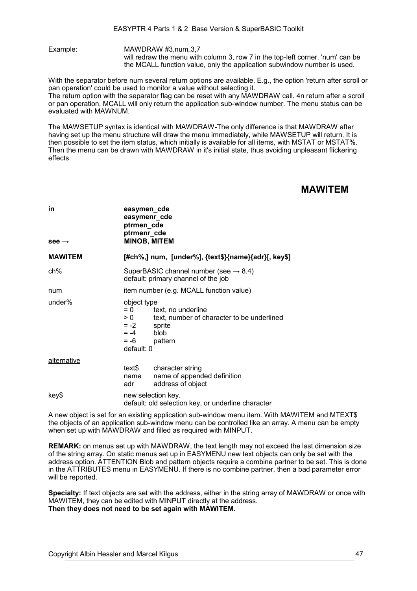Example: MAWDRAW #3.num..3.7 will redraw the menu with column 3, row 7 in the top-left corner. 'num' can be the MCALL function value, only the application subwindow number is used.

With the separator before num several return options are available. E.g., the option 'return after scroll or pan operation' could be used to monitor a value without selecting it.

The return option with the separator flag can be reset with any MAWDRAW call. 4n return after a scroll or pan operation, MCALL will only return the application sub-window number. The menu status can be evaluated with MAWNUM.

The MAWSETUP syntax is identical with MAWDRAW-The only difference is that MAWDRAW after having set up the menu structure will draw the menu immediately, while MAWSETUP will return. It is then possible to set the item status, which initially is available for all items, with MSTAT or MSTAT%. Then the menu can be drawn with MAWDRAW in it's initial state, thus avoiding unpleasant flickering effects.

## **MAWITEM**

| in<br>see $\rightarrow$ | easymen_cde<br>easymenr_cde<br>ptrmen_cde<br>ptrmenr_cde<br><b>MINOB, MITEM</b>                                                                                          |  |  |
|-------------------------|--------------------------------------------------------------------------------------------------------------------------------------------------------------------------|--|--|
| <b>MAWITEM</b>          | [#ch%,] num, [under%], {text\$}{name}{adr}[, key\$]                                                                                                                      |  |  |
| ch%                     | SuperBASIC channel number (see $\rightarrow$ 8.4)<br>default: primary channel of the job                                                                                 |  |  |
| num                     | item number (e.g. MCALL function value)                                                                                                                                  |  |  |
| under%                  | object type<br>$= 0$<br>text, no underline<br>text, number of character to be underlined<br>> 0<br>$= -2$<br>sprite<br>$= -4$<br>blob<br>$= -6$<br>pattern<br>default: 0 |  |  |
| <u>alternative</u>      | text\$<br>character string<br>name of appended definition<br>name<br>address of object<br>adr                                                                            |  |  |
| key\$                   | new selection key.<br>default: old selection key, or underline character                                                                                                 |  |  |

A new object is set for an existing application sub-window menu item. With MAWITEM and MTEXT\$ the objects of an application sub-window menu can be controlled like an array. A menu can be empty when set up with MAWDRAW and filled as required with MINPUT.

**REMARK:** on menus set up with MAWDRAW, the text length may not exceed the last dimension size of the string array. On static menus set up in EASYMENU new text objects can only be set with the address option. ATTENTION Blob and pattern objects require a combine partner to be set. This is done in the ATTRIBUTES menu in EASYMENU. If there is no combine partner, then a bad parameter error will be reported.

**Specialty:** If text objects are set with the address, either in the string array of MAWDRAW or once with MAWITEM, they can be edited with MINPUT directly at the address. **Then they does not need to be set again with MAWITEM.**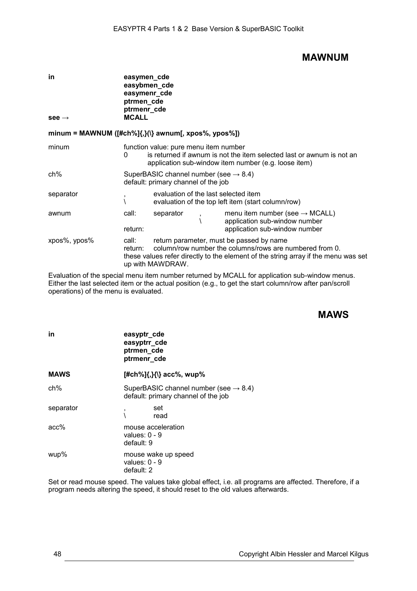## **MAWNUM**

| in<br>see $\rightarrow$                             | easymen_cde<br>easybmen_cde<br>easymenr_cde<br>ptrmen_cde<br>ptrmenr_cde<br><b>MCALL</b> |                                                                                          |  |                                                                                                                                                                                           |
|-----------------------------------------------------|------------------------------------------------------------------------------------------|------------------------------------------------------------------------------------------|--|-------------------------------------------------------------------------------------------------------------------------------------------------------------------------------------------|
| minum = MAWNUM ([#ch%]{,}(\} awnum[, xpos%, ypos%]) |                                                                                          |                                                                                          |  |                                                                                                                                                                                           |
| minum                                               | 0                                                                                        | function value: pure menu item number                                                    |  | is returned if awnum is not the item selected last or awnum is not an<br>application sub-window item number (e.g. loose item)                                                             |
| ch%                                                 |                                                                                          | SuperBASIC channel number (see $\rightarrow$ 8.4)<br>default: primary channel of the job |  |                                                                                                                                                                                           |
| separator                                           |                                                                                          | evaluation of the last selected item                                                     |  | evaluation of the top left item (start column/row)                                                                                                                                        |
| awnum                                               | call:<br>return:                                                                         | separator                                                                                |  | menu item number (see $\rightarrow$ MCALL)<br>application sub-window number<br>application sub-window number                                                                              |
| xpos%, ypos%                                        | call:<br>return:                                                                         | up with MAWDRAW.                                                                         |  | return parameter, must be passed by name<br>column/row number the columns/rows are numbered from 0.<br>these values refer directly to the element of the string array if the menu was set |

Evaluation of the special menu item number returned by MCALL for application sub-window menus. Either the last selected item or the actual position (e.g., to get the start column/row after pan/scroll operations) of the menu is evaluated.

## **MAWS**

| in          | easyptr_cde<br>easyptrr_cde<br>ptrmen_cde<br>ptrmenr_cde                                 |
|-------------|------------------------------------------------------------------------------------------|
| <b>MAWS</b> | $[#ch\%]\{,\}$ {\} acc%, wup%                                                            |
| $ch\%$      | SuperBASIC channel number (see $\rightarrow$ 8.4)<br>default: primary channel of the job |
| separator   | set<br>,<br>read                                                                         |
| $acc\%$     | mouse acceleration<br>values: $0 - 9$<br>default: 9                                      |
| wup%        | mouse wake up speed<br>values: $0 - 9$<br>default: 2                                     |

Set or read mouse speed. The values take global effect, i.e. all programs are affected. Therefore, if a program needs altering the speed, it should reset to the old values afterwards.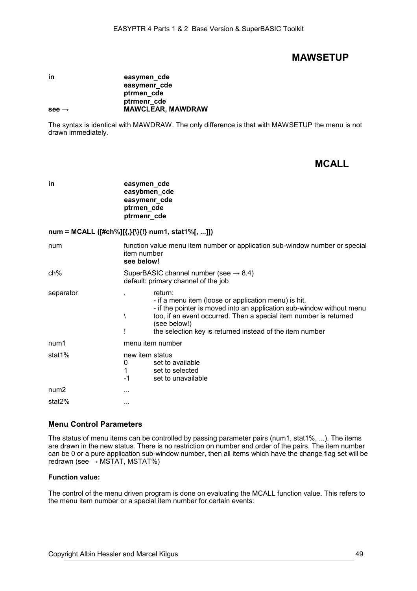## **MAWSETUP**

#### **in easymen** cde **easymenr\_cde ptrmen\_cde ptrmenr\_cde see → MAWCLEAR, MAWDRAW**

The syntax is identical with MAWDRAW. The only difference is that with MAWSETUP the menu is not drawn immediately.

# **MCALL**

**in easymen** cde **easybmen\_cde easymenr\_cde ptrmen\_cde ptrmenr\_cde**

### **num = MCALL ([#ch%][{,}{\}{!} num1, stat1%[, ...]])**

| num              | function value menu item number or application sub-window number or special<br>item number<br>see below!                                                                                                                                                                                  |  |  |
|------------------|-------------------------------------------------------------------------------------------------------------------------------------------------------------------------------------------------------------------------------------------------------------------------------------------|--|--|
| ch%              | SuperBASIC channel number (see $\rightarrow$ 8.4)<br>default: primary channel of the job                                                                                                                                                                                                  |  |  |
| separator        | return:<br>- if a menu item (loose or application menu) is hit,<br>- if the pointer is moved into an application sub-window without menu<br>too, if an event occurred. Then a special item number is returned<br>(see below!)<br>the selection key is returned instead of the item number |  |  |
| num1             | menu item number                                                                                                                                                                                                                                                                          |  |  |
| stat1%           | new item status<br>set to available<br>0<br>set to selected<br>$-1$<br>set to unavailable                                                                                                                                                                                                 |  |  |
| num <sub>2</sub> | .                                                                                                                                                                                                                                                                                         |  |  |
| stat2%           | .                                                                                                                                                                                                                                                                                         |  |  |

## **Menu Control Parameters**

The status of menu items can be controlled by passing parameter pairs (num1, stat1%, ...). The items are drawn in the new status. There is no restriction on number and order of the pairs. The item number can be 0 or a pure application sub-window number, then all items which have the change flag set will be redrawn (see  $\rightarrow$  MSTAT, MSTAT%)

### **Function value:**

The control of the menu driven program is done on evaluating the MCALL function value. This refers to the menu item number or a special item number for certain events: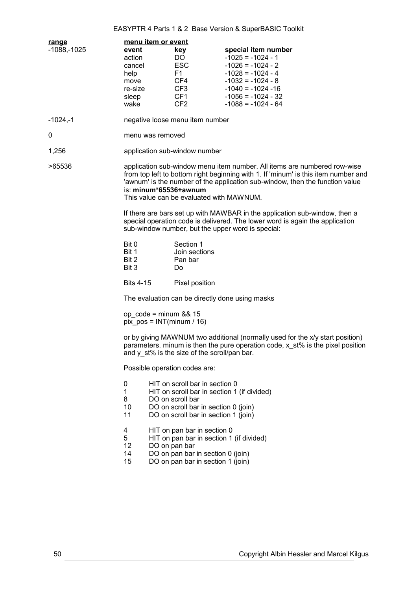## EASYPTR 4 Parts 1 & 2 Base Version & SuperBASIC Toolkit

| <u>range</u> | menu item or event                                                                                                                                                                                                                                                                                                                                                                                                                                                                                                                     |                                                                                                                                                                                   |                                                                                                                                                                                         |
|--------------|----------------------------------------------------------------------------------------------------------------------------------------------------------------------------------------------------------------------------------------------------------------------------------------------------------------------------------------------------------------------------------------------------------------------------------------------------------------------------------------------------------------------------------------|-----------------------------------------------------------------------------------------------------------------------------------------------------------------------------------|-----------------------------------------------------------------------------------------------------------------------------------------------------------------------------------------|
| -1088,-1025  | event<br>action<br>cancel<br>help<br>move<br>re-size<br>sleep<br>wake                                                                                                                                                                                                                                                                                                                                                                                                                                                                  | <u>kev</u><br>DO.<br><b>ESC</b><br>F <sub>1</sub><br>CF4<br>CF3<br>CF1<br>CF <sub>2</sub>                                                                                         | special item number<br>$-1025 = -1024 - 1$<br>$-1026 = -1024 - 2$<br>$-1028 = -1024 - 4$<br>$-1032 = -1024 - 8$<br>$-1040 = -1024 - 16$<br>$-1056 = -1024 - 32$<br>$-1088 = -1024 - 64$ |
| -1024,-1     |                                                                                                                                                                                                                                                                                                                                                                                                                                                                                                                                        | negative loose menu item number                                                                                                                                                   |                                                                                                                                                                                         |
| 0            | menu was removed                                                                                                                                                                                                                                                                                                                                                                                                                                                                                                                       |                                                                                                                                                                                   |                                                                                                                                                                                         |
| 1,256        |                                                                                                                                                                                                                                                                                                                                                                                                                                                                                                                                        | application sub-window number                                                                                                                                                     |                                                                                                                                                                                         |
| >65536       | application sub-window menu item number. All items are numbered row-wise<br>from top left to bottom right beginning with 1. If 'minum' is this item number and<br>'awnum' is the number of the application sub-window, then the function value<br>is: minum*65536+awnum<br>This value can be evaluated with MAWNUM.<br>If there are bars set up with MAWBAR in the application sub-window, then a<br>special operation code is delivered. The lower word is again the application<br>sub-window number, but the upper word is special: |                                                                                                                                                                                   |                                                                                                                                                                                         |
|              |                                                                                                                                                                                                                                                                                                                                                                                                                                                                                                                                        |                                                                                                                                                                                   |                                                                                                                                                                                         |
|              | Bit 0<br>Bit 1<br>Bit 2<br>Bit 3                                                                                                                                                                                                                                                                                                                                                                                                                                                                                                       | Section 1<br>Join sections<br>Pan bar<br>Do                                                                                                                                       |                                                                                                                                                                                         |
|              | <b>Bits 4-15</b>                                                                                                                                                                                                                                                                                                                                                                                                                                                                                                                       | Pixel position                                                                                                                                                                    |                                                                                                                                                                                         |
|              | The evaluation can be directly done using masks                                                                                                                                                                                                                                                                                                                                                                                                                                                                                        |                                                                                                                                                                                   |                                                                                                                                                                                         |
|              | op $code = minimum 88.15$<br>$pix_{\text{pos}} = INT(min/m / 16)$                                                                                                                                                                                                                                                                                                                                                                                                                                                                      |                                                                                                                                                                                   |                                                                                                                                                                                         |
|              | or by giving MAWNUM two additional (normally used for the x/y start position)<br>parameters. minum is then the pure operation code, $x$ st% is the pixel position<br>and y_st% is the size of the scroll/pan bar.                                                                                                                                                                                                                                                                                                                      |                                                                                                                                                                                   |                                                                                                                                                                                         |
|              | Possible operation codes are:                                                                                                                                                                                                                                                                                                                                                                                                                                                                                                          |                                                                                                                                                                                   |                                                                                                                                                                                         |
|              | 0<br>$\mathbf 1$<br>8<br>10<br>11                                                                                                                                                                                                                                                                                                                                                                                                                                                                                                      | HIT on scroll bar in section 0<br>HIT on scroll bar in section 1 (if divided)<br>DO on scroll bar<br>DO on scroll bar in section 0 (join)<br>DO on scroll bar in section 1 (join) |                                                                                                                                                                                         |
|              | $\overline{4}$<br>5<br>12<br>DO on pan bar<br>14<br>15                                                                                                                                                                                                                                                                                                                                                                                                                                                                                 | HIT on pan bar in section 0<br>HIT on pan bar in section 1 (if divided)<br>DO on pan bar in section 0 (join)<br>DO on pan bar in section 1 (join)                                 |                                                                                                                                                                                         |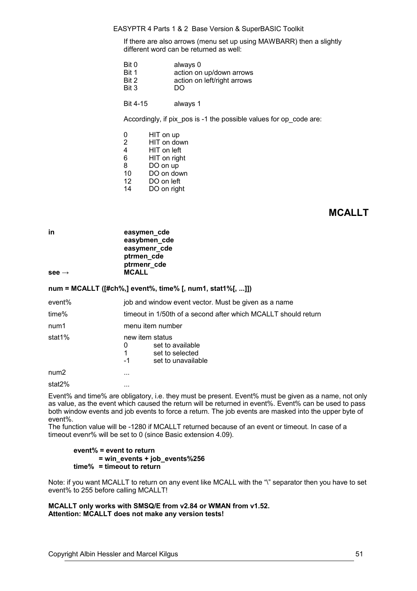#### EASYPTR 4 Parts 1 & 2 Base Version & SuperBASIC Toolkit

If there are also arrows (menu set up using MAWBARR) then a slightly different word can be returned as well:

| Bit 0 | always 0                    |
|-------|-----------------------------|
| Bit 1 | action on up/down arrows    |
| Bit 2 | action on left/right arrows |
| Bit 3 | DO                          |

Bit 4-15 always 1

Accordingly, if pix pos is -1 the possible values for op code are:

| 0              | HIT on up    |
|----------------|--------------|
| $\overline{2}$ | HIT on down  |
| $\overline{4}$ | HIT on left  |
| 6              | HIT on right |
| 8              | DO on up     |
| 10             | DO on down   |
| 12             | DO on left   |
| 14             | DO on right  |

# **MCALLT**

**in** easymen\_cde **easybmen\_cde easymenr\_cde ptrmen\_cde ptrmenr\_cde see → MCALL**

**num = MCALLT ([#ch%,] event%, time% [, num1, stat1%[, ...]])**

| event%           | job and window event vector. Must be given as a name                                           |  |  |
|------------------|------------------------------------------------------------------------------------------------|--|--|
| time%            | timeout in 1/50th of a second after which MCALLT should return                                 |  |  |
| num1             | menu item number                                                                               |  |  |
| stat1%           | new item status<br>set to available<br>0<br>1<br>set to selected<br>$-1$<br>set to unavailable |  |  |
| num <sub>2</sub> | $\cdots$                                                                                       |  |  |
| stat2%           |                                                                                                |  |  |

Event% and time% are obligatory, i.e. they must be present. Event% must be given as a name, not only as value, as the event which caused the return will be returned in event%. Event% can be used to pass both window events and job events to force a return. The job events are masked into the upper byte of event%.

The function value will be -1280 if MCALLT returned because of an event or timeout. In case of a timeout evenr% will be set to 0 (since Basic extension 4.09).

**event% = event to return = win\_events + job\_events%256 time% = timeout to return**

Note: if you want MCALLT to return on any event like MCALL with the "\" separator then you have to set event% to 255 before calling MCALLT!

**MCALLT only works with SMSQ/E from v2.84 or WMAN from v1.52. Attention: MCALLT does not make any version tests!**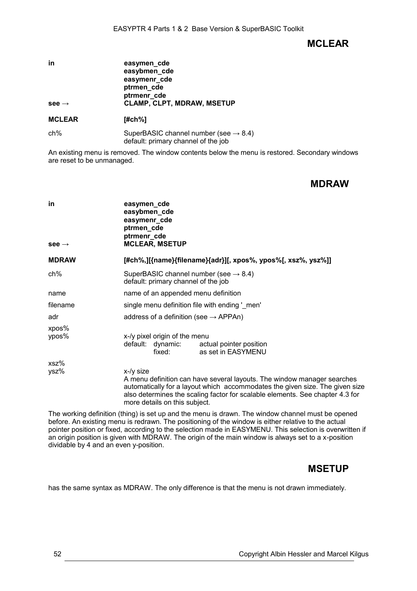# **MCLEAR**

| in                | easymen_cde<br>easybmen_cde<br>easymenr_cde<br>ptrmen_cde<br>ptrmenr_cde |
|-------------------|--------------------------------------------------------------------------|
| $see \rightarrow$ | <b>CLAMP, CLPT, MDRAW, MSETUP</b>                                        |
| <b>MCLEAR</b>     | [#ch%]                                                                   |

| ch% | SuperBASIC channel number (see $\rightarrow$ 8.4) |
|-----|---------------------------------------------------|
|     |                                                   |
|     | default: primary channel of the job               |

An existing menu is removed. The window contents below the menu is restored. Secondary windows are reset to be unmanaged.

## **MDRAW**

| in<br>see $\rightarrow$ | easymen_cde<br>easybmen_cde<br>easymenr_cde<br>ptrmen_cde<br>ptrmenr_cde<br><b>MCLEAR, MSETUP</b>                                                                                                                                                                                       |  |
|-------------------------|-----------------------------------------------------------------------------------------------------------------------------------------------------------------------------------------------------------------------------------------------------------------------------------------|--|
| <b>MDRAW</b>            | [#ch%,][{name}{filename}{adr}][, xpos%, ypos%[, xsz%, ysz%]]                                                                                                                                                                                                                            |  |
| ch%                     | SuperBASIC channel number (see $\rightarrow$ 8.4)<br>default: primary channel of the job                                                                                                                                                                                                |  |
| name                    | name of an appended menu definition                                                                                                                                                                                                                                                     |  |
| filename                | single menu definition file with ending ' men'                                                                                                                                                                                                                                          |  |
| adr                     | address of a definition (see $\rightarrow$ APPAn)                                                                                                                                                                                                                                       |  |
| xpos%<br>ypos%          | x-/y pixel origin of the menu<br>default: dynamic: actual pointer position<br>as set in EASYMENU<br>fixed:                                                                                                                                                                              |  |
| xsz%<br>ysz%            | $x-y$ size<br>A menu definition can have several layouts. The window manager searches<br>automatically for a layout which accommodates the given size. The given size<br>also determines the scaling factor for scalable elements. See chapter 4.3 for<br>more details on this subject. |  |

The working definition (thing) is set up and the menu is drawn. The window channel must be opened before. An existing menu is redrawn. The positioning of the window is either relative to the actual pointer position or fixed, according to the selection made in EASYMENU. This selection is overwritten if an origin position is given with MDRAW. The origin of the main window is always set to a x-position dividable by 4 and an even y-position.

# **MSETUP**

has the same syntax as MDRAW. The only difference is that the menu is not drawn immediately.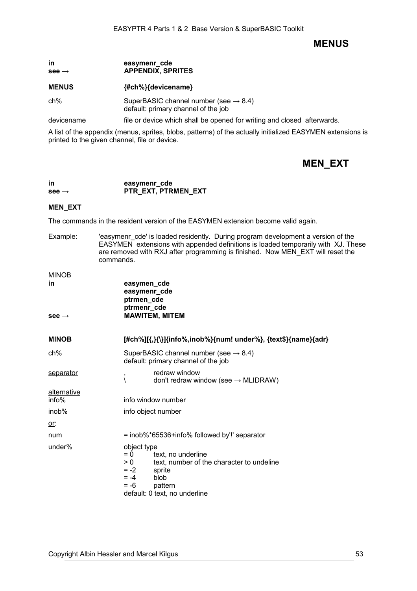## **MENUS**

### **in easymenr\_cde see → APPENDIX, SPRITES**

#### **MENUS {#ch%}{devicename}**

ch% SuperBASIC channel number (see  $\rightarrow$  [8.4\)](#page-38-0) default: primary channel of the job

devicename file or device which shall be opened for writing and closed afterwards.

A list of the appendix (menus, sprites, blobs, patterns) of the actually initialized EASYMEN extensions is printed to the given channel, file or device.

# **MEN\_EXT**

### **in** easymenr cde **see → PTR\_EXT, PTRMEN\_EXT**

#### **MEN\_EXT**

The commands in the resident version of the EASYMEN extension become valid again.

Example: 'easymenr\_cde' is loaded residently. During program development a version of the EASYMEN extensions with appended definitions is loaded temporarily with XJ. These are removed with RXJ after programming is finished. Now MEN\_EXT will reset the commands.

### $MN =$

| MINOB                |                                                                                                                                                                                            |  |
|----------------------|--------------------------------------------------------------------------------------------------------------------------------------------------------------------------------------------|--|
| in                   | easymen_cde<br>easymenr_cde<br>ptrmen_cde                                                                                                                                                  |  |
| see $\rightarrow$    | ptrmenr_cde<br><b>MAWITEM, MITEM</b>                                                                                                                                                       |  |
| <b>MINOB</b>         | [#ch%][{,}{\}]{info%,inob%}{num! under%}, {text\$}{name}{adr}                                                                                                                              |  |
| ch%                  | SuperBASIC channel number (see $\rightarrow$ 8.4)<br>default: primary channel of the job                                                                                                   |  |
| <u>separator</u>     | redraw window<br>,<br>don't redraw window (see $\rightarrow$ MLIDRAW)<br>∖                                                                                                                 |  |
| alternative<br>info% | info window number                                                                                                                                                                         |  |
| inob%                | info object number                                                                                                                                                                         |  |
| <u>or:</u>           |                                                                                                                                                                                            |  |
| num                  | = inob%*65536+info% followed by'!' separator                                                                                                                                               |  |
| under%               | object type<br>text, no underline<br>$= 0$<br>text, number of the character to undeline<br>> 0<br>$= -2$<br>sprite<br>$= -4$<br>blob<br>$= -6$<br>pattern<br>default: 0 text, no underline |  |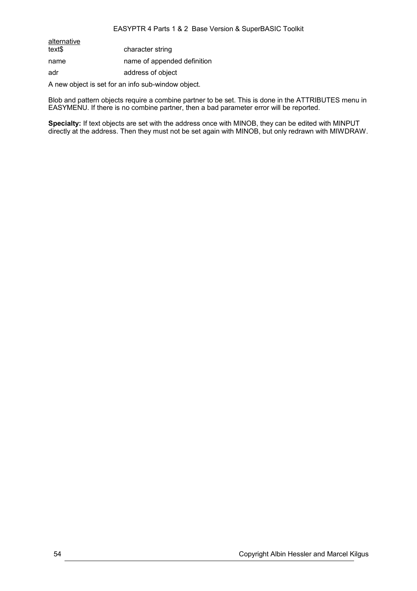### EASYPTR 4 Parts 1 & 2 Base Version & SuperBASIC Toolkit

alternative<br>text\$ character string name name of appended definition adr address of object

A new object is set for an info sub-window object.

Blob and pattern objects require a combine partner to be set. This is done in the ATTRIBUTES menu in EASYMENU. If there is no combine partner, then a bad parameter error will be reported.

**Specialty:** If text objects are set with the address once with MINOB, they can be edited with MINPUT directly at the address. Then they must not be set again with MINOB, but only redrawn with MIWDRAW.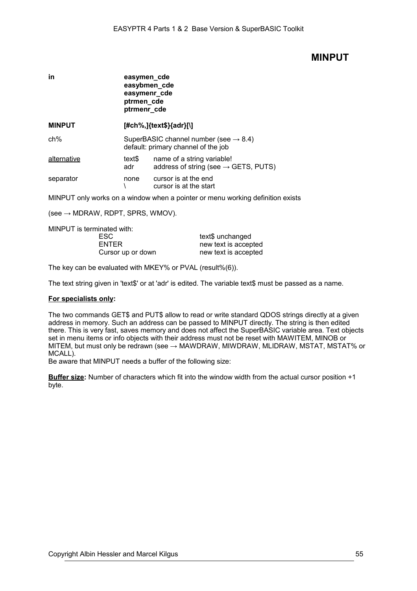## **MINPUT**

| in            | easymen cde<br>easybmen_cde<br>easymenr_cde<br>ptrmen_cde<br>ptrmenr_cde                 |                                                                                |
|---------------|------------------------------------------------------------------------------------------|--------------------------------------------------------------------------------|
| <b>MINPUT</b> | [#ch%,]{text\$}{adr}[\]                                                                  |                                                                                |
| $ch\%$        | SuperBASIC channel number (see $\rightarrow$ 8.4)<br>default: primary channel of the job |                                                                                |
| alternative   | text\$<br>adr                                                                            | name of a string variable!<br>address of string (see $\rightarrow$ GETS, PUTS) |
| separator     | none                                                                                     | cursor is at the end<br>cursor is at the start                                 |

MINPUT only works on a window when a pointer or menu working definition exists

 $(see \rightarrow MDRAW, RDPT, SPRS, WMOV).$ 

MINPUT is terminated with:

| ESC.              | text\$ unchanged     |
|-------------------|----------------------|
| ENTER             | new text is accepted |
| Cursor up or down | new text is accepted |

The key can be evaluated with MKEY% or PVAL (result%(6)).

The text string given in 'text\$' or at 'adr' is edited. The variable text\$ must be passed as a name.

#### **For specialists only:**

The two commands GET\$ and PUT\$ allow to read or write standard QDOS strings directly at a given address in memory. Such an address can be passed to MINPUT directly. The string is then edited there. This is very fast, saves memory and does not affect the SuperBASIC variable area. Text objects set in menu items or info objects with their address must not be reset with MAWITEM, MINOB or MITEM, but must only be redrawn (see → MAWDRAW, MIWDRAW, MLIDRAW, MSTAT, MSTAT% or MCALL).

Be aware that MINPUT needs a buffer of the following size:

**Buffer size:** Number of characters which fit into the window width from the actual cursor position +1 byte.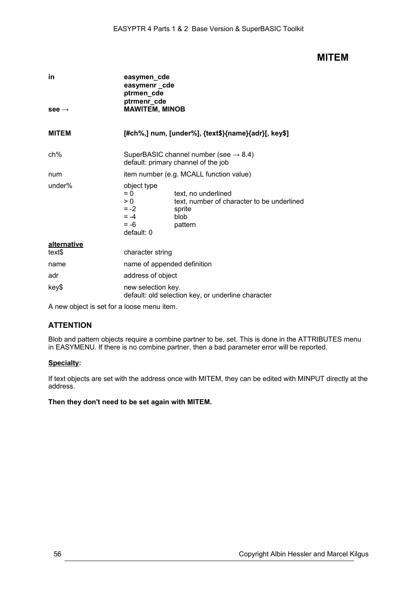## **MITEM**

| in                    | easymen_cde<br>easymenr_cde<br>ptrmen_cde<br>ptrmenr_cde                                                                                                                  |  |  |
|-----------------------|---------------------------------------------------------------------------------------------------------------------------------------------------------------------------|--|--|
| $see \rightarrow$     | <b>MAWITEM, MINOB</b>                                                                                                                                                     |  |  |
| <b>MITEM</b>          | [#ch%,] num, [under%], {text\$}{name}{adr}[, key\$]                                                                                                                       |  |  |
| $ch\%$                | SuperBASIC channel number (see $\rightarrow$ 8.4)<br>default: primary channel of the job                                                                                  |  |  |
| num                   | item number (e.g. MCALL function value)                                                                                                                                   |  |  |
| under $%$             | object type<br>$= 0$<br>text, no underlined<br>text, number of character to be underlined<br>> 0<br>$= -2$<br>sprite<br>$= -4$<br>blob<br>$= -6$<br>pattern<br>default: 0 |  |  |
| alternative<br>text\$ | character string                                                                                                                                                          |  |  |
| name                  | name of appended definition                                                                                                                                               |  |  |
| adr                   | address of object                                                                                                                                                         |  |  |
| key\$                 | new selection key.<br>default: old selection key, or underline character                                                                                                  |  |  |

A new object is set for a loose menu item.

## **ATTENTION**

Blob and pattern objects require a combine partner to be, set. This is done in the ATTRIBUTES menu in EASYMENU. If there is no combine partner, then a bad parameter error will be reported.

### **Specialty:**

If text objects are set with the address once with MITEM, they can be edited with MINPUT directly at the address.

### **Then they don't need to be set again with MITEM.**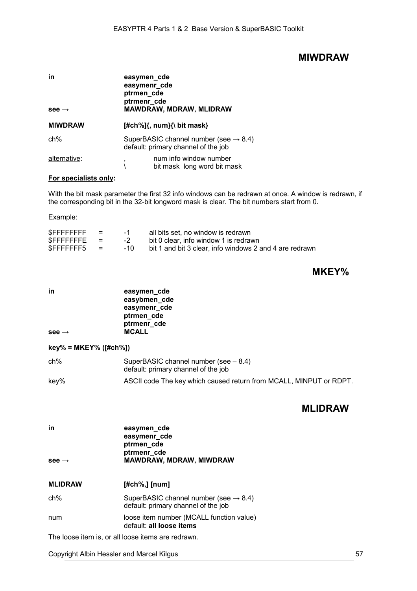## **MIWDRAW**

| in<br>$see \rightarrow$ | easymen_cde<br>easymenr_cde<br>ptrmen_cde<br>ptrmenr cde<br><b>MAWDRAW, MDRAW, MLIDRAW</b> |  |  |
|-------------------------|--------------------------------------------------------------------------------------------|--|--|
| <b>MIWDRAW</b>          | $[#ch\%]\{$ , num} $\{\}$ bit mask}                                                        |  |  |
| $ch\%$                  | SuperBASIC channel number (see $\rightarrow$ 8.4)<br>default: primary channel of the job   |  |  |
| alternative:            | num info window number<br>,<br>bit mask long word bit mask                                 |  |  |

### **For specialists only:**

With the bit mask parameter the first 32 info windows can be redrawn at once. A window is redrawn, if the corresponding bit in the 32-bit longword mask is clear. The bit numbers start from 0.

Example:

| <b>SFFFFFFFFF</b> | $=$ | $-1$ | all bits set, no window is redrawn                      |
|-------------------|-----|------|---------------------------------------------------------|
| $S$ FFFFFFFFE $=$ |     | $-2$ | bit 0 clear, info window 1 is redrawn                   |
| $SFFFFFFF5 =$     |     | -10  | bit 1 and bit 3 clear, info windows 2 and 4 are redrawn |

# **MKEY%**

| in<br>see $\rightarrow$   | easymen_cde<br>easybmen_cde<br>easymenr_cde<br>ptrmen_cde<br>ptrmenr_cde<br><b>MCALL</b> |
|---------------------------|------------------------------------------------------------------------------------------|
| $key\% = MKEY\%$ ([#ch%]) |                                                                                          |
| ch%                       | SuperBASIC channel number (see $-8.4$ )<br>default: primary channel of the job           |
| key%                      | ASCII code The key which caused return from MCALL, MINPUT or RDPT.                       |

## **MLIDRAW**

| in<br>see $\rightarrow$ | easymen_cde<br>easymenr_cde<br>ptrmen_cde<br>ptrmenr_cde<br><b>MAWDRAW, MDRAW, MIWDRAW</b> |
|-------------------------|--------------------------------------------------------------------------------------------|
| <b>MLIDRAW</b>          | $[#ch\%,]$ [num]                                                                           |
| $ch\%$                  | SuperBASIC channel number (see $\rightarrow$ 8.4)<br>default: primary channel of the job   |
| num                     | loose item number (MCALL function value)<br>default: all loose items                       |
|                         | The loose item is or all loose items are redrawn                                           |

The loose item is, or all loose items are redrawn.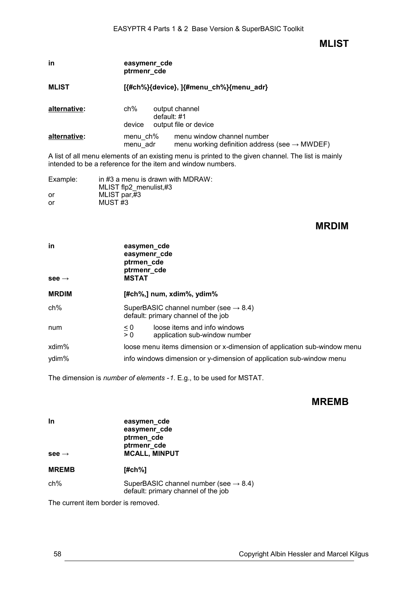**MLIST**

| in           | easymenr cde<br>ptrmenr_cde             |                                                                                         |  |
|--------------|-----------------------------------------|-----------------------------------------------------------------------------------------|--|
| <b>MLIST</b> | [{#ch%}{device}, ]{#menu_ch%}{menu_adr} |                                                                                         |  |
| alternative: | ch%<br>device                           | output channel<br>default: #1<br>output file or device                                  |  |
| alternative: | menu_ch%<br>menu adr                    | menu window channel number<br>menu working definition address (see $\rightarrow$ MWDEF) |  |
|              |                                         |                                                                                         |  |

A list of all menu elements of an existing menu is printed to the given channel. The list is mainly intended to be a reference for the item and window numbers.

| Example: | in #3 a menu is drawn with MDRAW: |
|----------|-----------------------------------|
|          | MLIST flp2 menulist,#3            |
| or       | MLIST par,#3                      |
| or       | MUST <sub>#3</sub>                |

## **MRDIM**

| in<br>$see \rightarrow$ | easymen_cde<br>easymenr_cde<br>ptrmen_cde<br>ptrmenr_cde<br><b>MSTAT</b>                                                                         |  |
|-------------------------|--------------------------------------------------------------------------------------------------------------------------------------------------|--|
| <b>MRDIM</b>            | $[#ch\%,]$ num, xdim $\%$ , ydim $\%$                                                                                                            |  |
| $ch\%$                  | SuperBASIC channel number (see $\rightarrow$ 8.4)<br>default: primary channel of the job                                                         |  |
| num                     | loose items and info windows<br>$\leq 0$<br>$\overline{> 0}$<br>application sub-window number                                                    |  |
| xdim%<br>ydim%          | loose menu items dimension or x-dimension of application sub-window menu<br>info windows dimension or y-dimension of application sub-window menu |  |

The dimension is *number of elements -1*. E.g., to be used for MSTAT.

## **MREMB**

| <b>In</b><br>see $\rightarrow$ | easymen_cde<br>easymenr_cde<br>ptrmen_cde<br>ptrmenr_cde<br><b>MCALL, MINPUT</b>         |
|--------------------------------|------------------------------------------------------------------------------------------|
| <b>MREMB</b>                   | [#ch%]                                                                                   |
| ch%                            | SuperBASIC channel number (see $\rightarrow$ 8.4)<br>default: primary channel of the job |

The current item border is removed.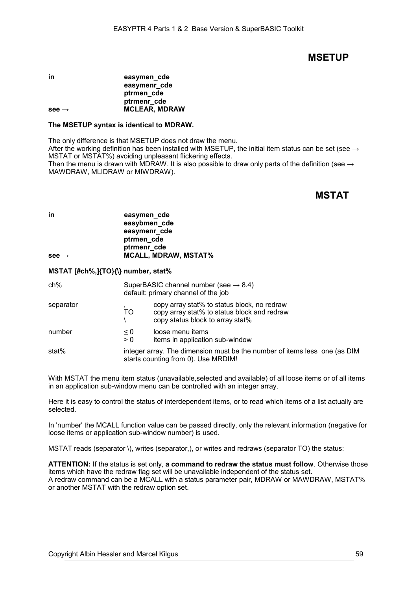## **MSETUP**

#### in **easymen** cde **easymenr\_cde ptrmen\_cde ptrmenr\_cde see → MCLEAR, MDRAW**

#### **The MSETUP syntax is identical to MDRAW.**

The only difference is that MSETUP does not draw the menu. After the working definition has been installed with MSETUP, the initial item status can be set (see  $\rightarrow$ MSTAT or MSTAT%) avoiding unpleasant flickering effects. Then the menu is drawn with MDRAW. It is also possible to draw only parts of the definition (see  $\rightarrow$ 

MAWDRAW, MLIDRAW or MIWDRAW).

# **MSTAT**

| in                | easymen_cde<br>easybmen_cde |
|-------------------|-----------------------------|
|                   | easymenr_cde                |
|                   | ptrmen_cde                  |
|                   | ptrmenr cde                 |
| $see \rightarrow$ | <b>MCALL, MDRAW, MSTAT%</b> |

#### **MSTAT [#ch%,]{TO}{\} number, stat%**

| ch%       | SuperBASIC channel number (see $\rightarrow$ 8.4)<br>default: primary channel of the job                         |                                                                                                                                |
|-----------|------------------------------------------------------------------------------------------------------------------|--------------------------------------------------------------------------------------------------------------------------------|
| separator | ,<br>TO                                                                                                          | copy array stat% to status block, no redraw<br>copy array stat% to status block and redraw<br>copy status block to array stat% |
| number    | $\leq 0$<br>> 0                                                                                                  | loose menu items<br>items in application sub-window                                                                            |
| stat%     | integer array. The dimension must be the number of items less one (as DIM<br>starts counting from 0). Use MRDIM! |                                                                                                                                |

With MSTAT the menu item status (unavailable, selected and available) of all loose items or of all items in an application sub-window menu can be controlled with an integer array.

Here it is easy to control the status of interdependent items, or to read which items of a list actually are selected.

In 'number' the MCALL function value can be passed directly, only the relevant information (negative for loose items or application sub-window number) is used.

MSTAT reads (separator \), writes (separator,), or writes and redraws (separator TO) the status:

**ATTENTION:** If the status is set only, **a command to redraw the status must follow**. Otherwise those items which have the redraw flag set will be unavailable independent of the status set. A redraw command can be a MCALL with a status parameter pair, MDRAW or MAWDRAW, MSTAT% or another MSTAT with the redraw option set.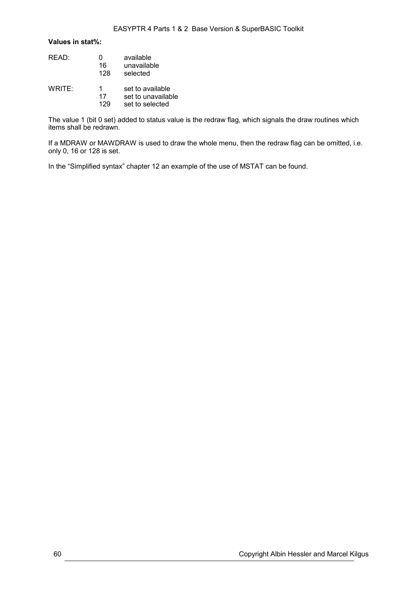### **Values in stat%:**

| READ:  | 16<br>128      | available<br>unavailable<br>selected                      |
|--------|----------------|-----------------------------------------------------------|
| WRITE: | 1<br>17<br>129 | set to available<br>set to unavailable<br>set to selected |

The value 1 (bit 0 set) added to status value is the redraw flag, which signals the draw routines which items shall be redrawn.

If a MDRAW or MAWDRAW is used to draw the whole menu, then the redraw flag can be omitted, i.e. only 0, 16 or 128 is set.

In the ["Simplified syntax"](#page-82-0) chapter [12](#page-82-0) an example of the use of MSTAT can be found.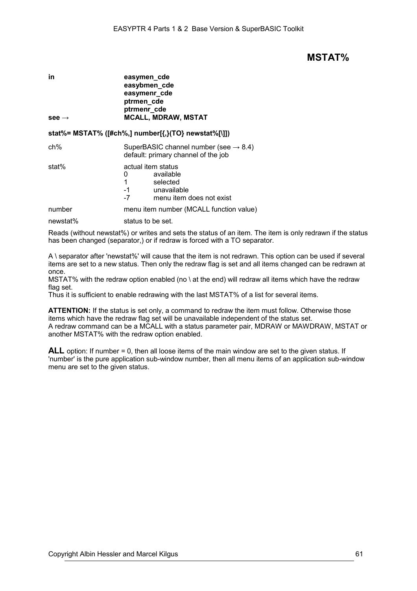## **MSTAT%**

| in                | easymen_cde                |
|-------------------|----------------------------|
|                   | easybmen_cde               |
|                   | easymenr_cde               |
|                   | ptrmen_cde                 |
|                   | ptrmenr_cde                |
| $see \rightarrow$ | <b>MCALL, MDRAW, MSTAT</b> |

### **stat%= MSTAT% ([#ch%,] number[{,}(TO} newstat%[\]])**

| ch% | SuperBASIC channel number (see $\rightarrow$ 8.4) |
|-----|---------------------------------------------------|
|     | default: primary channel of the job               |

| stat% | actual item status |
|-------|--------------------|
|       | available          |

|      | available                |
|------|--------------------------|
|      | selected                 |
| -1   | unavailable              |
| $-7$ | menu item does not exist |
|      |                          |

number menu item number (MCALL function value)

newstat% status to be set.

Reads (without newstat%) or writes and sets the status of an item. The item is only redrawn if the status has been changed (separator,) or if redraw is forced with a TO separator.

A \ separator after 'newstat%' will cause that the item is not redrawn. This option can be used if several items are set to a new status. Then only the redraw flag is set and all items changed can be redrawn at once.

MSTAT% with the redraw option enabled (no \ at the end) will redraw all items which have the redraw flag set.

Thus it is sufficient to enable redrawing with the last MSTAT% of a list for several items.

**ATTENTION:** If the status is set only, a command to redraw the item must follow. Otherwise those items which have the redraw flag set will be unavailable independent of the status set. A redraw command can be a MCALL with a status parameter pair, MDRAW or MAWDRAW, MSTAT or another MSTAT% with the redraw option enabled.

**ALL** option: If number = 0, then all loose items of the main window are set to the given status. If 'number' is the pure application sub-window number, then all menu items of an application sub-window menu are set to the given status.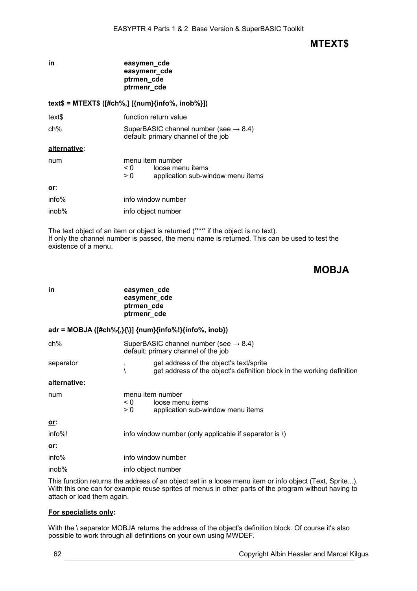## **MTEXT\$**

## **in easymen\_cde easymenr\_cde ptrmen\_cde ptrmenr\_cde**

## **text\$ = MTEXT\$ ([#ch%,] [{num}{info%, inob%}])**

| text\$ | function return value |
|--------|-----------------------|
|        |                       |

ch% SuperBASIC channel number (see  $\rightarrow$  [8.4\)](#page-38-0) default: primary channel of the job

#### **alternative**:

| num   | menu item number<br>loose menu items<br>$\leq 0$<br>application sub-window menu items<br>$\geq 0$ |
|-------|---------------------------------------------------------------------------------------------------|
| or:   |                                                                                                   |
| info% | info window number                                                                                |
| inob% | info object number                                                                                |

The text object of an item or object is returned ('\*\*\*' if the object is no text). If only the channel number is passed, the menu name is returned. This can be used to test the existence of a menu.

# **MOBJA**

| in                   | easymen_cde<br>easymenr_cde<br>ptrmen_cde<br>ptrmenr_cde |                                                                                                                   |
|----------------------|----------------------------------------------------------|-------------------------------------------------------------------------------------------------------------------|
|                      |                                                          | adr = MOBJA ([#ch%{,}{\}] {num}{info%!}{info%, inob})                                                             |
| ch%                  |                                                          | SuperBASIC channel number (see $\rightarrow$ 8.4)<br>default: primary channel of the job                          |
| separator            | ,                                                        | get address of the object's text/sprite<br>get address of the object's definition block in the working definition |
| <u>alternative</u> : |                                                          |                                                                                                                   |
| num                  | $\leq 0$<br>> 0                                          | menu item number<br>loose menu items<br>application sub-window menu items                                         |
| <u>or:</u>           |                                                          |                                                                                                                   |
| info%!               |                                                          | info window number (only applicable if separator is \)                                                            |
| <u>or:</u>           |                                                          |                                                                                                                   |
| info%                |                                                          | info window number                                                                                                |
| inob%                |                                                          | info object number                                                                                                |
|                      |                                                          | \ This function returns the address of an object set in a loose menu item or info object (Teyt, Sprite            |

This function returns the address of an object set in a loose menu item or info object (Text,  $\overline{s}$ With this one can for example reuse sprites of menus in other parts of the program without having to attach or load them again.

### **For specialists only:**

With the \ separator MOBJA returns the address of the object's definition block. Of course it's also possible to work through all definitions on your own using MWDEF.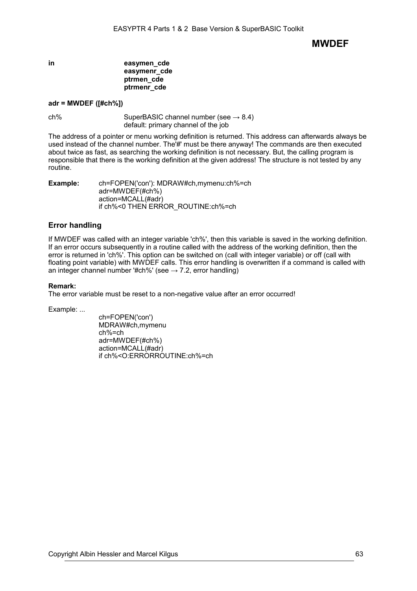**MWDEF**

### **in easymen\_cde easymenr\_cde ptrmen\_cde ptrmenr\_cde**

### **adr = MWDEF ([#ch%])**

 $ch\%$  SuperBASIC channel number (see  $\rightarrow$  [8.4\)](#page-38-0) default: primary channel of the job

The address of a pointer or menu working definition is returned. This address can afterwards always be used instead of the channel number. The'#' must be there anyway! The commands are then executed about twice as fast, as searching the working definition is not necessary. But, the calling program is responsible that there is the working definition at the given address! The structure is not tested by any routine.

**Example:** ch=FOPEN('con'): MDRAW#ch,mymenu:ch%=ch adr=MWDEF(#ch%) action=MCALL(#adr) if ch%<0 THEN ERROR\_ROUTINE:ch%=ch

### **Error handling**

If MWDEF was called with an integer variable 'ch%', then this variable is saved in the working definition. If an error occurs subsequently in a routine called with the address of the working definition, then the error is returned in 'ch%'. This option can be switched on (call with integer variable) or off (call with floating point variable) with MWDEF calls. This error handling is overwritten if a command is called with an integer channel number '#ch%' (see  $\rightarrow$  7.2, error handling)

#### **Remark:**

The error variable must be reset to a non-negative value after an error occurred!

Example: ...

ch=FOPEN('con') MDRAW#ch,mymenu ch%=ch adr=MWDEF(#ch%) action=MCALL(#adr) if ch%<O:ERRORROUTINE:ch%=ch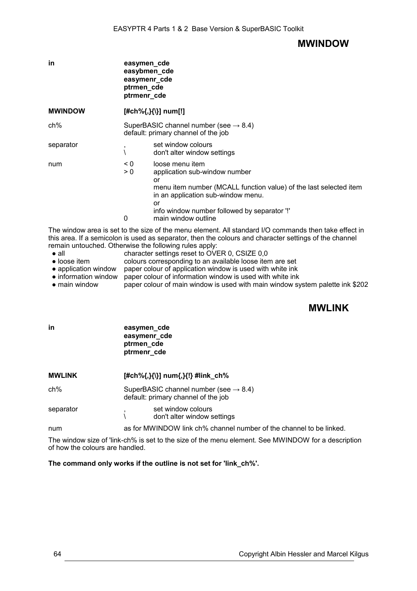## **MWINDOW**

| in             |                      | easymen_cde<br>easybmen_cde<br>easymenr_cde<br>ptrmen_cde<br>ptrmenr_cde                                                                                                                                                                     |
|----------------|----------------------|----------------------------------------------------------------------------------------------------------------------------------------------------------------------------------------------------------------------------------------------|
| <b>MWINDOW</b> |                      | [#ch%{,}{\}] num[!]                                                                                                                                                                                                                          |
| ch%            |                      | SuperBASIC channel number (see $\rightarrow$ 8.4)<br>default: primary channel of the job                                                                                                                                                     |
| separator      | ,                    | set window colours<br>don't alter window settings                                                                                                                                                                                            |
| num            | $\leq 0$<br>> 0<br>0 | loose menu item<br>application sub-window number<br>or<br>menu item number (MCALL function value) of the last selected item<br>in an application sub-window menu.<br>or<br>info window number followed by separator !<br>main window outline |

The window area is set to the size of the menu element. All standard I/O commands then take effect in this area. If a semicolon is used as separator, then the colours and character settings of the channel remain untouched. Otherwise the following rules apply:<br>
• all enaracter settings reset to OVE

- all character settings reset to OVER 0, CSIZE 0,0<br>• loose item colours corresponding to an available loose iter
- colours corresponding to an available loose item are set
- application window paper colour of application window is used with white ink
- information window paper colour of information window is used with white ink
- main window paper colour of main window is used with main window system palette ink \$202

# **MWLINK**

| in            | easymen_cde<br>easymenr_cde<br>ptrmen_cde<br>ptrmenr_cde                                 |  |
|---------------|------------------------------------------------------------------------------------------|--|
| <b>MWLINK</b> | [#ch%{,}{\}] num{,}{!} #link_ch%                                                         |  |
| ch%           | SuperBASIC channel number (see $\rightarrow$ 8.4)<br>default: primary channel of the job |  |
| separator     | set window colours<br>don't alter window settings                                        |  |
| num           | as for MWINDOW link ch% channel number of the channel to be linked.                      |  |
|               |                                                                                          |  |

The window size of 'link-ch% is set to the size of the menu element. See MWINDOW for a description of how the colours are handled.

**The command only works if the outline is not set for 'link\_ch%'.**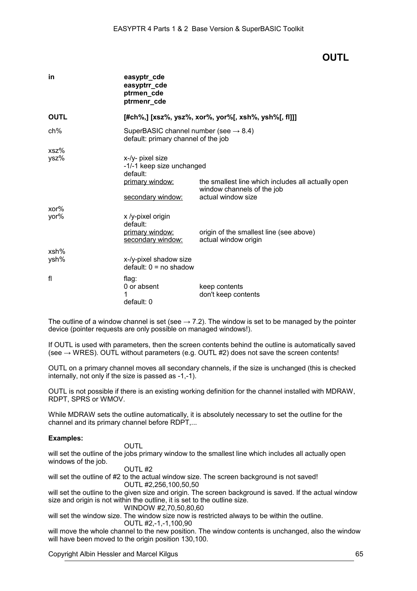# **OUTL**

| in           | easyptr_cde<br>easyptrr_cde<br>ptrmen_cde<br>ptrmenr_cde                                          |                                                                                                        |
|--------------|---------------------------------------------------------------------------------------------------|--------------------------------------------------------------------------------------------------------|
| <b>OUTL</b>  |                                                                                                   | [#ch%,] [xsz%, ysz%, xor%, yor%[, xsh%, ysh%[, fl]]]                                                   |
| $ch\%$       | SuperBASIC channel number (see $\rightarrow$ 8.4)<br>default: primary channel of the job          |                                                                                                        |
| xsz%<br>ysz% | x-/y- pixel size<br>-1/-1 keep size unchanged<br>default:<br>primary window:<br>secondary window: | the smallest line which includes all actually open<br>window channels of the job<br>actual window size |
| xor%<br>yor% | x /y-pixel origin<br>default:<br>primary window:<br>secondary window:                             | origin of the smallest line (see above)<br>actual window origin                                        |
| xsh%<br>ysh% | x-/y-pixel shadow size<br>$default: 0 = no shadow$                                                |                                                                                                        |
| fl           | flag:<br>0 or absent<br>default: 0                                                                | keep contents<br>don't keep contents                                                                   |

The outline of a window channel is set (see  $\rightarrow$  7.2). The window is set to be managed by the pointer device (pointer requests are only possible on managed windows!).

If OUTL is used with parameters, then the screen contents behind the outline is automatically saved (see  $\rightarrow$  WRES). OUTL without parameters (e.g. OUTL #2) does not save the screen contents!

OUTL on a primary channel moves all secondary channels, if the size is unchanged (this is checked internally, not only if the size is passed as -1,-1).

OUTL is not possible if there is an existing working definition for the channel installed with MDRAW, RDPT, SPRS or WMOV.

While MDRAW sets the outline automatically, it is absolutely necessary to set the outline for the channel and its primary channel before RDPT,...

### **Examples:**

#### OUTL

will set the outline of the jobs primary window to the smallest line which includes all actually open windows of the job.

#### OUTL #2

will set the outline of #2 to the actual window size. The screen background is not saved! OUTL #2,256,100,50,50

will set the outline to the given size and origin. The screen background is saved. If the actual window size and origin is not within the outline, it is set to the outline size.

WINDOW #2,70,50,80,60

will set the window size. The window size now is restricted always to be within the outline. OUTL #2,-1,-1,100,90

will move the whole channel to the new position. The window contents is unchanged, also the window will have been moved to the origin position 130,100.

Copyright Albin Hessler and Marcel Kilgus 65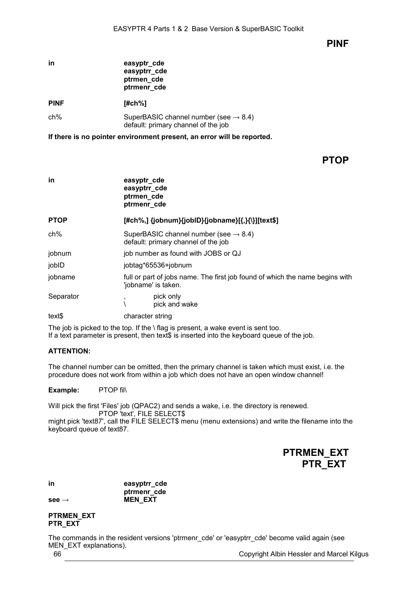## **PINF**

| ın          | easyptr_cde<br>easyptrr_cde<br>ptrmen_cde<br>ptrmenr_cde                                 |
|-------------|------------------------------------------------------------------------------------------|
| <b>PINF</b> | [#ch%]                                                                                   |
| ch%         | SuperBASIC channel number (see $\rightarrow$ 8.4)<br>default: primary channel of the job |

**If there is no pointer environment present, an error will be reported.**

## **PTOP**

| in          | easyptr_cde<br>easyptrr_cde<br>ptrmen_cde<br>ptrmenr_cde                                            |  |
|-------------|-----------------------------------------------------------------------------------------------------|--|
| <b>PTOP</b> | [#ch%,] {jobnum}{jobID}{jobname}[{,}{\}][text\$]                                                    |  |
| ch%         | SuperBASIC channel number (see $\rightarrow$ 8.4)<br>default: primary channel of the job            |  |
| jobnum      | job number as found with JOBS or QJ                                                                 |  |
| jobID       | jobtag*65536+jobnum                                                                                 |  |
| jobname     | full or part of jobs name. The first job found of which the name begins with<br>'jobname' is taken. |  |
| Separator   | pick only<br>pick and wake                                                                          |  |
| text\$      | character string                                                                                    |  |

The job is picked to the top. If the  $\iota$  flag is present, a wake event is sent too. If a text parameter is present, then text\$ is inserted into the keyboard queue of the job.

### **ATTENTION:**

The channel number can be omitted, then the primary channel is taken which must exist, i.e. the procedure does not work from within a job which does not have an open window channel!

**Example:** PTOP fil\

Will pick the first 'Files' job (QPAC2) and sends a wake, i.e. the directory is renewed. PTOP 'text', FILE SELECT\$

might pick 'text87', call the FILE SELECT\$ menu (menu extensions) and write the filename into the keyboard queue of text87.

| <b>PTRMEN EXT</b> |  |
|-------------------|--|
| <b>PTR EXT</b>    |  |

**in easyptrr\_cde ptrmenr\_cde see → MEN** EXT

### **PTRMEN\_EXT PTR\_EXT**

The commands in the resident versions 'ptrmenr\_cde' or 'easyptrr\_cde' become valid again (see MEN\_EXT explanations).

66 Copyright Albin Hessler and Marcel Kilgus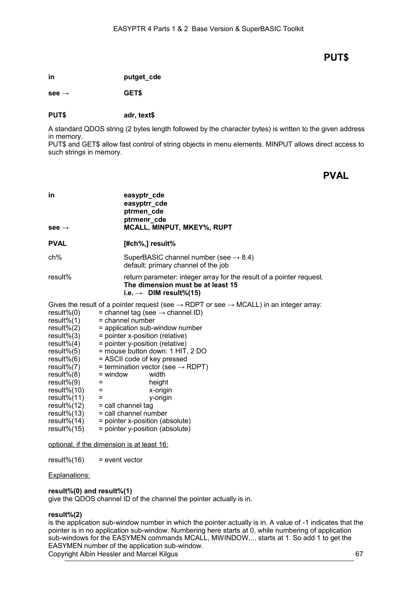# **PUT\$**

**in putget\_cde**

**see → GET\$**

### **PUT\$ adr, text\$**

A standard QDOS string (2 bytes length followed by the character bytes) is written to the given address in memory.

PUT\$ and GET\$ allow fast control of string objects in menu elements. MINPUT allows direct access to such strings in memory.

**PVAL**

| in<br>$see \rightarrow$                                                                                                                                                                                                                                                            | easyptr_cde<br>easyptrr_cde<br>ptrmen_cde<br>ptrmenr_cde<br>MCALL, MINPUT, MKEY%, RUPT                                                                                                                                                                                                                                                                                                                                                                                                                                                                                                                                  |
|------------------------------------------------------------------------------------------------------------------------------------------------------------------------------------------------------------------------------------------------------------------------------------|-------------------------------------------------------------------------------------------------------------------------------------------------------------------------------------------------------------------------------------------------------------------------------------------------------------------------------------------------------------------------------------------------------------------------------------------------------------------------------------------------------------------------------------------------------------------------------------------------------------------------|
| <b>PVAL</b>                                                                                                                                                                                                                                                                        | $[#ch\%,]$ result%                                                                                                                                                                                                                                                                                                                                                                                                                                                                                                                                                                                                      |
| $ch\%$                                                                                                                                                                                                                                                                             | SuperBASIC channel number (see $\rightarrow$ 8.4)<br>default: primary channel of the job                                                                                                                                                                                                                                                                                                                                                                                                                                                                                                                                |
| result%                                                                                                                                                                                                                                                                            | return parameter: integer array for the result of a pointer request.<br>The dimension must be at least 15<br>i.e. $\rightarrow$ DIM result%(15)                                                                                                                                                                                                                                                                                                                                                                                                                                                                         |
| $result\%(0)$<br>$result\%(1)$<br>$result\%(2)$<br>$result\%(3)$<br>$result\%(4)$<br>$result\%(5)$<br>$result\%(6)$<br>$result\%(7)$<br>$result\%(8)$<br>$result\%(9)$<br>result% $(10)$<br>$result\%(11)$<br>result% $(12)$<br>$result\%(13)$<br>$result\%(14)$<br>$result\%(15)$ | Gives the result of a pointer request (see $\rightarrow$ RDPT or see $\rightarrow$ MCALL) in an integer array:<br>= channel tag (see $\rightarrow$ channel ID)<br>$=$ channel number<br>= application sub-window number<br>= pointer x-position (relative)<br>= pointer y-position (relative)<br>= mouse button down: 1 HIT, 2 DO<br>= ASCII code of key pressed<br>= termination vector (see $\rightarrow$ RDPT)<br>$=$ window<br>width<br>height<br>$=$<br>$\equiv$<br>x-origin<br>y-origin<br>Ξ<br>= call channel tag<br>= call channel number<br>= pointer x-position (absolute)<br>= pointer y-position (absolute) |

optional, if the dimension is at least 16:

 $result\%(16)$  = event vector

#### Explanations:

#### **result%(0) and result%(1)**

give the QDOS channel ID of the channel the pointer actually is in.

#### **result%(2)**

is the application sub-window number in which the pointer actually is in. A value of -1 indicates that the pointer is in no application sub-window. Numbering here starts at 0, while numbering of application sub-windows for the EASYMEN commands MCALL, MWINDOW,... starts at 1. So add 1 to get the EASYMEN number of the application sub-window. Copyright Albin Hessler and Marcel Kilgus 67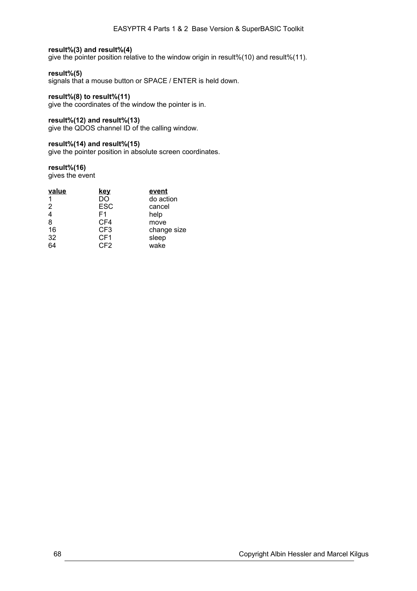### **result%(3) and result%(4)**

give the pointer position relative to the window origin in result%(10) and result%(11).

### **result%(5)**

signals that a mouse button or SPACE / ENTER is held down.

### **result%(8) to result%(11)**

give the coordinates of the window the pointer is in.

### **result%(12) and result%(13)**

give the QDOS channel ID of the calling window.

#### **result%(14) and result%(15)**

give the pointer position in absolute screen coordinates.

#### **result%(16)**

gives the event

| value    | <u>key</u>      | event       |
|----------|-----------------|-------------|
| 1        | DO              | do action   |
| 2        | <b>ESC</b>      | cancel      |
| 4        | F <sub>1</sub>  | help        |
| 8        | CF4             | move        |
| 16       | CF <sub>3</sub> | change size |
| 32       | CF <sub>1</sub> | sleep       |
| $5 - 64$ | CF <sub>2</sub> | wake        |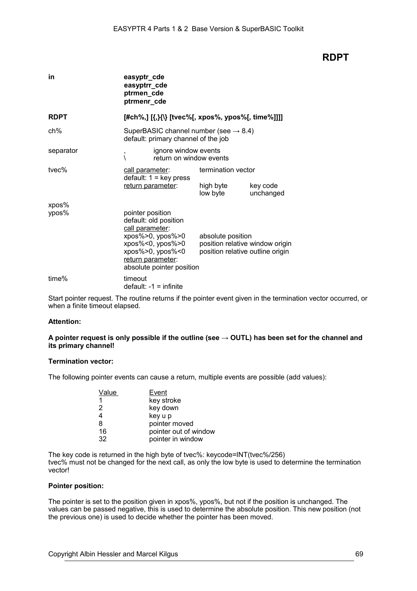## **RDPT**

| in             | easyptr_cde<br>easyptrr_cde<br>ptrmen_cde<br>ptrmenr_cde                                                                                                                                         |                                                                                          |                       |
|----------------|--------------------------------------------------------------------------------------------------------------------------------------------------------------------------------------------------|------------------------------------------------------------------------------------------|-----------------------|
| <b>RDPT</b>    |                                                                                                                                                                                                  |                                                                                          |                       |
| ch%            | SuperBASIC channel number (see $\rightarrow$ 8.4)<br>default: primary channel of the job                                                                                                         |                                                                                          |                       |
| separator      | ignore window events<br>,<br>$\setminus$<br>return on window events                                                                                                                              |                                                                                          |                       |
| tvec%          | call parameter:<br>$default: 1 = key press$<br>return parameter:                                                                                                                                 | termination vector<br>high byte<br>low byte                                              | key code<br>unchanged |
| xpos%<br>ypos% | pointer position<br>default: old position<br>call parameter:<br>xpos%>0, ypos%>0<br>$xpos\% < 0$ , $ypos\% > 0$<br>$xpos\% > 0$ , $ypos\% < 0$<br>return parameter:<br>absolute pointer position | absolute position<br>position relative window origin<br>position relative outline origin |                       |
| time%          | timeout<br>$default: -1 = infinite$                                                                                                                                                              |                                                                                          |                       |

Start pointer request. The routine returns if the pointer event given in the termination vector occurred, or when a finite timeout elapsed.

#### **Attention:**

### **A pointer request is only possible if the outline (see → OUTL) has been set for the channel and its primary channel!**

#### **Termination vector:**

The following pointer events can cause a return, multiple events are possible (add values):

| Value | Event                 |
|-------|-----------------------|
| 1     | key stroke            |
| 2     | key down              |
| 4     | key u p               |
| 8     | pointer moved         |
| 16    | pointer out of window |
| 32    | pointer in window     |

The key code is returned in the high byte of tvec%: keycode=INT(tvec%/256) tvec% must not be changed for the next call, as only the low byte is used to determine the termination vector!

#### **Pointer position:**

The pointer is set to the position given in xpos%, ypos%, but not if the position is unchanged. The values can be passed negative, this is used to determine the absolute position. This new position (not the previous one) is used to decide whether the pointer has been moved.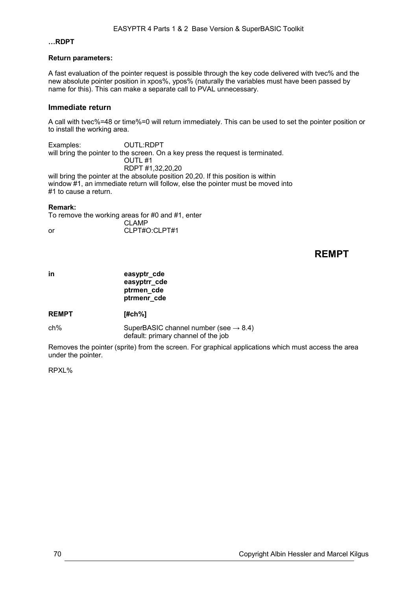### **…RDPT**

### **Return parameters:**

A fast evaluation of the pointer request is possible through the key code delivered with tvec% and the new absolute pointer position in xpos%, ypos% (naturally the variables must have been passed by name for this). This can make a separate call to PVAL unnecessary.

### **Immediate return**

A call with tvec%=48 or time%=0 will return immediately. This can be used to set the pointer position or to install the working area.

Examples: OUTL:RDPT will bring the pointer to the screen. On a key press the request is terminated. OUTL #1 RDPT #1,32,20,20 will bring the pointer at the absolute position 20,20. If this position is within window #1, an immediate return will follow, else the pointer must be moved into #1 to cause a return.

#### **Remark:**

To remove the working areas for #0 and #1, enter

CLAMP or CLPT#O:CLPT#1

## **REMPT**

**in easyptr** cde **easyptrr\_cde ptrmen\_cde ptrmenr\_cde**

**REMPT [#ch%]**

 $ch\%$  SuperBASIC channel number (see  $\rightarrow$  [8.4\)](#page-38-0) default: primary channel of the job

Removes the pointer (sprite) from the screen. For graphical applications which must access the area under the pointer.

#### RPXL%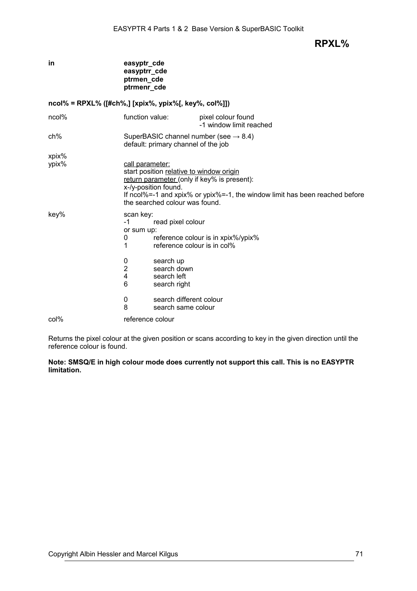**RPXL%**

|                | easyptrr_cde<br>ptrmen_cde<br>ptrmenr_cde                                                                                                                                                                                                           |
|----------------|-----------------------------------------------------------------------------------------------------------------------------------------------------------------------------------------------------------------------------------------------------|
|                | $ncol\%$ = RPXL% ([#ch%,] [xpix%, ypix%[, key%, col%]])                                                                                                                                                                                             |
| ncol%          | function value:<br>pixel colour found<br>-1 window limit reached                                                                                                                                                                                    |
| ch%            | SuperBASIC channel number (see $\rightarrow$ 8.4)<br>default: primary channel of the job                                                                                                                                                            |
| xpix%<br>ypix% | call parameter:<br>start position relative to window origin<br>return parameter (only if key% is present):<br>x-/y-position found.<br>If ncol%=-1 and xpix% or ypix%=-1, the window limit has been reached before<br>the searched colour was found. |
| key%           | scan key:<br>$-1$<br>read pixel colour<br>or sum up:<br>reference colour is in xpix%/ypix%<br>0<br>1<br>reference colour is in col%<br>0<br>search up<br>$\overline{2}$<br>search down<br>4<br>search left<br>6<br>search right                     |
| col%           | 0<br>search different colour<br>8<br>search same colour<br>reference colour                                                                                                                                                                         |

Returns the pixel colour at the given position or scans according to key in the given direction until the reference colour is found.

**Note: SMSQ/E in high colour mode does currently not support this call. This is no EASYPTR limitation.**

**in easyptr** cde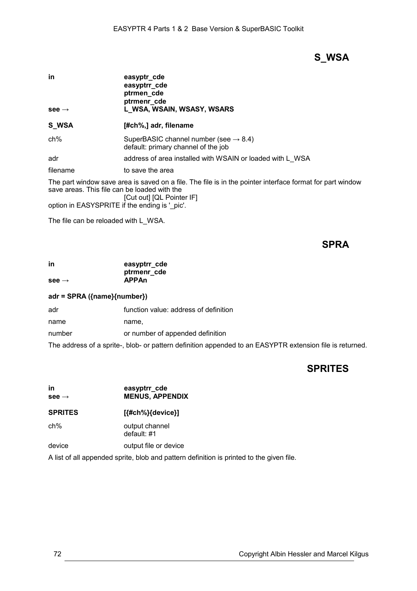# **S\_WSA**

| in<br>$see \rightarrow$ | easyptr_cde<br>easyptrr_cde<br>ptrmen_cde<br>ptrmenr cde<br>L_WSA, WSAIN, WSASY, WSARS   |
|-------------------------|------------------------------------------------------------------------------------------|
| S WSA                   | [#ch%,] adr, filename                                                                    |
| ch%                     | SuperBASIC channel number (see $\rightarrow$ 8.4)<br>default: primary channel of the job |
| adr                     | address of area installed with WSAIN or loaded with L WSA                                |
| filename                | to save the area                                                                         |

The part window save area is saved on a file. The file is in the pointer interface format for part window save areas. This file can be loaded with the [Cut out] [QL Pointer IF]

option in EASYSPRITE if the ending is '\_pic'.

The file can be reloaded with L\_WSA.

## **SPRA**

| in                | easyptrr_cde |
|-------------------|--------------|
|                   | ptrmenr_cde  |
| see $\rightarrow$ | <b>APPAn</b> |

## **adr = SPRA ({name}{number})**

| adr    | function value: address of definition                                                                    |
|--------|----------------------------------------------------------------------------------------------------------|
| name   | name.                                                                                                    |
| number | or number of appended definition                                                                         |
|        | The address of a sprite-, blob- or pattern definition appended to an EASYPTR extension file is returned. |

## **SPRITES**

| in<br>$see \rightarrow$                                                      | easyptrr_cde<br><b>MENUS, APPENDIX</b> |  |
|------------------------------------------------------------------------------|----------------------------------------|--|
| <b>SPRITES</b>                                                               | [{#ch%}{device}]                       |  |
| ch%                                                                          | output channel<br>default: $#1$        |  |
| device                                                                       | output file or device                  |  |
| A list of all appended sprite, blob and pattern definition is printed to the |                                        |  |

given file.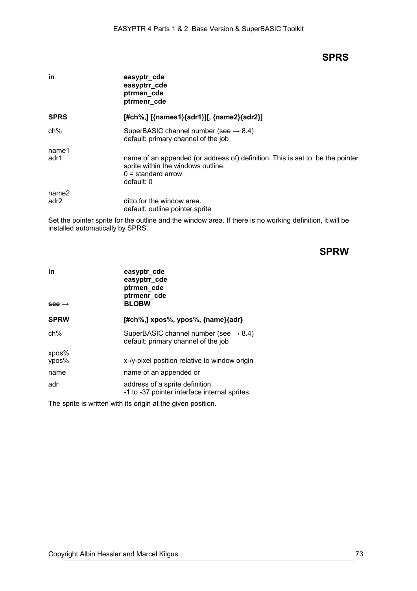## **SPRS**

| in                        | easyptr_cde<br>easyptrr_cde<br>ptrmen_cde<br>ptrmenr cde                                                                                                  |
|---------------------------|-----------------------------------------------------------------------------------------------------------------------------------------------------------|
| <b>SPRS</b>               | [#ch%,] [{names1}{adr1}][, {name2}{adr2}]                                                                                                                 |
| ch%                       | SuperBASIC channel number (see $\rightarrow$ 8.4)<br>default: primary channel of the job                                                                  |
| name1<br>adr1             | name of an appended (or address of) definition. This is set to be the pointer<br>sprite within the windows outline.<br>$0 =$ standard arrow<br>default: 0 |
| name2<br>adr <sub>2</sub> | ditto for the window area.<br>default: outline pointer sprite                                                                                             |

Set the pointer sprite for the outline and the window area. If there is no working definition, it will be installed automatically by SPRS.

# **SPRW**

| in<br>see $\rightarrow$ | easyptr_cde<br>easyptrr_cde<br>ptrmen_cde<br>ptrmenr_cde<br><b>BLOBW</b>                 |
|-------------------------|------------------------------------------------------------------------------------------|
| <b>SPRW</b>             | [#ch%,] xpos%, ypos%, {name}{adr}                                                        |
| $ch\%$                  | SuperBASIC channel number (see $\rightarrow$ 8.4)<br>default: primary channel of the job |
| xpos%                   |                                                                                          |
| ypos%                   | x-/y-pixel position relative to window origin                                            |
| name                    | name of an appended or                                                                   |
| adr                     | address of a sprite definition.<br>-1 to -37 pointer interface internal sprites.         |

The sprite is written with its origin at the given position.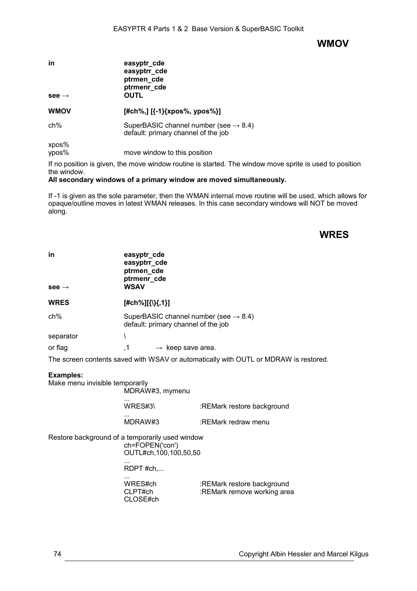## **WMOV**

| in<br>$see \rightarrow$ | easyptr_cde<br>easyptrr_cde<br>ptrmen_cde<br>ptrmenr_cde<br>OUTL                         |  |
|-------------------------|------------------------------------------------------------------------------------------|--|
| <b>WMOV</b>             | [#ch%,] $[{-1}xpos\%, ypos\%]$ ]                                                         |  |
| $ch\%$                  | SuperBASIC channel number (see $\rightarrow$ 8.4)<br>default: primary channel of the job |  |
| xpos%<br>ypos%          | move window to this position                                                             |  |

If no position is given, the move window routine is started. The window move sprite is used to position the window.

#### **All secondary windows of a primary window are moved simultaneously.**

If -1 is given as the sole parameter, then the WMAN internal move routine will be used, which allows for opaque/outline moves in latest WMAN releases. In this case secondary windows will NOT be moved along.

# **WRES**

| in<br>$see \rightarrow$                             | easyptr_cde<br>easyptrr_cde<br>ptrmen_cde<br>ptrmenr cde<br><b>WSAV</b>                                                                                                                 |                                                                                                                |
|-----------------------------------------------------|-----------------------------------------------------------------------------------------------------------------------------------------------------------------------------------------|----------------------------------------------------------------------------------------------------------------|
| <b>WRES</b>                                         |                                                                                                                                                                                         |                                                                                                                |
|                                                     | [#ch%][{\}{,1}]                                                                                                                                                                         |                                                                                                                |
| ch%                                                 | SuperBASIC channel number (see $\rightarrow$ 8.4)<br>default: primary channel of the job                                                                                                |                                                                                                                |
| separator                                           | $\lambda$                                                                                                                                                                               |                                                                                                                |
| or flag                                             | $\cdot$ 1<br>$\rightarrow$ keep save area.                                                                                                                                              |                                                                                                                |
|                                                     |                                                                                                                                                                                         | The screen contents saved with WSAV or automatically with OUTL or MDRAW is restored.                           |
| <b>Examples:</b><br>Make menu invisible temporarily | MDRAW#3, mymenu<br>WRES#3\<br>MDRAW#3<br>Restore background of a temporarily used window<br>ch=FOPEN('con')<br>OUTL#ch, 100, 100, 50, 50<br>RDPT #ch,<br>WRES#ch<br>CLPT#ch<br>CLOSE#ch | :REMark restore background<br>:REMark redraw menu<br>:REMark restore background<br>:REMark remove working area |
|                                                     |                                                                                                                                                                                         |                                                                                                                |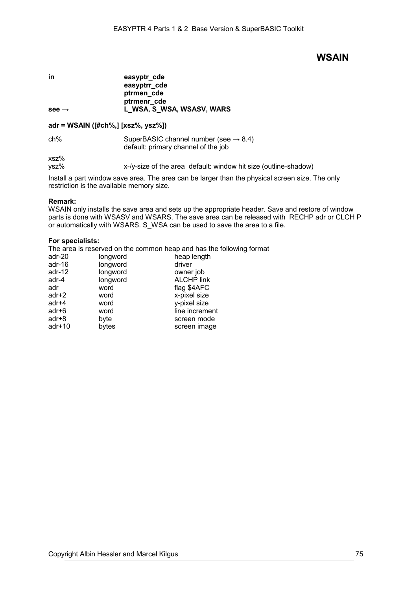## **WSAIN**

**in** easyptr\_cde **easyptrr\_cde ptrmen\_cde ptrmenr\_cde** see → **L\_WSA, S\_WSA, WSASV, WARS** 

#### **adr = WSAIN ([#ch%,] [xsz%, ysz%])**

ch% SuperBASIC channel number (see  $\rightarrow$  [8.4\)](#page-38-0) default: primary channel of the job

xsz%

ysz% x-/y-size of the area default: window hit size (outline-shadow)

Install a part window save area. The area can be larger than the physical screen size. The only restriction is the available memory size.

#### **Remark:**

WSAIN only installs the save area and sets up the appropriate header. Save and restore of window parts is done with WSASV and WSARS. The save area can be released with RECHP adr or CLCH P or automatically with WSARS. S\_WSA can be used to save the area to a file.

#### **For specialists:**

The area is reserved on the common heap and has the following format

| adr-20   | longword | heap length       |
|----------|----------|-------------------|
| adr-16   | longword | driver            |
| adr-12   | longword | owner job         |
| adr-4    | longword | <b>ALCHP link</b> |
| adr      | word     | flag \$4AFC       |
| adr+2    | word     | x-pixel size      |
| adr+4    | word     | y-pixel size      |
| adr+6    | word     | line increment    |
| adr+8    | byte     | screen mode       |
| $adr+10$ | bytes    | screen image      |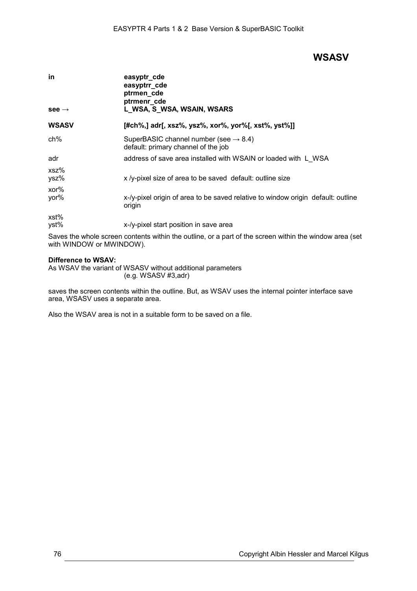## **WSASV**

| in<br>$see \rightarrow$ | easyptr_cde<br>easyptrr_cde<br>ptrmen_cde<br>ptrmenr_cde<br>L_WSA, S_WSA, WSAIN, WSARS     |
|-------------------------|--------------------------------------------------------------------------------------------|
| <b>WSASV</b>            | [#ch%,] adr[, xsz%, ysz%, xor%, yor%[, xst%, yst%]]                                        |
| ch%                     | SuperBASIC channel number (see $\rightarrow$ 8.4)<br>default: primary channel of the job   |
| adr                     | address of save area installed with WSAIN or loaded with L WSA                             |
| xsz%<br>ysz%            | x /y-pixel size of area to be saved default: outline size                                  |
| xor%<br>yor%            | x-/y-pixel origin of area to be saved relative to window origin default: outline<br>origin |
| xst%<br>yst%            | x-/y-pixel start position in save area                                                     |

Saves the whole screen contents within the outline, or a part of the screen within the window area (set with WINDOW or MWINDOW).

#### **Difference to WSAV:**

As WSAV the variant of WSASV without additional parameters (e.g. WSASV #3,adr)

saves the screen contents within the outline. But, as WSAV uses the internal pointer interface save area, WSASV uses a separate area.

Also the WSAV area is not in a suitable form to be saved on a file.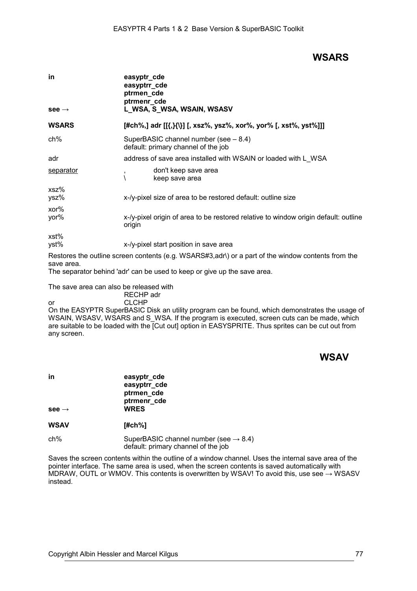# **WSARS**

| easyptr_cde<br>easyptrr_cde<br>ptrmen_cde<br>ptrmenr_cde<br>L_WSA, S_WSA, WSAIN, WSASV        |
|-----------------------------------------------------------------------------------------------|
| [#ch%,] adr [[{,}{\}] [, xsz%, ysz%, xor%, yor% [, xst%, yst%]]]                              |
| SuperBASIC channel number (see $-8.4$ )<br>default: primary channel of the job                |
| address of save area installed with WSAIN or loaded with L WSA                                |
| don't keep save area<br>,<br>keep save area                                                   |
| x-/y-pixel size of area to be restored default: outline size                                  |
| x-/y-pixel origin of area to be restored relative to window origin default: outline<br>origin |
| x-/y-pixel start position in save area                                                        |
|                                                                                               |

Restores the outline screen contents (e.g. WSARS#3,adr\) or a part of the window contents from the save area.

The separator behind 'adr' can be used to keep or give up the save area.

The save area can also be released with

RECHP adr

or CLCHP On the EASYPTR SuperBASIC Disk an utility program can be found, which demonstrates the usage of WSAIN, WSASV, WSARS and S\_WSA. If the program is executed, screen cuts can be made, which are suitable to be loaded with the [Cut out] option in EASYSPRITE. Thus sprites can be cut out from any screen.

# **WSAV**

| in<br>$see \rightarrow$ | easyptr_cde<br>easyptrr_cde<br>ptrmen_cde<br>ptrmenr_cde<br><b>WRES</b> |
|-------------------------|-------------------------------------------------------------------------|
| <b>WSAV</b>             | [#ch%]                                                                  |

ch% SuperBASIC channel number (see  $\rightarrow$  [8.4\)](#page-38-0) default: primary channel of the job

Saves the screen contents within the outline of a window channel. Uses the internal save area of the pointer interface. The same area is used, when the screen contents is saved automatically with MDRAW, OUTL or WMOV. This contents is overwritten by WSAV! To avoid this, use see  $\rightarrow$  WSASV instead.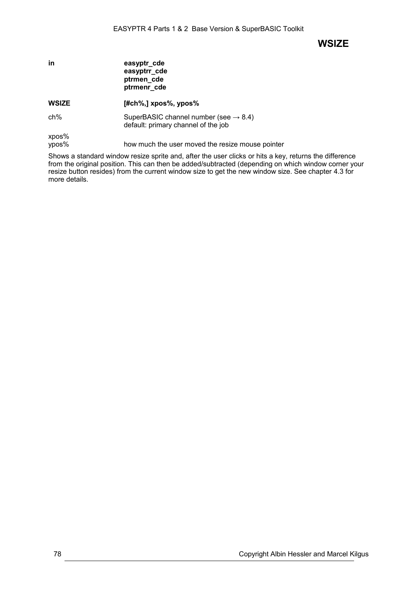## **WSIZE**

| in | easyptr_cde  |
|----|--------------|
|    | easyptrr_cde |
|    | ptrmen cde   |
|    | ptrmenr cde  |

**WSIZE [#ch%,] xpos%, ypos%** ch% SuperBASIC channel number (see  $\rightarrow$  [8.4\)](#page-38-0) default: primary channel of the job

xpos%<br>ypos% how much the user moved the resize mouse pointer

Shows a standard window resize sprite and, after the user clicks or hits a key, returns the difference from the original position. This can then be added/subtracted (depending on which window corner your resize button resides) from the current window size to get the new window size. See chapter [4.3](#page-8-0) for more details.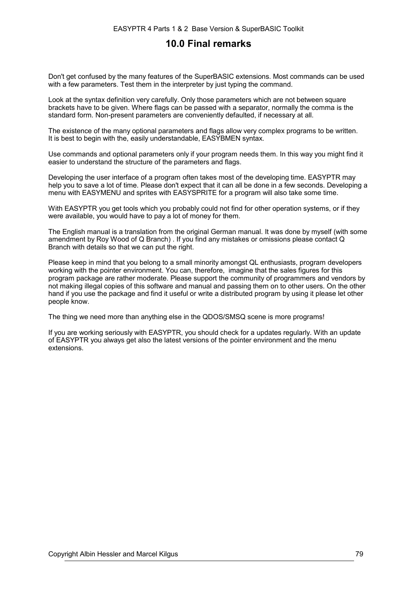# **10.0 Final remarks**

Don't get confused by the many features of the SuperBASIC extensions. Most commands can be used with a few parameters. Test them in the interpreter by just typing the command.

Look at the syntax definition very carefully. Only those parameters which are not between square brackets have to be given. Where flags can be passed with a separator, normally the comma is the standard form. Non-present parameters are conveniently defaulted, if necessary at all.

The existence of the many optional parameters and flags allow very complex programs to be written. It is best to begin with the, easily understandable, EASYBMEN syntax.

Use commands and optional parameters only if your program needs them. In this way you might find it easier to understand the structure of the parameters and flags.

Developing the user interface of a program often takes most of the developing time. EASYPTR may help you to save a lot of time. Please don't expect that it can all be done in a few seconds. Developing a menu with EASYMENU and sprites with EASYSPRITE for a program will also take some time.

With EASYPTR you get tools which you probably could not find for other operation systems, or if they were available, you would have to pay a lot of money for them.

The English manual is a translation from the original German manual. It was done by myself (with some amendment by Roy Wood of Q Branch) . If you find any mistakes or omissions please contact Q Branch with details so that we can put the right.

Please keep in mind that you belong to a small minority amongst QL enthusiasts, program developers working with the pointer environment. You can, therefore, imagine that the sales figures for this program package are rather moderate. Please support the community of programmers and vendors by not making illegal copies of this software and manual and passing them on to other users. On the other hand if you use the package and find it useful or write a distributed program by using it please let other people know.

The thing we need more than anything else in the QDOS/SMSQ scene is more programs!

If you are working seriously with EASYPTR, you should check for a updates regularly. With an update of EASYPTR you always get also the latest versions of the pointer environment and the menu extensions.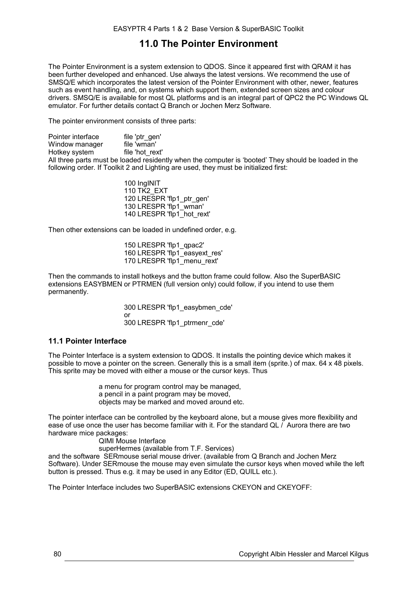# **11.0 The Pointer Environment**

The Pointer Environment is a system extension to QDOS. Since it appeared first with QRAM it has been further developed and enhanced. Use always the latest versions. We recommend the use of SMSQ/E which incorporates the latest version of the Pointer Environment with other, newer, features such as event handling, and, on systems which support them, extended screen sizes and colour drivers. SMSQ/E is available for most QL platforms and is an integral part of QPC2 the PC Windows QL emulator. For further details contact Q Branch or Jochen Merz Software.

The pointer environment consists of three parts:

Pointer interface file 'ptr\_gen'<br>Window manager file 'wman' Window manager file 'wman'<br>Hotkey system file 'hot rext' Hotkey system All three parts must be loaded residently when the computer is 'booted' They should be loaded in the following order. If Toolkit 2 and Lighting are used, they must be initialized first:

> 100 IngINIT 110 TK<sub>2</sub> EXT 120 LRESPR 'flp1\_ptr\_gen' 130 LRESPR 'flp1\_wman' 140 LRESPR 'flp1\_hot\_rext'

Then other extensions can be loaded in undefined order, e.g.

150 LRESPR 'flp1\_qpac2' 160 LRESPR 'flp1\_easyext\_res' 170 LRESPR 'flp1<sup>-</sup>menu\_rext'

Then the commands to install hotkeys and the button frame could follow. Also the SuperBASIC extensions EASYBMEN or PTRMEN (full version only) could follow, if you intend to use them permanently.

> 300 LRESPR 'flp1\_easybmen\_cde' or 300 LRESPR 'flp1\_ptrmenr\_cde'

## **11.1 Pointer Interface**

The Pointer Interface is a system extension to QDOS. It installs the pointing device which makes it possible to move a pointer on the screen. Generally this is a small item (sprite.) of max. 64 x 48 pixels. This sprite may be moved with either a mouse or the cursor keys. Thus

> a menu for program control may be managed, a pencil in a paint program may be moved, objects may be marked and moved around etc.

The pointer interface can be controlled by the keyboard alone, but a mouse gives more flexibility and ease of use once the user has become familiar with it. For the standard QL / Aurora there are two hardware mice packages:

QIMI Mouse Interface

superHermes (available from T.F. Services)

and the software SERmouse serial mouse driver. (available from Q Branch and Jochen Merz Software). Under SERmouse the mouse may even simulate the cursor keys when moved while the left button is pressed. Thus e.g. it may be used in any Editor (ED, QUILL etc.).

The Pointer Interface includes two SuperBASIC extensions CKEYON and CKEYOFF: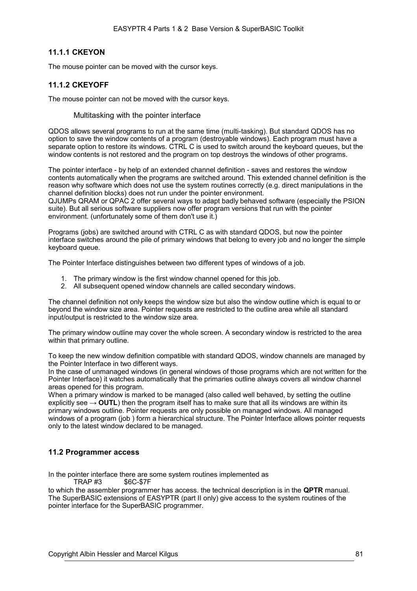## **11.1.1 CKEYON**

The mouse pointer can be moved with the cursor keys.

## **11.1.2 CKEYOFF**

The mouse pointer can not be moved with the cursor keys.

Multitasking with the pointer interface

QDOS allows several programs to run at the same time (multi-tasking). But standard QDOS has no option to save the window contents of a program (destroyable windows). Each program must have a separate option to restore its windows. CTRL C is used to switch around the keyboard queues, but the window contents is not restored and the program on top destroys the windows of other programs.

The pointer interface - by help of an extended channel definition - saves and restores the window contents automatically when the programs are switched around. This extended channel definition is the reason why software which does not use the system routines correctly (e.g. direct manipulations in the channel definition blocks) does not run under the pointer environment.

QJUMPs QRAM or QPAC 2 offer several ways to adapt badly behaved software (especially the PSION suite). But all serious software suppliers now offer program versions that run with the pointer environment. (unfortunately some of them don't use it.)

Programs (jobs) are switched around with CTRL C as with standard QDOS, but now the pointer interface switches around the pile of primary windows that belong to every job and no longer the simple keyboard queue.

The Pointer Interface distinguishes between two different types of windows of a job.

- 1. The primary window is the first window channel opened for this job.
- 2. All subsequent opened window channels are called secondary windows.

The channel definition not only keeps the window size but also the window outline which is equal to or beyond the window size area. Pointer requests are restricted to the outline area while all standard input/output is restricted to the window size area.

The primary window outline may cover the whole screen. A secondary window is restricted to the area within that primary outline.

To keep the new window definition compatible with standard QDOS, window channels are managed by the Pointer Interface in two different ways.

In the case of unmanaged windows (in general windows of those programs which are not written for the Pointer Interface) it watches automatically that the primaries outline always covers all window channel areas opened for this program.

When a primary window is marked to be managed (also called well behaved, by setting the outline explicitly see  $\rightarrow$  **OUTL**) then the program itself has to make sure that all its windows are within its primary windows outline. Pointer requests are only possible on managed windows. All managed windows of a program (job ) form a hierarchical structure. The Pointer Interface allows pointer requests only to the latest window declared to be managed.

### **11.2 Programmer access**

In the pointer interface there are some system routines implemented as

TRAP #3 \$6C-\$7F

to which the assembler programmer has access. the technical description is in the **QPTR** manual. The SuperBASIC extensions of EASYPTR (part II only) give access to the system routines of the pointer interface for the SuperBASIC programmer.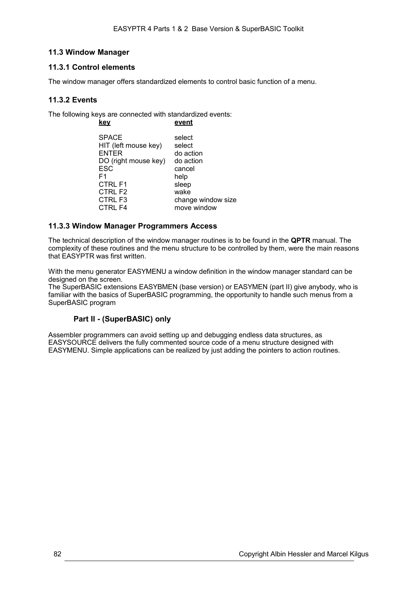## **11.3 Window Manager**

### **11.3.1 Control elements**

The window manager offers standardized elements to control basic function of a menu.

### **11.3.2 Events**

The following keys are connected with standardized events:

| kev                  | event              |
|----------------------|--------------------|
| <b>SPACE</b>         | select             |
| HIT (left mouse key) | select             |
| <b>ENTER</b>         | do action          |
| DO (right mouse key) | do action          |
| ESC                  | cancel             |
| F1                   | help               |
| <b>CTRL F1</b>       | sleep              |
| CTRL F2              | wake               |
| CTRL F3              | change window size |
| CTRL F4              | move window        |

### **11.3.3 Window Manager Programmers Access**

The technical description of the window manager routines is to be found in the **QPTR** manual. The complexity of these routines and the menu structure to be controlled by them, were the main reasons that EASYPTR was first written.

With the menu generator EASYMENU a window definition in the window manager standard can be designed on the screen.

The SuperBASIC extensions EASYBMEN (base version) or EASYMEN (part II) give anybody, who is familiar with the basics of SuperBASIC programming, the opportunity to handle such menus from a SuperBASIC program

### **Part II - (SuperBASIC) only**

Assembler programmers can avoid setting up and debugging endless data structures, as EASYSOURCE delivers the fully commented source code of a menu structure designed with EASYMENU. Simple applications can be realized by just adding the pointers to action routines.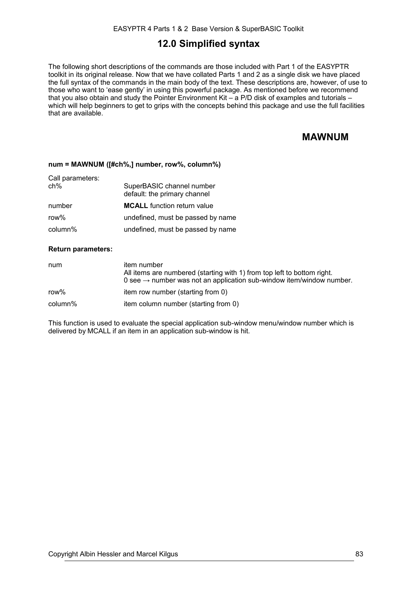## **12.0 Simplified syntax**

The following short descriptions of the commands are those included with Part 1 of the EASYPTR toolkit in its original release. Now that we have collated Parts 1 and 2 as a single disk we have placed the full syntax of the commands in the main body of the text. These descriptions are, however, of use to those who want to 'ease gently' in using this powerful package. As mentioned before we recommend that you also obtain and study the Pointer Environment Kit – a P/D disk of examples and tutorials – which will help beginners to get to grips with the concepts behind this package and use the full facilities that are available.

# **MAWNUM**

#### **num = MAWNUM ([#ch%,] number, row%, column%)**

| Call parameters:<br>ch% | SuperBASIC channel number<br>default: the primary channel |
|-------------------------|-----------------------------------------------------------|
| number                  | <b>MCALL</b> function return value                        |
| row%                    | undefined, must be passed by name                         |
| column%                 | undefined, must be passed by name                         |

#### **Return parameters:**

| num     | item number<br>All items are numbered (starting with 1) from top left to bottom right.<br>0 see $\rightarrow$ number was not an application sub-window item/window number. |
|---------|----------------------------------------------------------------------------------------------------------------------------------------------------------------------------|
| row%    | item row number (starting from 0)                                                                                                                                          |
| column% | item column number (starting from 0)                                                                                                                                       |

This function is used to evaluate the special application sub-window menu/window number which is delivered by MCALL if an item in an application sub-window is hit.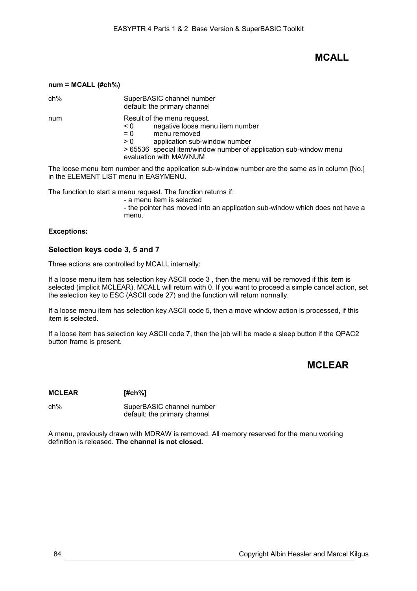## **MCALL**

|  | num = MCALL (#ch%) |  |
|--|--------------------|--|
|  |                    |  |

ch% SuperBASIC channel number default: the primary channel

num Result of the menu request.

< 0 negative loose menu item number

= 0 menu removed

> 0 application sub-window number

> 65536 special item/window number of application sub-window menu evaluation with MAWNUM

The loose menu item number and the application sub-window number are the same as in column [No.] in the ELEMENT LIST menu in EASYMENU.

The function to start a menu request. The function returns if:

- a menu item is selected

- the pointer has moved into an application sub-window which does not have a menu.

### **Exceptions:**

### **Selection keys code 3, 5 and 7**

Three actions are controlled by MCALL internally:

If a loose menu item has selection key ASCII code 3 , then the menu will be removed if this item is selected (implicit MCLEAR). MCALL will return with 0. If you want to proceed a simple cancel action, set the selection key to ESC (ASCII code 27) and the function will return normally.

If a loose menu item has selection key ASCII code 5, then a move window action is processed, if this item is selected.

If a loose item has selection key ASCII code 7, then the job will be made a sleep button if the QPAC2 button frame is present.

# **MCLEAR**

**MCLEAR [#ch%]**

ch% SuperBASIC channel number default: the primary channel

A menu, previously drawn with MDRAW is removed. All memory reserved for the menu working definition is released. **The channel is not closed.**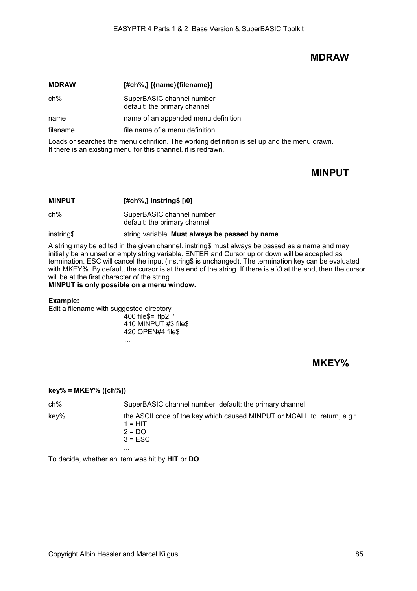## **MDRAW**

| <b>MDRAW</b> | [#ch%,] [{name}{filename}]                                |
|--------------|-----------------------------------------------------------|
| ch%          | SuperBASIC channel number<br>default: the primary channel |
| name         | name of an appended menu definition                       |
| filename     | file name of a menu definition                            |

Loads or searches the menu definition. The working definition is set up and the menu drawn. If there is an existing menu for this channel, it is redrawn.

# **MINPUT**

| <b>MINPUT</b> | $[#ch\%,]$ instring\$ $[ \setminus 0]$                    |
|---------------|-----------------------------------------------------------|
| $ch\%$        | SuperBASIC channel number<br>default: the primary channel |
| instring\$    | string variable. Must always be passed by name            |

A string may be edited in the given channel. instring\$ must always be passed as a name and may initially be an unset or empty string variable. ENTER and Cursor up or down will be accepted as termination. ESC will cancel the input (instring\$ is unchanged). The termination key can be evaluated with MKEY%. By default, the cursor is at the end of the string. If there is a \0 at the end, then the cursor will be at the first character of the string.

**MINPUT is only possible on a menu window.**

#### **Example:**

Edit a filename with suggested directory 400 file\$= 'flp2\_' 410 MINPUT  $\sharp 3$ , files 420 OPEN#4,file\$

…

**MKEY%**

## **key% = MKEY% ([ch%])**

| ch%  | SuperBASIC channel number default: the primary channel                                                            |
|------|-------------------------------------------------------------------------------------------------------------------|
| key% | the ASCII code of the key which caused MINPUT or MCALL to return, e.g.:<br>$1 = HIT$<br>$2 = DO$<br>$3 = ESC$<br> |

To decide, whether an item was hit by **HIT** or **DO**.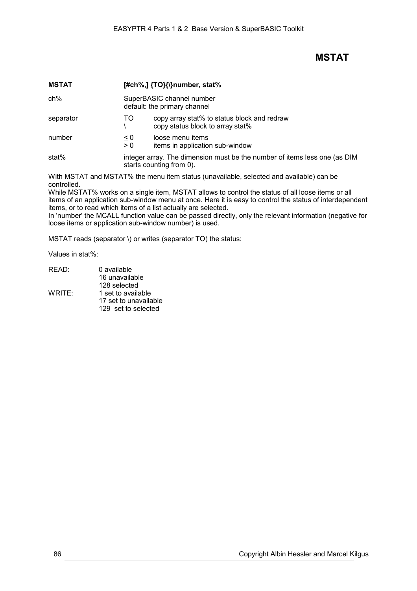# **MSTAT**

| <b>MSTAT</b> |                                                           | $[#ch\%,]$ {TO}{\}number, stat%                                                                       |
|--------------|-----------------------------------------------------------|-------------------------------------------------------------------------------------------------------|
| ch%          | SuperBASIC channel number<br>default: the primary channel |                                                                                                       |
| separator    | TO.                                                       | copy array stat% to status block and redraw<br>copy status block to array stat%                       |
| number       | $\leq 0$<br>> 0                                           | loose menu items<br>items in application sub-window                                                   |
| stat%        |                                                           | integer array. The dimension must be the number of items less one (as DIM<br>starts counting from 0). |

With MSTAT and MSTAT% the menu item status (unavailable, selected and available) can be controlled.

While MSTAT% works on a single item, MSTAT allows to control the status of all loose items or all items of an application sub-window menu at once. Here it is easy to control the status of interdependent items, or to read which items of a list actually are selected.

In 'number' the MCALL function value can be passed directly, only the relevant information (negative for loose items or application sub-window number) is used.

MSTAT reads (separator \) or writes (separator TO) the status:

Values in stat%:

| 0 available           |
|-----------------------|
| 16 unavailable        |
| 128 selected          |
| 1 set to available    |
| 17 set to unavailable |
| 129 set to selected   |
|                       |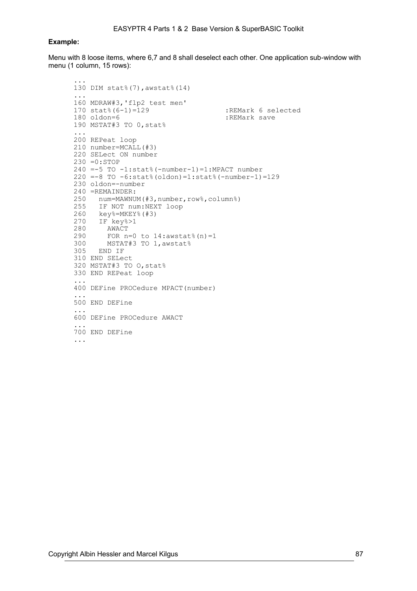#### **Example:**

Menu with 8 loose items, where 6,7 and 8 shall deselect each other. One application sub-window with menu (1 column, 15 rows):

```
...
130 DIM stat%(7),awstat%(14)
...
160 MDRAW#3,'flp2 test men'
170 stat% (6-1)=129 :REMark 6 selected
180 oldon=6 :REMark save
190 MSTAT#3 TO 0,stat%
 ...
200 REPeat loop
210 number=MCALL(#3)
220 SELect ON number
230 =0:STOP
240 =-5 TO -1:stat%(-number-1)=1:MPACT number 
220 =-8 TO -6:stat%(oldon)=1:stat%(-number-1)=129
230 oldon=-number
240 =REMAINDER:
250 num=MAWNUM(#3,number,row%,column%)
255 IF NOT num:NEXT loop
260 key%=MKEY%(#3)<br>270 IF key%>1
270 IF key%>1
280 AWACT<br>290 FOR n
290 FOR n=0 to 14:awstat% (n)=1<br>300 MSTAT#3 TO 1,awstat% (n)=1230 1300 MSTAT#3 TO 1, awstat%<br>305 END IF
     305 END IF
310 END SELect 
320 MSTAT#3 TO O,stat% 
330 END REPeat loop
...
400 DEFine PROCedure MPACT(number)
...
500 END DEFine
...
600 DEFine PROCedure AWACT
...
700 END DEFine
...
```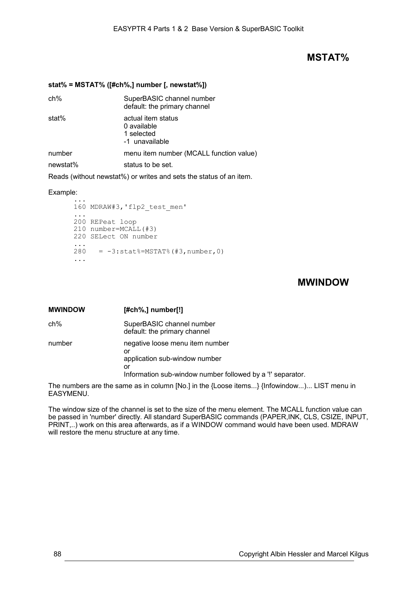## **MSTAT%**

#### **stat% = MSTAT% ([#ch%,] number [, newstat%])**

| SuperBASIC channel number<br>default: the primary channel         |
|-------------------------------------------------------------------|
| actual item status<br>0 available<br>1 selected<br>-1 unavailable |
| menu item number (MCALL function value)                           |
| status to be set.                                                 |
|                                                                   |

Reads (without newstat%) or writes and sets the status of an item.

#### Example:

```
...
160 MDRAW#3,'flp2_test_men'
...
200 REPeat loop
210 number=MCALL(#3) 
220 SELect ON number 
\frac{1}{280}= -3:stat%=MSTAT%(#3,number,0)
...
```
# **MWINDOW**

| <b>MWINDOW</b> | $[#ch\%,]$ number[!]                                                                                                                       |
|----------------|--------------------------------------------------------------------------------------------------------------------------------------------|
| ch%            | SuperBASIC channel number<br>default: the primary channel                                                                                  |
| number         | negative loose menu item number<br>or<br>application sub-window number<br>or<br>Information sub-window number followed by a '!' separator. |

The numbers are the same as in column [No.] in the {Loose items...} {Infowindow...)... LIST menu in EASYMENU.

The window size of the channel is set to the size of the menu element. The MCALL function value can be passed in 'number' directly. All standard SuperBASIC commands (PAPER,INK, CLS, CSIZE, INPUT, PRINT,..) work on this area afterwards, as if a WINDOW command would have been used. MDRAW will restore the menu structure at any time.